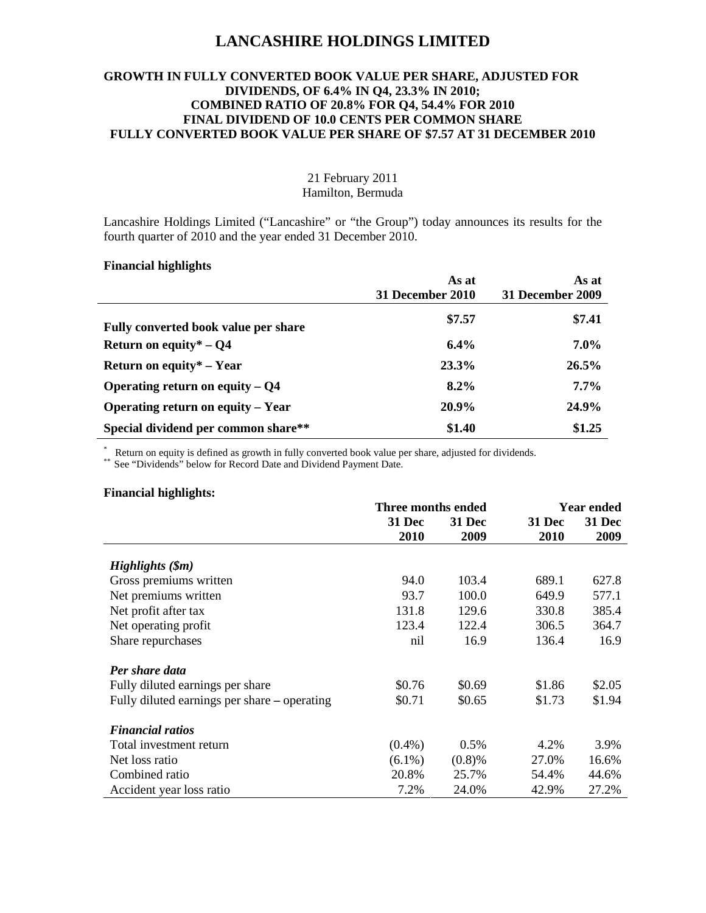## **LANCASHIRE HOLDINGS LIMITED**

## **GROWTH IN FULLY CONVERTED BOOK VALUE PER SHARE, ADJUSTED FOR DIVIDENDS, OF 6.4% IN Q4, 23.3% IN 2010; COMBINED RATIO OF 20.8% FOR Q4, 54.4% FOR 2010 FINAL DIVIDEND OF 10.0 CENTS PER COMMON SHARE FULLY CONVERTED BOOK VALUE PER SHARE OF \$7.57 AT 31 DECEMBER 2010**

## 21 February 2011 Hamilton, Bermuda

Lancashire Holdings Limited ("Lancashire" or "the Group") today announces its results for the fourth quarter of 2010 and the year ended 31 December 2010.

## **Financial highlights**

|                                      | As at<br><b>31 December 2010</b> | As at<br>31 December 2009 |
|--------------------------------------|----------------------------------|---------------------------|
| Fully converted book value per share | \$7.57                           | \$7.41                    |
| Return on equity* $-$ Q4             | $6.4\%$                          | $7.0\%$                   |
| Return on equity* $-$ Year           | 23.3%                            | $26.5\%$                  |
| Operating return on equity $-$ Q4    | $8.2\%$                          | $7.7\%$                   |
| Operating return on equity – Year    | 20.9%                            | 24.9%                     |
| Special dividend per common share**  | \$1.40                           | \$1.25                    |

\* Return on equity is defined as growth in fully converted book value per share, adjusted for dividends.<br>\*\* See "Dividends" below for Record Date and Dividend Payment Date.

#### **Financial highlights:**

|                                              |               | Three months ended |               | <b>Year ended</b> |  |
|----------------------------------------------|---------------|--------------------|---------------|-------------------|--|
|                                              | <b>31 Dec</b> | <b>31 Dec</b>      | <b>31 Dec</b> | <b>31 Dec</b>     |  |
|                                              | 2010          | 2009               | 2010          | 2009              |  |
| High lights (3m)                             |               |                    |               |                   |  |
| Gross premiums written                       | 94.0          | 103.4              | 689.1         | 627.8             |  |
| Net premiums written                         | 93.7          | 100.0              | 649.9         | 577.1             |  |
| Net profit after tax                         | 131.8         | 129.6              | 330.8         | 385.4             |  |
| Net operating profit                         | 123.4         | 122.4              | 306.5         | 364.7             |  |
| Share repurchases                            | nil           | 16.9               | 136.4         | 16.9              |  |
| Per share data                               |               |                    |               |                   |  |
| Fully diluted earnings per share             | \$0.76        | \$0.69             | \$1.86        | \$2.05            |  |
| Fully diluted earnings per share – operating | \$0.71        | \$0.65             | \$1.73        | \$1.94            |  |
| <b>Financial ratios</b>                      |               |                    |               |                   |  |
| Total investment return                      | $(0.4\%)$     | 0.5%               | 4.2%          | 3.9%              |  |
| Net loss ratio                               | $(6.1\%)$     | (0.8)%             | 27.0%         | 16.6%             |  |
| Combined ratio                               | 20.8%         | 25.7%              | 54.4%         | 44.6%             |  |
| Accident year loss ratio                     | 7.2%          | 24.0%              | 42.9%         | 27.2%             |  |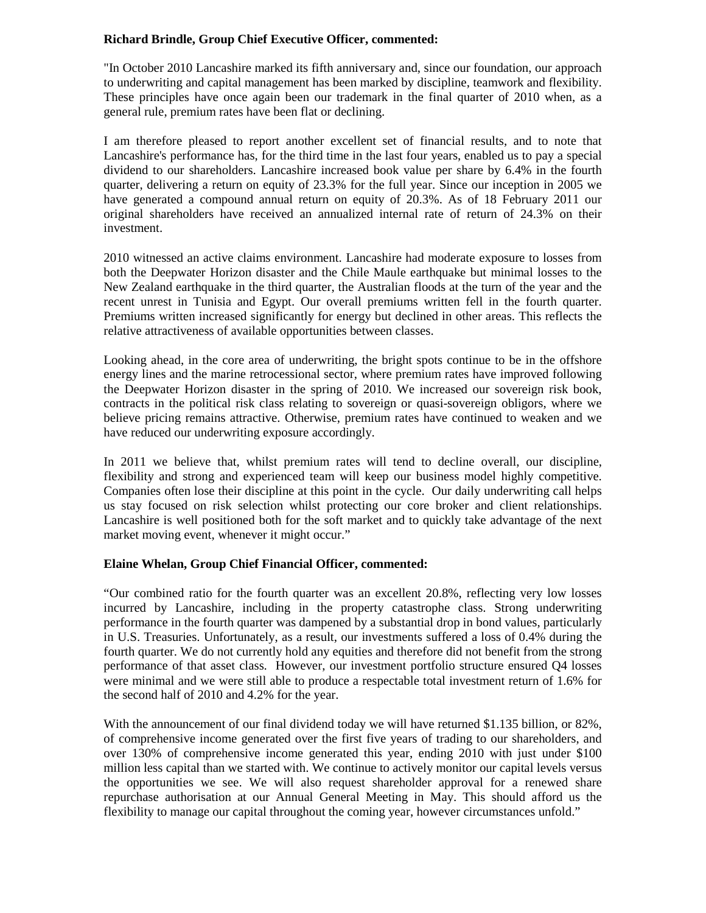## **Richard Brindle, Group Chief Executive Officer, commented:**

"In October 2010 Lancashire marked its fifth anniversary and, since our foundation, our approach to underwriting and capital management has been marked by discipline, teamwork and flexibility. These principles have once again been our trademark in the final quarter of 2010 when, as a general rule, premium rates have been flat or declining.

I am therefore pleased to report another excellent set of financial results, and to note that Lancashire's performance has, for the third time in the last four years, enabled us to pay a special dividend to our shareholders. Lancashire increased book value per share by 6.4% in the fourth quarter, delivering a return on equity of 23.3% for the full year. Since our inception in 2005 we have generated a compound annual return on equity of 20.3%. As of 18 February 2011 our original shareholders have received an annualized internal rate of return of 24.3% on their investment.

2010 witnessed an active claims environment. Lancashire had moderate exposure to losses from both the Deepwater Horizon disaster and the Chile Maule earthquake but minimal losses to the New Zealand earthquake in the third quarter, the Australian floods at the turn of the year and the recent unrest in Tunisia and Egypt. Our overall premiums written fell in the fourth quarter. Premiums written increased significantly for energy but declined in other areas. This reflects the relative attractiveness of available opportunities between classes.

Looking ahead, in the core area of underwriting, the bright spots continue to be in the offshore energy lines and the marine retrocessional sector, where premium rates have improved following the Deepwater Horizon disaster in the spring of 2010. We increased our sovereign risk book, contracts in the political risk class relating to sovereign or quasi-sovereign obligors, where we believe pricing remains attractive. Otherwise, premium rates have continued to weaken and we have reduced our underwriting exposure accordingly.

In 2011 we believe that, whilst premium rates will tend to decline overall, our discipline, flexibility and strong and experienced team will keep our business model highly competitive. Companies often lose their discipline at this point in the cycle. Our daily underwriting call helps us stay focused on risk selection whilst protecting our core broker and client relationships. Lancashire is well positioned both for the soft market and to quickly take advantage of the next market moving event, whenever it might occur."

## **Elaine Whelan, Group Chief Financial Officer, commented:**

"Our combined ratio for the fourth quarter was an excellent 20.8%, reflecting very low losses incurred by Lancashire, including in the property catastrophe class. Strong underwriting performance in the fourth quarter was dampened by a substantial drop in bond values, particularly in U.S. Treasuries. Unfortunately, as a result, our investments suffered a loss of 0.4% during the fourth quarter. We do not currently hold any equities and therefore did not benefit from the strong performance of that asset class. However, our investment portfolio structure ensured Q4 losses were minimal and we were still able to produce a respectable total investment return of 1.6% for the second half of 2010 and 4.2% for the year.

With the announcement of our final dividend today we will have returned \$1.135 billion, or 82%, of comprehensive income generated over the first five years of trading to our shareholders, and over 130% of comprehensive income generated this year, ending 2010 with just under \$100 million less capital than we started with. We continue to actively monitor our capital levels versus the opportunities we see. We will also request shareholder approval for a renewed share repurchase authorisation at our Annual General Meeting in May. This should afford us the flexibility to manage our capital throughout the coming year, however circumstances unfold."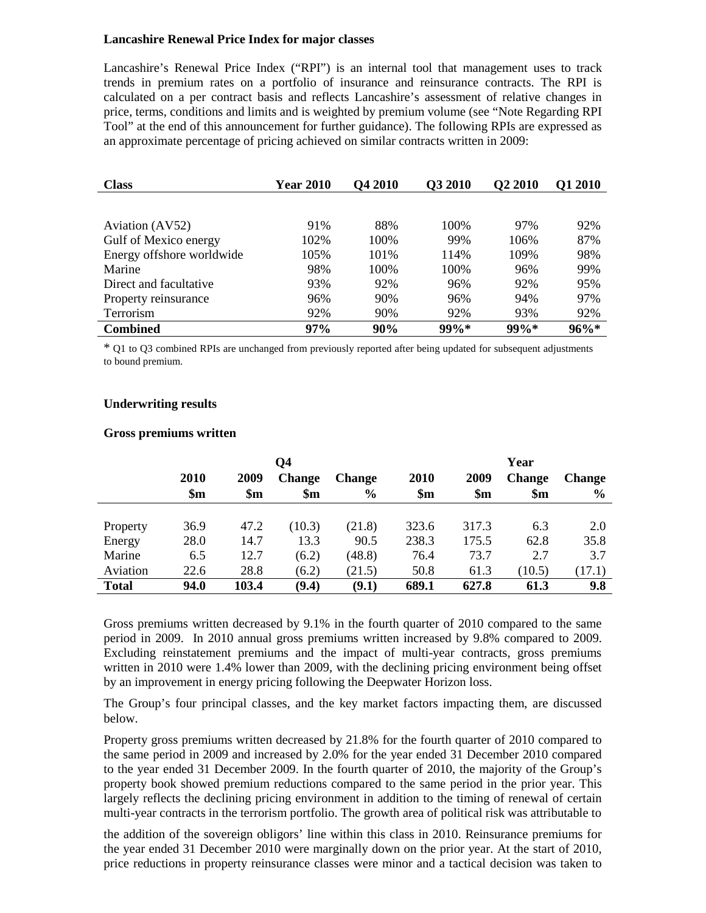#### **Lancashire Renewal Price Index for major classes**

Lancashire's Renewal Price Index ("RPI") is an internal tool that management uses to track trends in premium rates on a portfolio of insurance and reinsurance contracts. The RPI is calculated on a per contract basis and reflects Lancashire's assessment of relative changes in price, terms, conditions and limits and is weighted by premium volume (see "Note Regarding RPI Tool" at the end of this announcement for further guidance). The following RPIs are expressed as an approximate percentage of pricing achieved on similar contracts written in 2009:

| <b>Class</b>              | <b>Year 2010</b> | <b>O4 2010</b> | <b>O3 2010</b> | <b>O2 2010</b> | <b>O1 2010</b> |
|---------------------------|------------------|----------------|----------------|----------------|----------------|
|                           |                  |                |                |                |                |
| Aviation (AV52)           | 91%              | 88%            | 100%           | 97%            | 92%            |
| Gulf of Mexico energy     | 102%             | 100%           | 99%            | 106%           | 87%            |
| Energy offshore worldwide | 105%             | 101\%          | 114%           | 109%           | 98%            |
| Marine                    | 98%              | 100%           | 100%           | 96%            | 99%            |
| Direct and facultative    | 93%              | 92%            | 96%            | 92%            | 95%            |
| Property reinsurance      | 96%              | 90%            | 96%            | 94%            | 97%            |
| Terrorism                 | 92%              | 90%            | 92%            | 93%            | 92%            |
| <b>Combined</b>           | 97%              | 90%            | $99\%*$        | $99\%*$        | $96\%*$        |

\* Q1 to Q3 combined RPIs are unchanged from previously reported after being updated for subsequent adjustments to bound premium.

#### **Underwriting results**

#### **Gross premiums written**

|              |                |               | Q4             |               |                | Year           |                |               |
|--------------|----------------|---------------|----------------|---------------|----------------|----------------|----------------|---------------|
|              | <b>2010</b>    | 2009          | <b>Change</b>  | <b>Change</b> | 2010           | 2009           | <b>Change</b>  | <b>Change</b> |
|              | $\mathbf{\$m}$ | $\mathbf{Sm}$ | $\mathbf{\$m}$ | $\frac{6}{6}$ | $\mathbf{\$m}$ | $\mathbf{\$m}$ | $\mathbf{\$m}$ | $\frac{6}{9}$ |
|              |                |               |                |               |                |                |                |               |
| Property     | 36.9           | 47.2          | (10.3)         | (21.8)        | 323.6          | 317.3          | 6.3            | 2.0           |
| Energy       | 28.0           | 14.7          | 13.3           | 90.5          | 238.3          | 175.5          | 62.8           | 35.8          |
| Marine       | 6.5            | 12.7          | (6.2)          | (48.8)        | 76.4           | 73.7           | 2.7            | 3.7           |
| Aviation     | 22.6           | 28.8          | (6.2)          | (21.5)        | 50.8           | 61.3           | (10.5)         | (17.1)        |
| <b>Total</b> | 94.0           | 103.4         | (9.4)          | (9.1)         | 689.1          | 627.8          | 61.3           | 9.8           |

Gross premiums written decreased by 9.1% in the fourth quarter of 2010 compared to the same period in 2009. In 2010 annual gross premiums written increased by 9.8% compared to 2009. Excluding reinstatement premiums and the impact of multi-year contracts, gross premiums written in 2010 were 1.4% lower than 2009, with the declining pricing environment being offset by an improvement in energy pricing following the Deepwater Horizon loss.

The Group's four principal classes, and the key market factors impacting them, are discussed below.

Property gross premiums written decreased by 21.8% for the fourth quarter of 2010 compared to the same period in 2009 and increased by 2.0% for the year ended 31 December 2010 compared to the year ended 31 December 2009. In the fourth quarter of 2010, the majority of the Group's property book showed premium reductions compared to the same period in the prior year. This largely reflects the declining pricing environment in addition to the timing of renewal of certain multi-year contracts in the terrorism portfolio. The growth area of political risk was attributable to

the addition of the sovereign obligors' line within this class in 2010. Reinsurance premiums for the year ended 31 December 2010 were marginally down on the prior year. At the start of 2010, price reductions in property reinsurance classes were minor and a tactical decision was taken to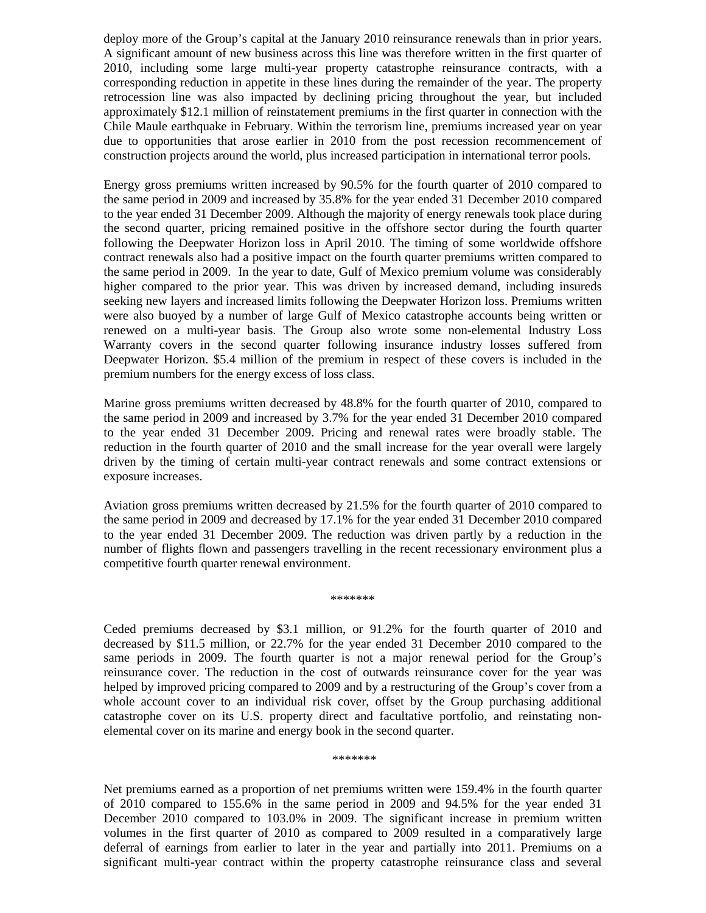deploy more of the Group's capital at the January 2010 reinsurance renewals than in prior years. A significant amount of new business across this line was therefore written in the first quarter of 2010, including some large multi-year property catastrophe reinsurance contracts, with a corresponding reduction in appetite in these lines during the remainder of the year. The property retrocession line was also impacted by declining pricing throughout the year, but included approximately \$12.1 million of reinstatement premiums in the first quarter in connection with the Chile Maule earthquake in February. Within the terrorism line, premiums increased year on year due to opportunities that arose earlier in 2010 from the post recession recommencement of construction projects around the world, plus increased participation in international terror pools.

Energy gross premiums written increased by 90.5% for the fourth quarter of 2010 compared to the same period in 2009 and increased by 35.8% for the year ended 31 December 2010 compared to the year ended 31 December 2009. Although the majority of energy renewals took place during the second quarter, pricing remained positive in the offshore sector during the fourth quarter following the Deepwater Horizon loss in April 2010. The timing of some worldwide offshore contract renewals also had a positive impact on the fourth quarter premiums written compared to the same period in 2009. In the year to date, Gulf of Mexico premium volume was considerably higher compared to the prior year. This was driven by increased demand, including insureds seeking new layers and increased limits following the Deepwater Horizon loss. Premiums written were also buoyed by a number of large Gulf of Mexico catastrophe accounts being written or renewed on a multi-year basis. The Group also wrote some non-elemental Industry Loss Warranty covers in the second quarter following insurance industry losses suffered from Deepwater Horizon. \$5.4 million of the premium in respect of these covers is included in the premium numbers for the energy excess of loss class.

Marine gross premiums written decreased by 48.8% for the fourth quarter of 2010, compared to the same period in 2009 and increased by 3.7% for the year ended 31 December 2010 compared to the year ended 31 December 2009. Pricing and renewal rates were broadly stable. The reduction in the fourth quarter of 2010 and the small increase for the year overall were largely driven by the timing of certain multi-year contract renewals and some contract extensions or exposure increases.

Aviation gross premiums written decreased by 21.5% for the fourth quarter of 2010 compared to the same period in 2009 and decreased by 17.1% for the year ended 31 December 2010 compared to the year ended 31 December 2009. The reduction was driven partly by a reduction in the number of flights flown and passengers travelling in the recent recessionary environment plus a competitive fourth quarter renewal environment.

\*\*\*\*\*\*\*

Ceded premiums decreased by \$3.1 million, or 91.2% for the fourth quarter of 2010 and decreased by \$11.5 million, or 22.7% for the year ended 31 December 2010 compared to the same periods in 2009. The fourth quarter is not a major renewal period for the Group's reinsurance cover. The reduction in the cost of outwards reinsurance cover for the year was helped by improved pricing compared to 2009 and by a restructuring of the Group's cover from a whole account cover to an individual risk cover, offset by the Group purchasing additional catastrophe cover on its U.S. property direct and facultative portfolio, and reinstating nonelemental cover on its marine and energy book in the second quarter.

\*\*\*\*\*\*\*

Net premiums earned as a proportion of net premiums written were 159.4% in the fourth quarter of 2010 compared to 155.6% in the same period in 2009 and 94.5% for the year ended 31 December 2010 compared to 103.0% in 2009. The significant increase in premium written volumes in the first quarter of 2010 as compared to 2009 resulted in a comparatively large deferral of earnings from earlier to later in the year and partially into 2011. Premiums on a significant multi-year contract within the property catastrophe reinsurance class and several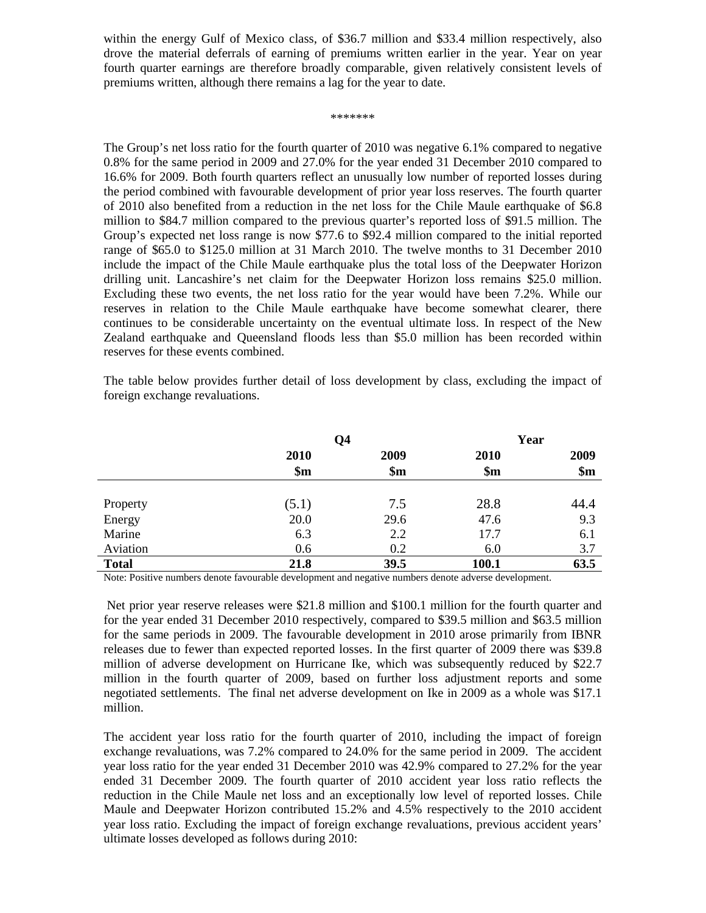within the energy Gulf of Mexico class, of \$36.7 million and \$33.4 million respectively, also drove the material deferrals of earning of premiums written earlier in the year. Year on year fourth quarter earnings are therefore broadly comparable, given relatively consistent levels of premiums written, although there remains a lag for the year to date.

#### \*\*\*\*\*\*\*

The Group's net loss ratio for the fourth quarter of 2010 was negative 6.1% compared to negative 0.8% for the same period in 2009 and 27.0% for the year ended 31 December 2010 compared to 16.6% for 2009. Both fourth quarters reflect an unusually low number of reported losses during the period combined with favourable development of prior year loss reserves. The fourth quarter of 2010 also benefited from a reduction in the net loss for the Chile Maule earthquake of \$6.8 million to \$84.7 million compared to the previous quarter's reported loss of \$91.5 million. The Group's expected net loss range is now \$77.6 to \$92.4 million compared to the initial reported range of \$65.0 to \$125.0 million at 31 March 2010. The twelve months to 31 December 2010 include the impact of the Chile Maule earthquake plus the total loss of the Deepwater Horizon drilling unit. Lancashire's net claim for the Deepwater Horizon loss remains \$25.0 million. Excluding these two events, the net loss ratio for the year would have been 7.2%. While our reserves in relation to the Chile Maule earthquake have become somewhat clearer, there continues to be considerable uncertainty on the eventual ultimate loss. In respect of the New Zealand earthquake and Queensland floods less than \$5.0 million has been recorded within reserves for these events combined.

The table below provides further detail of loss development by class, excluding the impact of foreign exchange revaluations.

|              | Q <sub>4</sub> |                | Year           |       |
|--------------|----------------|----------------|----------------|-------|
|              | 2010           | 2009           | 2010           | 2009  |
|              | \$m\$          | $\mathbf{\$m}$ | $\mathbf{\$m}$ | \$m\$ |
|              |                |                |                |       |
| Property     | (5.1)          | 7.5            | 28.8           | 44.4  |
| Energy       | 20.0           | 29.6           | 47.6           | 9.3   |
| Marine       | 6.3            | 2.2            | 17.7           | 6.1   |
| Aviation     | 0.6            | 0.2            | 6.0            | 3.7   |
| <b>Total</b> | 21.8           | 39.5           | 100.1          | 63.5  |

Note: Positive numbers denote favourable development and negative numbers denote adverse development.

Net prior year reserve releases were \$21.8 million and \$100.1 million for the fourth quarter and for the year ended 31 December 2010 respectively, compared to \$39.5 million and \$63.5 million for the same periods in 2009. The favourable development in 2010 arose primarily from IBNR releases due to fewer than expected reported losses. In the first quarter of 2009 there was \$39.8 million of adverse development on Hurricane Ike, which was subsequently reduced by \$22.7 million in the fourth quarter of 2009, based on further loss adjustment reports and some negotiated settlements. The final net adverse development on Ike in 2009 as a whole was \$17.1 million.

The accident year loss ratio for the fourth quarter of 2010, including the impact of foreign exchange revaluations, was 7.2% compared to 24.0% for the same period in 2009. The accident year loss ratio for the year ended 31 December 2010 was 42.9% compared to 27.2% for the year ended 31 December 2009. The fourth quarter of 2010 accident year loss ratio reflects the reduction in the Chile Maule net loss and an exceptionally low level of reported losses. Chile Maule and Deepwater Horizon contributed 15.2% and 4.5% respectively to the 2010 accident year loss ratio. Excluding the impact of foreign exchange revaluations, previous accident years' ultimate losses developed as follows during 2010: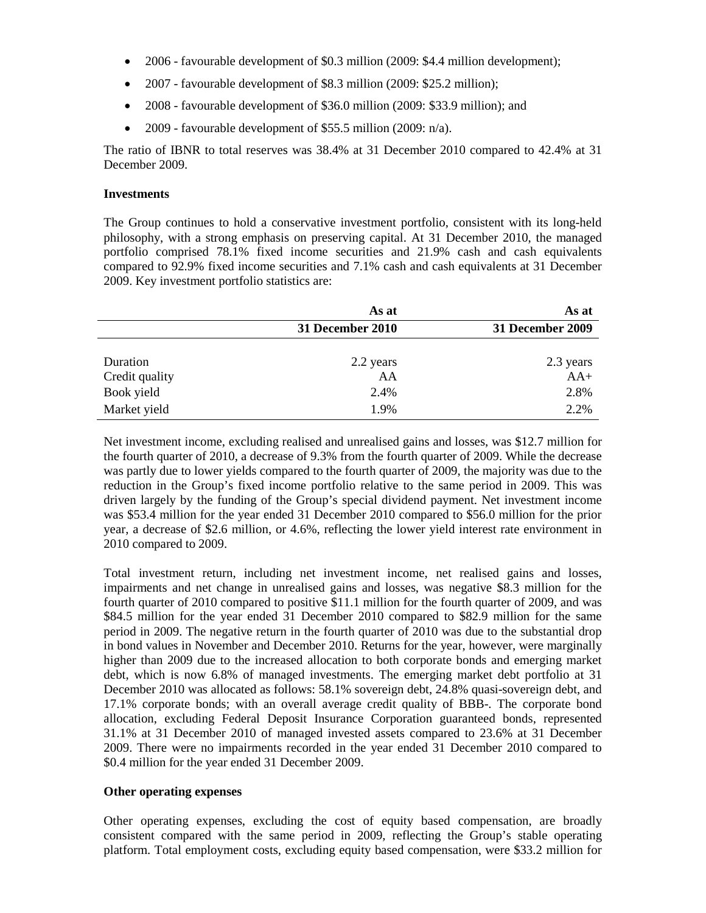- 2006 favourable development of \$0.3 million (2009: \$4.4 million development);
- 2007 favourable development of \$8.3 million (2009: \$25.2 million);
- 2008 favourable development of \$36.0 million (2009: \$33.9 million); and
- 2009 favourable development of \$55.5 million (2009: n/a).

The ratio of IBNR to total reserves was 38.4% at 31 December 2010 compared to 42.4% at 31 December 2009.

## **Investments**

The Group continues to hold a conservative investment portfolio, consistent with its long-held philosophy, with a strong emphasis on preserving capital. At 31 December 2010, the managed portfolio comprised 78.1% fixed income securities and 21.9% cash and cash equivalents compared to 92.9% fixed income securities and 7.1% cash and cash equivalents at 31 December 2009. Key investment portfolio statistics are:

|                | As at            | As at            |
|----------------|------------------|------------------|
|                | 31 December 2010 | 31 December 2009 |
|                |                  |                  |
| Duration       | 2.2 years        | 2.3 years        |
| Credit quality | AA               | $AA+$            |
| Book yield     | 2.4%             | 2.8%             |
| Market yield   | 1.9%             | 2.2%             |

Net investment income, excluding realised and unrealised gains and losses, was \$12.7 million for the fourth quarter of 2010, a decrease of 9.3% from the fourth quarter of 2009. While the decrease was partly due to lower yields compared to the fourth quarter of 2009, the majority was due to the reduction in the Group's fixed income portfolio relative to the same period in 2009. This was driven largely by the funding of the Group's special dividend payment. Net investment income was \$53.4 million for the year ended 31 December 2010 compared to \$56.0 million for the prior year, a decrease of \$2.6 million, or 4.6%, reflecting the lower yield interest rate environment in 2010 compared to 2009.

Total investment return, including net investment income, net realised gains and losses, impairments and net change in unrealised gains and losses, was negative \$8.3 million for the fourth quarter of 2010 compared to positive \$11.1 million for the fourth quarter of 2009, and was \$84.5 million for the year ended 31 December 2010 compared to \$82.9 million for the same period in 2009. The negative return in the fourth quarter of 2010 was due to the substantial drop in bond values in November and December 2010. Returns for the year, however, were marginally higher than 2009 due to the increased allocation to both corporate bonds and emerging market debt, which is now 6.8% of managed investments. The emerging market debt portfolio at 31 December 2010 was allocated as follows: 58.1% sovereign debt, 24.8% quasi-sovereign debt, and 17.1% corporate bonds; with an overall average credit quality of BBB-. The corporate bond allocation, excluding Federal Deposit Insurance Corporation guaranteed bonds, represented 31.1% at 31 December 2010 of managed invested assets compared to 23.6% at 31 December 2009. There were no impairments recorded in the year ended 31 December 2010 compared to \$0.4 million for the year ended 31 December 2009.

## **Other operating expenses**

Other operating expenses, excluding the cost of equity based compensation, are broadly consistent compared with the same period in 2009, reflecting the Group's stable operating platform. Total employment costs, excluding equity based compensation, were \$33.2 million for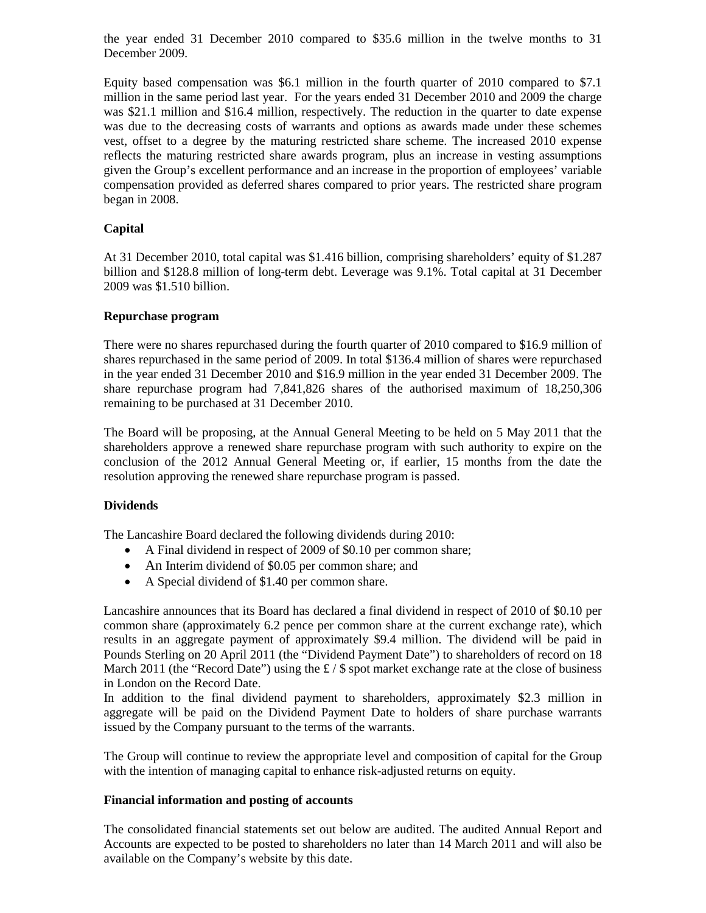the year ended 31 December 2010 compared to \$35.6 million in the twelve months to 31 December 2009.

Equity based compensation was \$6.1 million in the fourth quarter of 2010 compared to \$7.1 million in the same period last year. For the years ended 31 December 2010 and 2009 the charge was \$21.1 million and \$16.4 million, respectively. The reduction in the quarter to date expense was due to the decreasing costs of warrants and options as awards made under these schemes vest, offset to a degree by the maturing restricted share scheme. The increased 2010 expense reflects the maturing restricted share awards program, plus an increase in vesting assumptions given the Group's excellent performance and an increase in the proportion of employees' variable compensation provided as deferred shares compared to prior years. The restricted share program began in 2008.

## **Capital**

At 31 December 2010, total capital was \$1.416 billion, comprising shareholders' equity of \$1.287 billion and \$128.8 million of long-term debt. Leverage was 9.1%. Total capital at 31 December 2009 was \$1.510 billion.

## **Repurchase program**

There were no shares repurchased during the fourth quarter of 2010 compared to \$16.9 million of shares repurchased in the same period of 2009. In total \$136.4 million of shares were repurchased in the year ended 31 December 2010 and \$16.9 million in the year ended 31 December 2009. The share repurchase program had 7,841,826 shares of the authorised maximum of 18,250,306 remaining to be purchased at 31 December 2010.

The Board will be proposing, at the Annual General Meeting to be held on 5 May 2011 that the shareholders approve a renewed share repurchase program with such authority to expire on the conclusion of the 2012 Annual General Meeting or, if earlier, 15 months from the date the resolution approving the renewed share repurchase program is passed.

## **Dividends**

The Lancashire Board declared the following dividends during 2010:

- A Final dividend in respect of 2009 of \$0.10 per common share;
- An Interim dividend of \$0.05 per common share; and
- A Special dividend of \$1.40 per common share.

Lancashire announces that its Board has declared a final dividend in respect of 2010 of \$0.10 per common share (approximately 6.2 pence per common share at the current exchange rate), which results in an aggregate payment of approximately \$9.4 million. The dividend will be paid in Pounds Sterling on 20 April 2011 (the "Dividend Payment Date") to shareholders of record on 18 March 2011 (the "Record Date") using the £ / \$ spot market exchange rate at the close of business in London on the Record Date.

In addition to the final dividend payment to shareholders, approximately \$2.3 million in aggregate will be paid on the Dividend Payment Date to holders of share purchase warrants issued by the Company pursuant to the terms of the warrants.

The Group will continue to review the appropriate level and composition of capital for the Group with the intention of managing capital to enhance risk-adjusted returns on equity.

#### **Financial information and posting of accounts**

The consolidated financial statements set out below are audited. The audited Annual Report and Accounts are expected to be posted to shareholders no later than 14 March 2011 and will also be available on the Company's website by this date.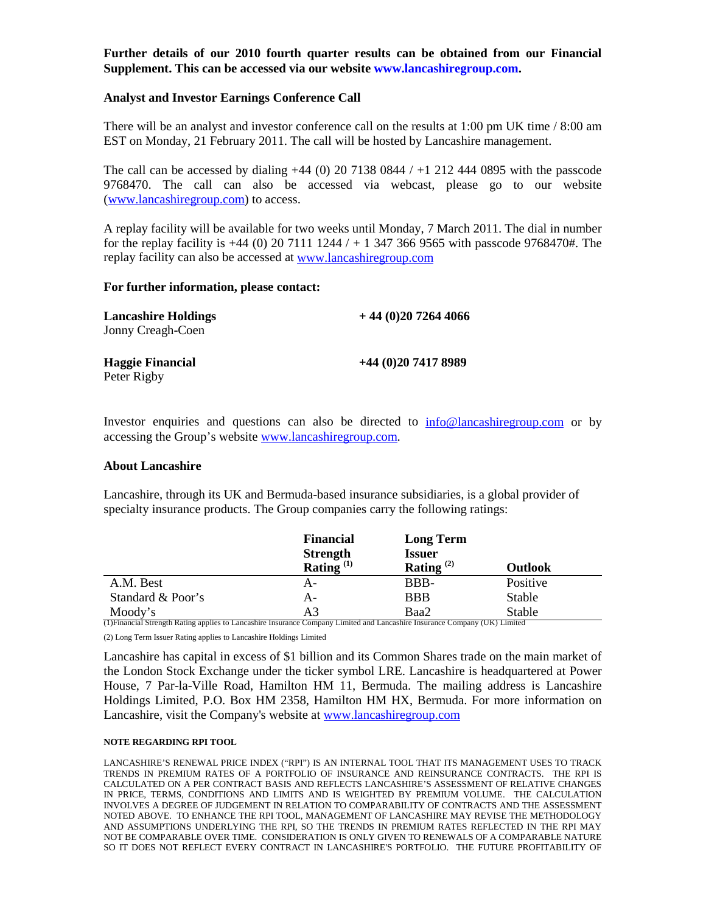## **Further details of our 2010 fourth quarter results can be obtained from our Financial Supplement. This can be accessed via our website www.lancashiregroup.com.**

#### **Analyst and Investor Earnings Conference Call**

There will be an analyst and investor conference call on the results at 1:00 pm UK time / 8:00 am EST on Monday, 21 February 2011. The call will be hosted by Lancashire management.

The call can be accessed by dialing  $+44$  (0) 20 7138 0844 /  $+1$  212 444 0895 with the passcode 9768470. The call can also be accessed via webcast, please go to our website [\(www.lancashiregroup.com\)](http://www.lancashiregroup.com/) to access.

A replay facility will be available for two weeks until Monday, 7 March 2011. The dial in number for the replay facility is  $+44$  (0) 20 7111 1244 /  $+$  1 347 366 9565 with passcode 9768470#. The replay facility can also be accessed a[t www.lancashiregroup.com](http://www.lancashiregroup.com/)

#### **For further information, please contact:**

| <b>Lancashire Holdings</b><br>Jonny Creagh-Coen | $+44(0)2072644066$ |
|-------------------------------------------------|--------------------|
| <b>Haggie Financial</b><br>Peter Rigby          | $+44(0)2074178989$ |

Investor enquiries and questions can also be directed to [info@lancashiregroup.com](mailto:info@lancashiregroup.com) or by accessing the Group's website [www.lancashiregroup.com.](http://www.lancashiregroup.com/)

#### **About Lancashire**

Lancashire, through its UK and Bermuda-based insurance subsidiaries, is a global provider of specialty insurance products. The Group companies carry the following ratings:

|                                                                                                                             | <b>Financial</b> | <b>Long Term</b> |                |
|-----------------------------------------------------------------------------------------------------------------------------|------------------|------------------|----------------|
|                                                                                                                             | <b>Strength</b>  | <b>Issuer</b>    |                |
|                                                                                                                             | Rating $^{(1)}$  | Rating $^{(2)}$  | <b>Outlook</b> |
| A.M. Best                                                                                                                   | А-               | BBB-             | Positive       |
| Standard & Poor's                                                                                                           | А-               | <b>BBB</b>       | Stable         |
| Moody's                                                                                                                     | A3               | Baa2             | Stable         |
| (1) Financial Strength Rating applies to Lancashire Insurance Company Limited and Lancashire Insurance Company (UK) Limited |                  |                  |                |

(2) Long Term Issuer Rating applies to Lancashire Holdings Limited

Lancashire has capital in excess of \$1 billion and its Common Shares trade on the main market of the London Stock Exchange under the ticker symbol LRE. Lancashire is headquartered at Power House, 7 Par-la-Ville Road, Hamilton HM 11, Bermuda. The mailing address is Lancashire Holdings Limited, P.O. Box HM 2358, Hamilton HM HX, Bermuda. For more information on Lancashire, visit the Company's website at [www.lancashiregroup.com](http://www.lancashiregroup.com/)

#### **NOTE REGARDING RPI TOOL**

LANCASHIRE'S RENEWAL PRICE INDEX ("RPI") IS AN INTERNAL TOOL THAT ITS MANAGEMENT USES TO TRACK TRENDS IN PREMIUM RATES OF A PORTFOLIO OF INSURANCE AND REINSURANCE CONTRACTS. THE RPI IS CALCULATED ON A PER CONTRACT BASIS AND REFLECTS LANCASHIRE'S ASSESSMENT OF RELATIVE CHANGES IN PRICE, TERMS, CONDITIONS AND LIMITS AND IS WEIGHTED BY PREMIUM VOLUME. THE CALCULATION INVOLVES A DEGREE OF JUDGEMENT IN RELATION TO COMPARABILITY OF CONTRACTS AND THE ASSESSMENT NOTED ABOVE. TO ENHANCE THE RPI TOOL, MANAGEMENT OF LANCASHIRE MAY REVISE THE METHODOLOGY AND ASSUMPTIONS UNDERLYING THE RPI, SO THE TRENDS IN PREMIUM RATES REFLECTED IN THE RPI MAY NOT BE COMPARABLE OVER TIME. CONSIDERATION IS ONLY GIVEN TO RENEWALS OF A COMPARABLE NATURE SO IT DOES NOT REFLECT EVERY CONTRACT IN LANCASHIRE'S PORTFOLIO. THE FUTURE PROFITABILITY OF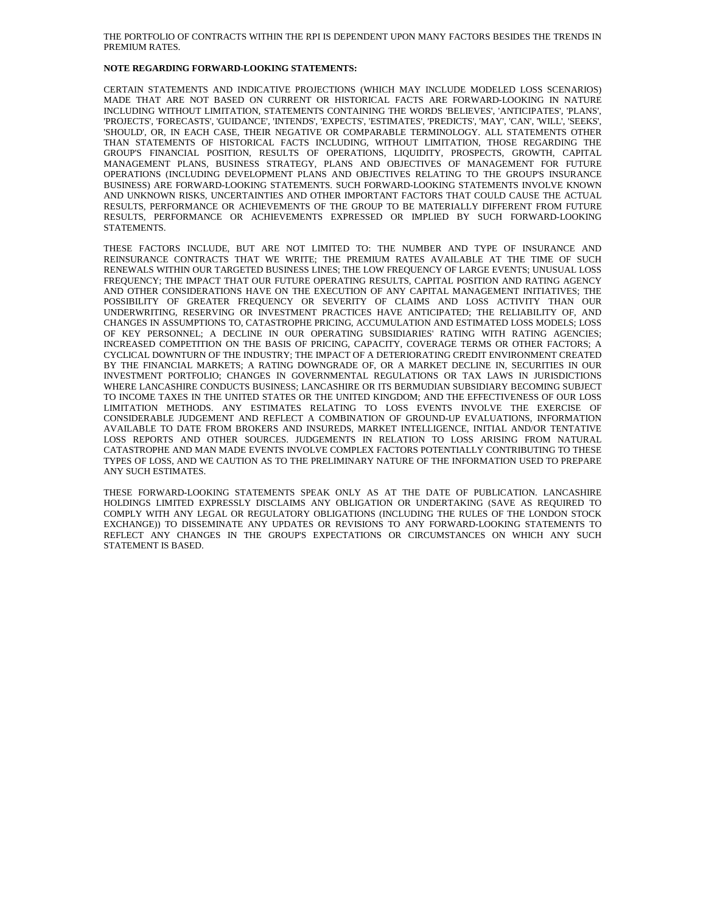#### THE PORTFOLIO OF CONTRACTS WITHIN THE RPI IS DEPENDENT UPON MANY FACTORS BESIDES THE TRENDS IN PREMIUM RATES.

#### **NOTE REGARDING FORWARD-LOOKING STATEMENTS:**

CERTAIN STATEMENTS AND INDICATIVE PROJECTIONS (WHICH MAY INCLUDE MODELED LOSS SCENARIOS) MADE THAT ARE NOT BASED ON CURRENT OR HISTORICAL FACTS ARE FORWARD-LOOKING IN NATURE INCLUDING WITHOUT LIMITATION, STATEMENTS CONTAINING THE WORDS 'BELIEVES', 'ANTICIPATES', 'PLANS', 'PROJECTS', 'FORECASTS', 'GUIDANCE', 'INTENDS', 'EXPECTS', 'ESTIMATES', 'PREDICTS', 'MAY', 'CAN', 'WILL', 'SEEKS', 'SHOULD', OR, IN EACH CASE, THEIR NEGATIVE OR COMPARABLE TERMINOLOGY. ALL STATEMENTS OTHER THAN STATEMENTS OF HISTORICAL FACTS INCLUDING, WITHOUT LIMITATION, THOSE REGARDING THE GROUP'S FINANCIAL POSITION, RESULTS OF OPERATIONS, LIQUIDITY, PROSPECTS, GROWTH, CAPITAL MANAGEMENT PLANS, BUSINESS STRATEGY, PLANS AND OBJECTIVES OF MANAGEMENT FOR FUTURE OPERATIONS (INCLUDING DEVELOPMENT PLANS AND OBJECTIVES RELATING TO THE GROUP'S INSURANCE BUSINESS) ARE FORWARD-LOOKING STATEMENTS. SUCH FORWARD-LOOKING STATEMENTS INVOLVE KNOWN AND UNKNOWN RISKS, UNCERTAINTIES AND OTHER IMPORTANT FACTORS THAT COULD CAUSE THE ACTUAL RESULTS, PERFORMANCE OR ACHIEVEMENTS OF THE GROUP TO BE MATERIALLY DIFFERENT FROM FUTURE RESULTS, PERFORMANCE OR ACHIEVEMENTS EXPRESSED OR IMPLIED BY SUCH FORWARD-LOOKING STATEMENTS.

THESE FACTORS INCLUDE, BUT ARE NOT LIMITED TO: THE NUMBER AND TYPE OF INSURANCE AND REINSURANCE CONTRACTS THAT WE WRITE; THE PREMIUM RATES AVAILABLE AT THE TIME OF SUCH RENEWALS WITHIN OUR TARGETED BUSINESS LINES; THE LOW FREQUENCY OF LARGE EVENTS; UNUSUAL LOSS FREQUENCY; THE IMPACT THAT OUR FUTURE OPERATING RESULTS, CAPITAL POSITION AND RATING AGENCY AND OTHER CONSIDERATIONS HAVE ON THE EXECUTION OF ANY CAPITAL MANAGEMENT INITIATIVES; THE POSSIBILITY OF GREATER FREQUENCY OR SEVERITY OF CLAIMS AND LOSS ACTIVITY THAN OUR UNDERWRITING, RESERVING OR INVESTMENT PRACTICES HAVE ANTICIPATED; THE RELIABILITY OF, AND CHANGES IN ASSUMPTIONS TO, CATASTROPHE PRICING, ACCUMULATION AND ESTIMATED LOSS MODELS; LOSS OF KEY PERSONNEL; A DECLINE IN OUR OPERATING SUBSIDIARIES' RATING WITH RATING AGENCIES; INCREASED COMPETITION ON THE BASIS OF PRICING, CAPACITY, COVERAGE TERMS OR OTHER FACTORS; A CYCLICAL DOWNTURN OF THE INDUSTRY; THE IMPACT OF A DETERIORATING CREDIT ENVIRONMENT CREATED BY THE FINANCIAL MARKETS; A RATING DOWNGRADE OF, OR A MARKET DECLINE IN, SECURITIES IN OUR INVESTMENT PORTFOLIO; CHANGES IN GOVERNMENTAL REGULATIONS OR TAX LAWS IN JURISDICTIONS WHERE LANCASHIRE CONDUCTS BUSINESS; LANCASHIRE OR ITS BERMUDIAN SUBSIDIARY BECOMING SUBJECT TO INCOME TAXES IN THE UNITED STATES OR THE UNITED KINGDOM; AND THE EFFECTIVENESS OF OUR LOSS LIMITATION METHODS. ANY ESTIMATES RELATING TO LOSS EVENTS INVOLVE THE EXERCISE OF CONSIDERABLE JUDGEMENT AND REFLECT A COMBINATION OF GROUND-UP EVALUATIONS, INFORMATION AVAILABLE TO DATE FROM BROKERS AND INSUREDS, MARKET INTELLIGENCE, INITIAL AND/OR TENTATIVE LOSS REPORTS AND OTHER SOURCES. JUDGEMENTS IN RELATION TO LOSS ARISING FROM NATURAL CATASTROPHE AND MAN MADE EVENTS INVOLVE COMPLEX FACTORS POTENTIALLY CONTRIBUTING TO THESE TYPES OF LOSS, AND WE CAUTION AS TO THE PRELIMINARY NATURE OF THE INFORMATION USED TO PREPARE ANY SUCH ESTIMATES.

THESE FORWARD-LOOKING STATEMENTS SPEAK ONLY AS AT THE DATE OF PUBLICATION. LANCASHIRE HOLDINGS LIMITED EXPRESSLY DISCLAIMS ANY OBLIGATION OR UNDERTAKING (SAVE AS REQUIRED TO COMPLY WITH ANY LEGAL OR REGULATORY OBLIGATIONS (INCLUDING THE RULES OF THE LONDON STOCK EXCHANGE)) TO DISSEMINATE ANY UPDATES OR REVISIONS TO ANY FORWARD-LOOKING STATEMENTS TO REFLECT ANY CHANGES IN THE GROUP'S EXPECTATIONS OR CIRCUMSTANCES ON WHICH ANY SUCH STATEMENT IS BASED.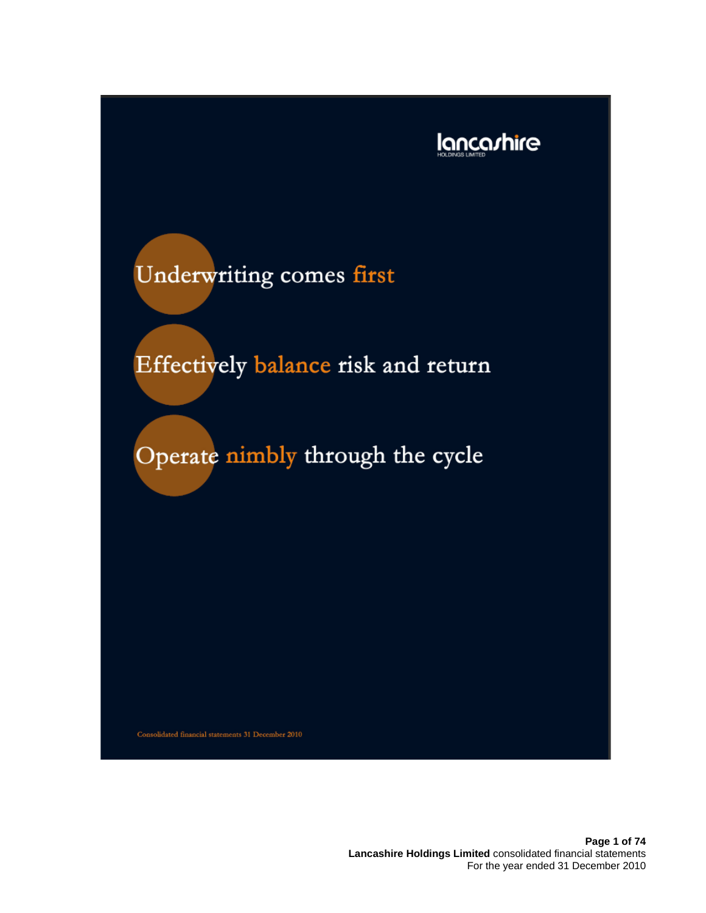

# Underwriting comes first

Effectively balance risk and return

Operate nimbly through the cycle

Consolidated financial statements 31 December 2010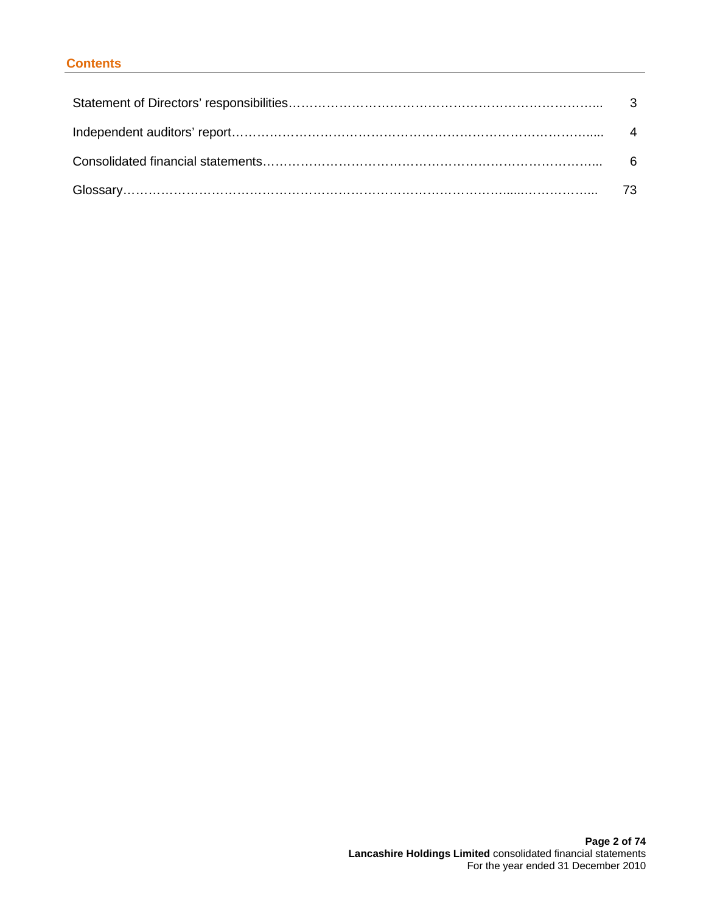## **Contents**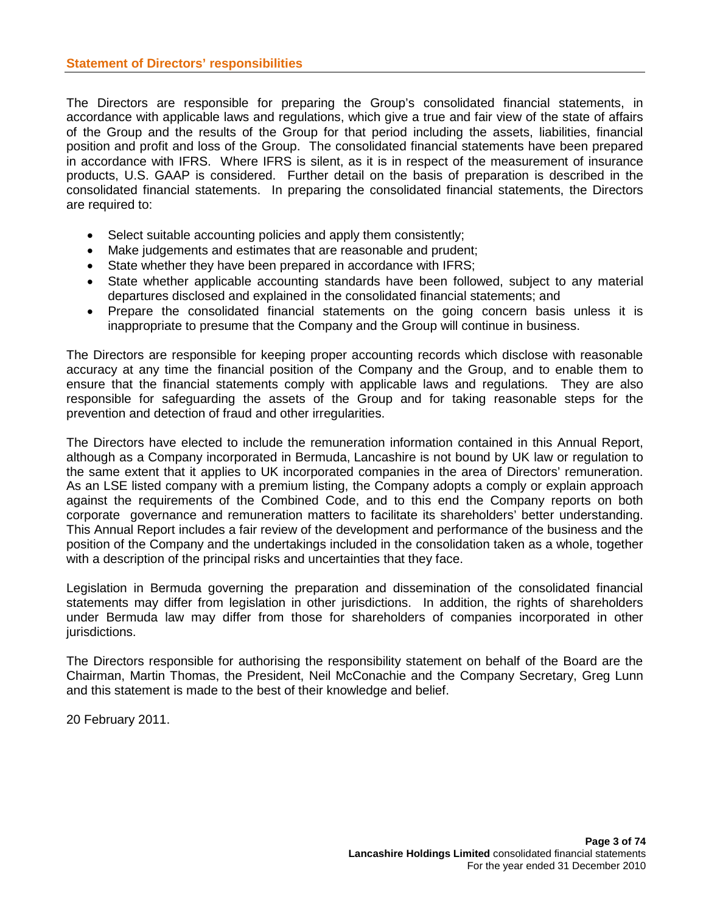The Directors are responsible for preparing the Group's consolidated financial statements, in accordance with applicable laws and regulations, which give a true and fair view of the state of affairs of the Group and the results of the Group for that period including the assets, liabilities, financial position and profit and loss of the Group. The consolidated financial statements have been prepared in accordance with IFRS. Where IFRS is silent, as it is in respect of the measurement of insurance products, U.S. GAAP is considered. Further detail on the basis of preparation is described in the consolidated financial statements. In preparing the consolidated financial statements, the Directors are required to:

- Select suitable accounting policies and apply them consistently;
- Make judgements and estimates that are reasonable and prudent;
- State whether they have been prepared in accordance with IFRS;
- State whether applicable accounting standards have been followed, subject to any material departures disclosed and explained in the consolidated financial statements; and
- Prepare the consolidated financial statements on the going concern basis unless it is inappropriate to presume that the Company and the Group will continue in business.

The Directors are responsible for keeping proper accounting records which disclose with reasonable accuracy at any time the financial position of the Company and the Group, and to enable them to ensure that the financial statements comply with applicable laws and regulations. They are also responsible for safeguarding the assets of the Group and for taking reasonable steps for the prevention and detection of fraud and other irregularities.

The Directors have elected to include the remuneration information contained in this Annual Report, although as a Company incorporated in Bermuda, Lancashire is not bound by UK law or regulation to the same extent that it applies to UK incorporated companies in the area of Directors' remuneration. As an LSE listed company with a premium listing, the Company adopts a comply or explain approach against the requirements of the Combined Code, and to this end the Company reports on both corporate governance and remuneration matters to facilitate its shareholders' better understanding. This Annual Report includes a fair review of the development and performance of the business and the position of the Company and the undertakings included in the consolidation taken as a whole, together with a description of the principal risks and uncertainties that they face.

Legislation in Bermuda governing the preparation and dissemination of the consolidated financial statements may differ from legislation in other jurisdictions. In addition, the rights of shareholders under Bermuda law may differ from those for shareholders of companies incorporated in other jurisdictions.

The Directors responsible for authorising the responsibility statement on behalf of the Board are the Chairman, Martin Thomas, the President, Neil McConachie and the Company Secretary, Greg Lunn and this statement is made to the best of their knowledge and belief.

20 February 2011.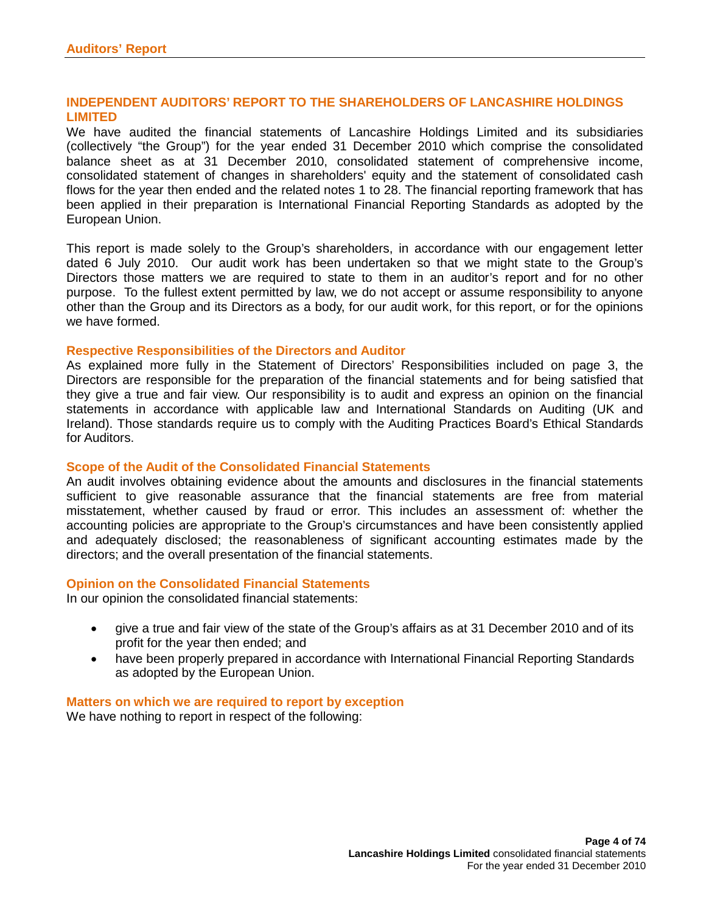## **INDEPENDENT AUDITORS' REPORT TO THE SHAREHOLDERS OF LANCASHIRE HOLDINGS LIMITED**

We have audited the financial statements of Lancashire Holdings Limited and its subsidiaries (collectively "the Group") for the year ended 31 December 2010 which comprise the consolidated balance sheet as at 31 December 2010, consolidated statement of comprehensive income, consolidated statement of changes in shareholders' equity and the statement of consolidated cash flows for the year then ended and the related notes 1 to 28. The financial reporting framework that has been applied in their preparation is International Financial Reporting Standards as adopted by the European Union.

This report is made solely to the Group's shareholders, in accordance with our engagement letter dated 6 July 2010. Our audit work has been undertaken so that we might state to the Group's Directors those matters we are required to state to them in an auditor's report and for no other purpose. To the fullest extent permitted by law, we do not accept or assume responsibility to anyone other than the Group and its Directors as a body, for our audit work, for this report, or for the opinions we have formed.

#### **Respective Responsibilities of the Directors and Auditor**

As explained more fully in the Statement of Directors' Responsibilities included on page 3, the Directors are responsible for the preparation of the financial statements and for being satisfied that they give a true and fair view. Our responsibility is to audit and express an opinion on the financial statements in accordance with applicable law and International Standards on Auditing (UK and Ireland). Those standards require us to comply with the Auditing Practices Board's Ethical Standards for Auditors.

#### **Scope of the Audit of the Consolidated Financial Statements**

An audit involves obtaining evidence about the amounts and disclosures in the financial statements sufficient to give reasonable assurance that the financial statements are free from material misstatement, whether caused by fraud or error. This includes an assessment of: whether the accounting policies are appropriate to the Group's circumstances and have been consistently applied and adequately disclosed; the reasonableness of significant accounting estimates made by the directors; and the overall presentation of the financial statements.

## **Opinion on the Consolidated Financial Statements**

In our opinion the consolidated financial statements:

- give a true and fair view of the state of the Group's affairs as at 31 December 2010 and of its profit for the year then ended; and
- have been properly prepared in accordance with International Financial Reporting Standards as adopted by the European Union.

#### **Matters on which we are required to report by exception** We have nothing to report in respect of the following: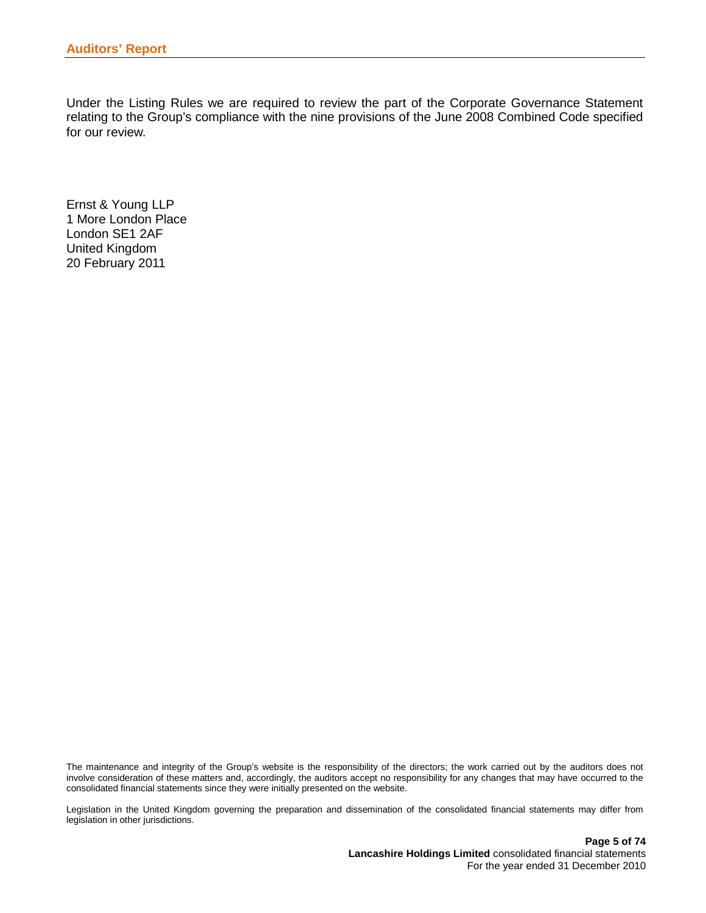Under the Listing Rules we are required to review the part of the Corporate Governance Statement relating to the Group's compliance with the nine provisions of the June 2008 Combined Code specified for our review.

Ernst & Young LLP 1 More London Place London SE1 2AF United Kingdom 20 February 2011

The maintenance and integrity of the Group's website is the responsibility of the directors; the work carried out by the auditors does not involve consideration of these matters and, accordingly, the auditors accept no responsibility for any changes that may have occurred to the consolidated financial statements since they were initially presented on the website.

Legislation in the United Kingdom governing the preparation and dissemination of the consolidated financial statements may differ from legislation in other jurisdictions.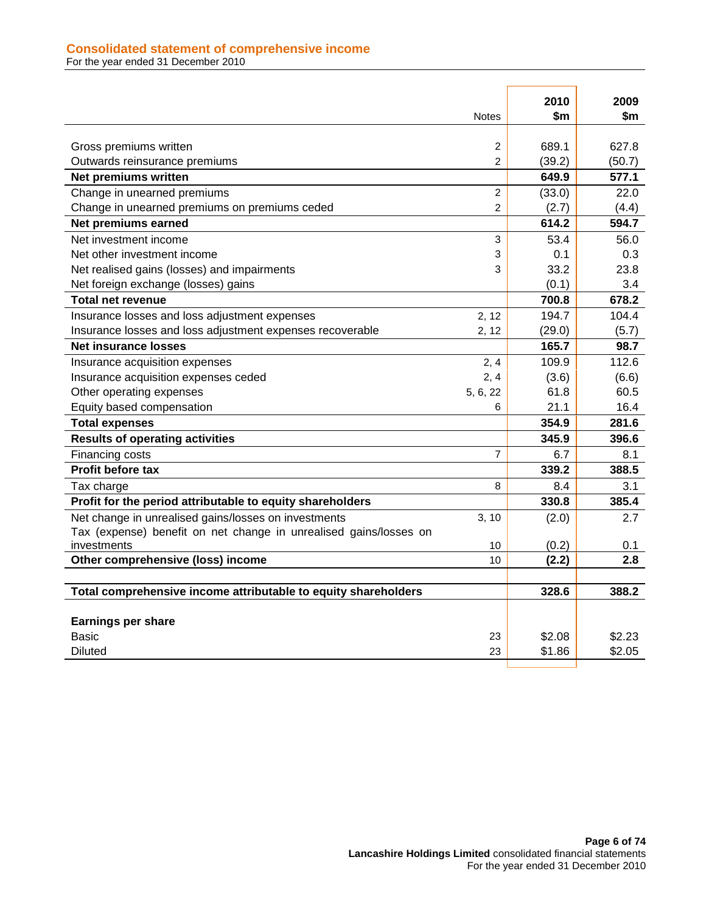## **Consolidated statement of comprehensive income**

For the year ended 31 December 2010

|                                                                   | <b>Notes</b>   | 2010<br>\$m | 2009<br>\$m |
|-------------------------------------------------------------------|----------------|-------------|-------------|
|                                                                   |                |             |             |
| Gross premiums written                                            | 2              | 689.1       | 627.8       |
| Outwards reinsurance premiums                                     | 2              | (39.2)      | (50.7)      |
| Net premiums written                                              |                | 649.9       | 577.1       |
| Change in unearned premiums                                       | 2              | (33.0)      | 22.0        |
| Change in unearned premiums on premiums ceded                     | 2              | (2.7)       | (4.4)       |
| Net premiums earned                                               |                | 614.2       | 594.7       |
| Net investment income                                             | 3              | 53.4        | 56.0        |
| Net other investment income                                       | 3              | 0.1         | 0.3         |
| Net realised gains (losses) and impairments                       | 3              | 33.2        | 23.8        |
| Net foreign exchange (losses) gains                               |                | (0.1)       | 3.4         |
| <b>Total net revenue</b>                                          |                | 700.8       | 678.2       |
| Insurance losses and loss adjustment expenses                     | 2, 12          | 194.7       | 104.4       |
| Insurance losses and loss adjustment expenses recoverable         | 2, 12          | (29.0)      | (5.7)       |
| <b>Net insurance losses</b>                                       |                | 165.7       | 98.7        |
| Insurance acquisition expenses                                    | 2, 4           | 109.9       | 112.6       |
| Insurance acquisition expenses ceded                              | 2, 4           | (3.6)       | (6.6)       |
| Other operating expenses                                          | 5, 6, 22       | 61.8        | 60.5        |
| Equity based compensation                                         | 6              | 21.1        | 16.4        |
| <b>Total expenses</b>                                             |                | 354.9       | 281.6       |
| <b>Results of operating activities</b>                            |                | 345.9       | 396.6       |
| Financing costs                                                   | $\overline{7}$ | 6.7         | 8.1         |
| Profit before tax                                                 |                | 339.2       | 388.5       |
| Tax charge                                                        | 8              | 8.4         | 3.1         |
| Profit for the period attributable to equity shareholders         |                | 330.8       | 385.4       |
| Net change in unrealised gains/losses on investments              | 3, 10          | (2.0)       | 2.7         |
| Tax (expense) benefit on net change in unrealised gains/losses on |                |             |             |
| investments                                                       | 10             | (0.2)       | 0.1         |
| Other comprehensive (loss) income                                 | 10             | (2.2)       | 2.8         |
|                                                                   |                |             |             |
| Total comprehensive income attributable to equity shareholders    |                | 328.6       | 388.2       |
| <b>Earnings per share</b>                                         |                |             |             |
| <b>Basic</b>                                                      | 23             | \$2.08      | \$2.23      |
| <b>Diluted</b>                                                    | 23             | \$1.86      | \$2.05      |
|                                                                   |                |             |             |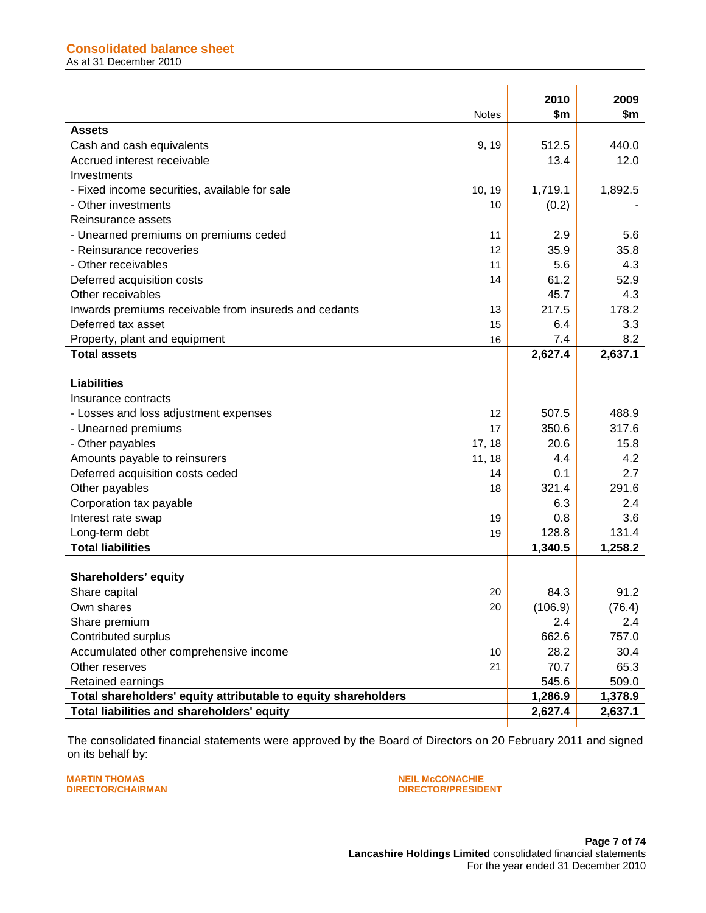|                                                                | <b>Notes</b> | 2010<br>\$m | 2009<br>\$m |
|----------------------------------------------------------------|--------------|-------------|-------------|
| Assets                                                         |              |             |             |
| Cash and cash equivalents                                      | 9, 19        | 512.5       | 440.0       |
| Accrued interest receivable                                    |              | 13.4        | 12.0        |
| Investments                                                    |              |             |             |
| - Fixed income securities, available for sale                  | 10, 19       | 1,719.1     | 1,892.5     |
| - Other investments                                            | 10           | (0.2)       |             |
| Reinsurance assets                                             |              |             |             |
| - Unearned premiums on premiums ceded                          | 11           | 2.9         | 5.6         |
| - Reinsurance recoveries                                       | 12           | 35.9        | 35.8        |
| - Other receivables                                            | 11           | 5.6         | 4.3         |
| Deferred acquisition costs                                     | 14           | 61.2        | 52.9        |
| Other receivables                                              |              | 45.7        | 4.3         |
| Inwards premiums receivable from insureds and cedants          | 13           | 217.5       | 178.2       |
| Deferred tax asset                                             | 15           | 6.4         | 3.3         |
| Property, plant and equipment                                  | 16           | 7.4         | 8.2         |
| <b>Total assets</b>                                            |              | 2,627.4     | 2,637.1     |
|                                                                |              |             |             |
| <b>Liabilities</b>                                             |              |             |             |
| Insurance contracts                                            |              |             |             |
| - Losses and loss adjustment expenses                          | 12           | 507.5       | 488.9       |
| - Unearned premiums                                            | 17           | 350.6       | 317.6       |
| - Other payables                                               | 17, 18       | 20.6        | 15.8        |
| Amounts payable to reinsurers                                  | 11, 18       | 4.4         | 4.2         |
| Deferred acquisition costs ceded                               | 14           | 0.1         | 2.7         |
| Other payables                                                 | 18           | 321.4       | 291.6       |
| Corporation tax payable                                        |              | 6.3         | 2.4         |
| Interest rate swap                                             | 19           | 0.8         | 3.6         |
| Long-term debt                                                 | 19           | 128.8       | 131.4       |
| <b>Total liabilities</b>                                       |              | 1,340.5     | 1,258.2     |
|                                                                |              |             |             |
| Shareholders' equity                                           |              |             |             |
| Share capital                                                  | 20           | 84.3        | 91.2        |
| Own shares                                                     | 20           | (106.9)     | (76.4)      |
| Share premium                                                  |              | 2.4         | 2.4         |
| Contributed surplus                                            |              | 662.6       | 757.0       |
| Accumulated other comprehensive income                         | 10           | 28.2        | 30.4        |
| Other reserves                                                 | 21           | 70.7        | 65.3        |
| Retained earnings                                              |              | 545.6       | 509.0       |
| Total shareholders' equity attributable to equity shareholders |              | 1,286.9     | 1,378.9     |
| Total liabilities and shareholders' equity                     |              | 2,627.4     | 2,637.1     |
|                                                                |              |             |             |

The consolidated financial statements were approved by the Board of Directors on 20 February 2011 and signed on its behalf by:

**MARTIN THOMAS NEIL McCONACHIE**

## **DIRECTOR/PRESIDENT**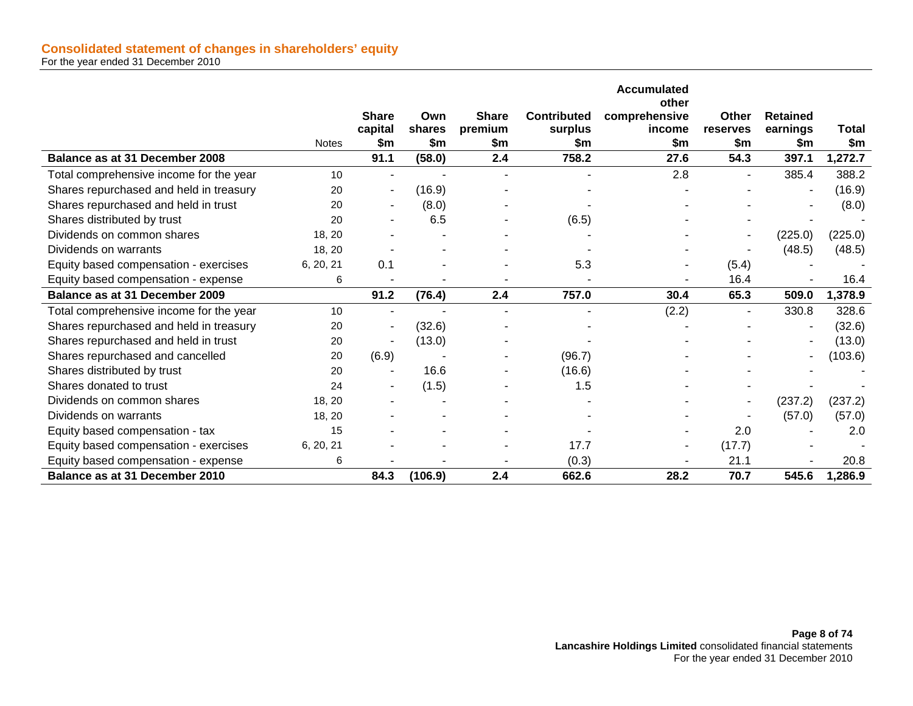|                                         |              |                          |               |                         |                               | <b>Accumulated</b>      |                   |                             |              |
|-----------------------------------------|--------------|--------------------------|---------------|-------------------------|-------------------------------|-------------------------|-------------------|-----------------------------|--------------|
|                                         |              |                          |               |                         |                               | other                   |                   |                             |              |
|                                         |              | <b>Share</b><br>capital  | Own<br>shares | <b>Share</b><br>premium | <b>Contributed</b><br>surplus | comprehensive<br>income | Other<br>reserves | <b>Retained</b><br>earnings | <b>Total</b> |
|                                         | <b>Notes</b> | \$m                      | \$m\$         | \$m                     | \$m                           | \$m                     | \$m               | \$m                         | \$m\$        |
| Balance as at 31 December 2008          |              | 91.1                     | (58.0)        | 2.4                     | 758.2                         | 27.6                    | 54.3              | 397.1                       | 1,272.7      |
| Total comprehensive income for the year | 10           |                          |               | ۰                       | $\blacksquare$                | 2.8                     | $\blacksquare$    | 385.4                       | 388.2        |
| Shares repurchased and held in treasury | 20           |                          | (16.9)        |                         |                               |                         |                   |                             | (16.9)       |
| Shares repurchased and held in trust    | 20           | $\overline{\phantom{a}}$ | (8.0)         |                         |                               |                         |                   |                             | (8.0)        |
| Shares distributed by trust             | 20           |                          | 6.5           |                         | (6.5)                         |                         |                   |                             |              |
| Dividends on common shares              | 18, 20       |                          |               |                         |                               |                         |                   | (225.0)                     | (225.0)      |
| Dividends on warrants                   | 18, 20       |                          |               |                         |                               |                         |                   | (48.5)                      | (48.5)       |
| Equity based compensation - exercises   | 6, 20, 21    | 0.1                      |               |                         | 5.3                           |                         | (5.4)             |                             |              |
| Equity based compensation - expense     | 6            |                          |               |                         |                               |                         | 16.4              |                             | 16.4         |
| Balance as at 31 December 2009          |              | 91.2                     | (76.4)        | 2.4                     | 757.0                         | 30.4                    | 65.3              | 509.0                       | 1,378.9      |
| Total comprehensive income for the year | 10           |                          |               |                         |                               | (2.2)                   |                   | 330.8                       | 328.6        |
| Shares repurchased and held in treasury | 20           |                          | (32.6)        |                         |                               |                         |                   |                             | (32.6)       |
| Shares repurchased and held in trust    | 20           |                          | (13.0)        |                         |                               |                         |                   |                             | (13.0)       |
| Shares repurchased and cancelled        | 20           | (6.9)                    |               |                         | (96.7)                        |                         |                   | $\overline{a}$              | (103.6)      |
| Shares distributed by trust             | 20           |                          | 16.6          |                         | (16.6)                        |                         |                   |                             |              |
| Shares donated to trust                 | 24           |                          | (1.5)         |                         | 1.5                           |                         |                   |                             |              |
| Dividends on common shares              | 18, 20       |                          |               |                         |                               |                         |                   | (237.2)                     | (237.2)      |
| Dividends on warrants                   | 18, 20       |                          |               |                         |                               |                         |                   | (57.0)                      | (57.0)       |
| Equity based compensation - tax         | 15           |                          |               |                         |                               |                         | 2.0               |                             | 2.0          |
| Equity based compensation - exercises   | 6, 20, 21    |                          |               |                         | 17.7                          | ٠                       | (17.7)            |                             |              |
| Equity based compensation - expense     | 6            |                          |               |                         | (0.3)                         |                         | 21.1              |                             | 20.8         |
| Balance as at 31 December 2010          |              | 84.3                     | (106.9)       | 2.4                     | 662.6                         | 28.2                    | 70.7              | 545.6                       | 1,286.9      |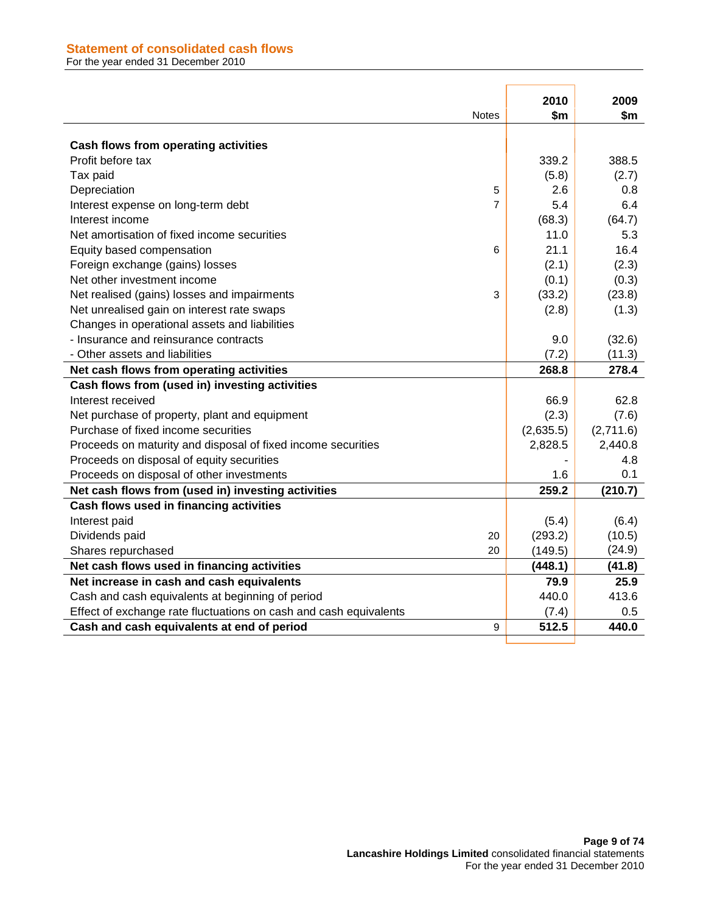## **Statement of consolidated cash flows**

For the year ended 31 December 2010

|                                                                   | <b>Notes</b>   | 2010<br>\$m | 2009<br>\$m |
|-------------------------------------------------------------------|----------------|-------------|-------------|
| Cash flows from operating activities                              |                |             |             |
| Profit before tax                                                 |                | 339.2       | 388.5       |
| Tax paid                                                          |                | (5.8)       | (2.7)       |
| Depreciation                                                      | 5              | 2.6         | 0.8         |
| Interest expense on long-term debt                                | $\overline{7}$ | 5.4         | 6.4         |
| Interest income                                                   |                | (68.3)      | (64.7)      |
| Net amortisation of fixed income securities                       |                | 11.0        | 5.3         |
| Equity based compensation                                         | 6              | 21.1        | 16.4        |
| Foreign exchange (gains) losses                                   |                | (2.1)       | (2.3)       |
| Net other investment income                                       |                | (0.1)       | (0.3)       |
| Net realised (gains) losses and impairments                       | 3              | (33.2)      | (23.8)      |
| Net unrealised gain on interest rate swaps                        |                | (2.8)       | (1.3)       |
| Changes in operational assets and liabilities                     |                |             |             |
| - Insurance and reinsurance contracts                             |                | 9.0         | (32.6)      |
| - Other assets and liabilities                                    |                | (7.2)       | (11.3)      |
| Net cash flows from operating activities                          |                | 268.8       | 278.4       |
| Cash flows from (used in) investing activities                    |                |             |             |
| Interest received                                                 |                | 66.9        | 62.8        |
| Net purchase of property, plant and equipment                     |                | (2.3)       | (7.6)       |
| Purchase of fixed income securities                               |                | (2,635.5)   | (2,711.6)   |
| Proceeds on maturity and disposal of fixed income securities      |                | 2,828.5     | 2,440.8     |
| Proceeds on disposal of equity securities                         |                |             | 4.8         |
| Proceeds on disposal of other investments                         |                | 1.6         | 0.1         |
| Net cash flows from (used in) investing activities                |                | 259.2       | (210.7)     |
| Cash flows used in financing activities                           |                |             |             |
| Interest paid                                                     |                | (5.4)       | (6.4)       |
| Dividends paid                                                    | 20             | (293.2)     | (10.5)      |
| Shares repurchased                                                | 20             | (149.5)     | (24.9)      |
| Net cash flows used in financing activities                       |                | (448.1)     | (41.8)      |
| Net increase in cash and cash equivalents                         |                | 79.9        | 25.9        |
| Cash and cash equivalents at beginning of period                  |                | 440.0       | 413.6       |
| Effect of exchange rate fluctuations on cash and cash equivalents |                | (7.4)       | 0.5         |
| Cash and cash equivalents at end of period                        | 9              | 512.5       | 440.0       |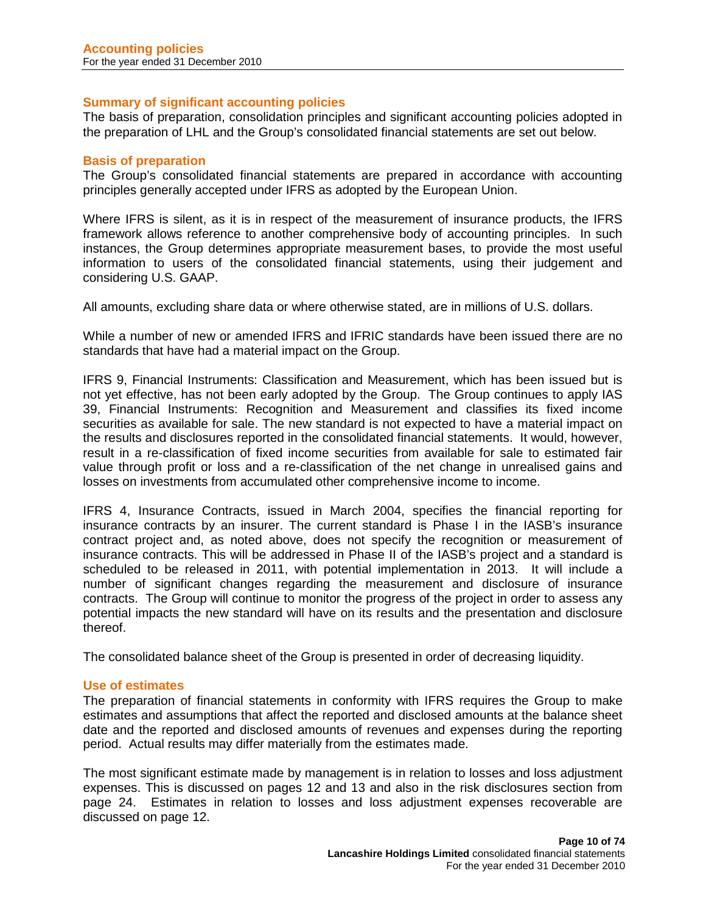## **Summary of significant accounting policies**

The basis of preparation, consolidation principles and significant accounting policies adopted in the preparation of LHL and the Group's consolidated financial statements are set out below.

## **Basis of preparation**

The Group's consolidated financial statements are prepared in accordance with accounting principles generally accepted under IFRS as adopted by the European Union.

Where IFRS is silent, as it is in respect of the measurement of insurance products, the IFRS framework allows reference to another comprehensive body of accounting principles. In such instances, the Group determines appropriate measurement bases, to provide the most useful information to users of the consolidated financial statements, using their judgement and considering U.S. GAAP.

All amounts, excluding share data or where otherwise stated, are in millions of U.S. dollars.

While a number of new or amended IFRS and IFRIC standards have been issued there are no standards that have had a material impact on the Group.

IFRS 9, Financial Instruments: Classification and Measurement, which has been issued but is not yet effective, has not been early adopted by the Group. The Group continues to apply IAS 39, Financial Instruments: Recognition and Measurement and classifies its fixed income securities as available for sale. The new standard is not expected to have a material impact on the results and disclosures reported in the consolidated financial statements. It would, however, result in a re-classification of fixed income securities from available for sale to estimated fair value through profit or loss and a re-classification of the net change in unrealised gains and losses on investments from accumulated other comprehensive income to income.

IFRS 4, Insurance Contracts, issued in March 2004, specifies the financial reporting for insurance contracts by an insurer. The current standard is Phase I in the IASB's insurance contract project and, as noted above, does not specify the recognition or measurement of insurance contracts. This will be addressed in Phase II of the IASB's project and a standard is scheduled to be released in 2011, with potential implementation in 2013. It will include a number of significant changes regarding the measurement and disclosure of insurance contracts. The Group will continue to monitor the progress of the project in order to assess any potential impacts the new standard will have on its results and the presentation and disclosure thereof.

The consolidated balance sheet of the Group is presented in order of decreasing liquidity.

## **Use of estimates**

The preparation of financial statements in conformity with IFRS requires the Group to make estimates and assumptions that affect the reported and disclosed amounts at the balance sheet date and the reported and disclosed amounts of revenues and expenses during the reporting period. Actual results may differ materially from the estimates made.

The most significant estimate made by management is in relation to losses and loss adjustment expenses. This is discussed on pages 12 and 13 and also in the risk disclosures section from page 24. Estimates in relation to losses and loss adjustment expenses recoverable are discussed on page 12.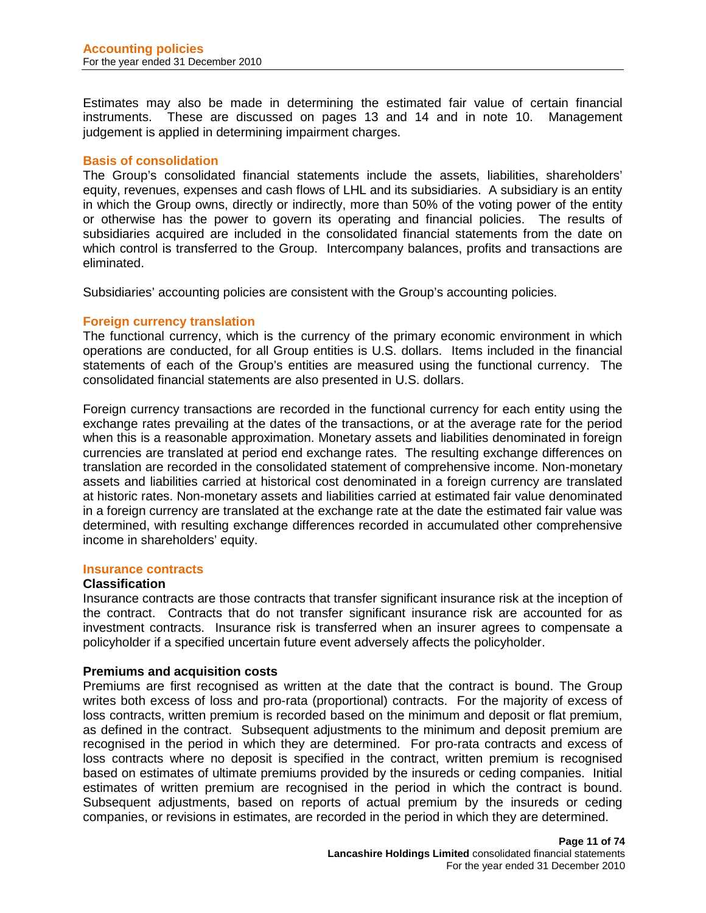Estimates may also be made in determining the estimated fair value of certain financial instruments. These are discussed on pages 13 and 14 and in note 10. Management judgement is applied in determining impairment charges.

## **Basis of consolidation**

The Group's consolidated financial statements include the assets, liabilities, shareholders' equity, revenues, expenses and cash flows of LHL and its subsidiaries. A subsidiary is an entity in which the Group owns, directly or indirectly, more than 50% of the voting power of the entity or otherwise has the power to govern its operating and financial policies. The results of subsidiaries acquired are included in the consolidated financial statements from the date on which control is transferred to the Group. Intercompany balances, profits and transactions are eliminated.

Subsidiaries' accounting policies are consistent with the Group's accounting policies.

## **Foreign currency translation**

The functional currency, which is the currency of the primary economic environment in which operations are conducted, for all Group entities is U.S. dollars. Items included in the financial statements of each of the Group's entities are measured using the functional currency. The consolidated financial statements are also presented in U.S. dollars.

Foreign currency transactions are recorded in the functional currency for each entity using the exchange rates prevailing at the dates of the transactions, or at the average rate for the period when this is a reasonable approximation. Monetary assets and liabilities denominated in foreign currencies are translated at period end exchange rates. The resulting exchange differences on translation are recorded in the consolidated statement of comprehensive income. Non-monetary assets and liabilities carried at historical cost denominated in a foreign currency are translated at historic rates. Non-monetary assets and liabilities carried at estimated fair value denominated in a foreign currency are translated at the exchange rate at the date the estimated fair value was determined, with resulting exchange differences recorded in accumulated other comprehensive income in shareholders' equity.

#### **Insurance contracts**

## **Classification**

Insurance contracts are those contracts that transfer significant insurance risk at the inception of the contract. Contracts that do not transfer significant insurance risk are accounted for as investment contracts. Insurance risk is transferred when an insurer agrees to compensate a policyholder if a specified uncertain future event adversely affects the policyholder.

#### **Premiums and acquisition costs**

Premiums are first recognised as written at the date that the contract is bound. The Group writes both excess of loss and pro-rata (proportional) contracts. For the majority of excess of loss contracts, written premium is recorded based on the minimum and deposit or flat premium, as defined in the contract. Subsequent adjustments to the minimum and deposit premium are recognised in the period in which they are determined. For pro-rata contracts and excess of loss contracts where no deposit is specified in the contract, written premium is recognised based on estimates of ultimate premiums provided by the insureds or ceding companies. Initial estimates of written premium are recognised in the period in which the contract is bound. Subsequent adjustments, based on reports of actual premium by the insureds or ceding companies, or revisions in estimates, are recorded in the period in which they are determined.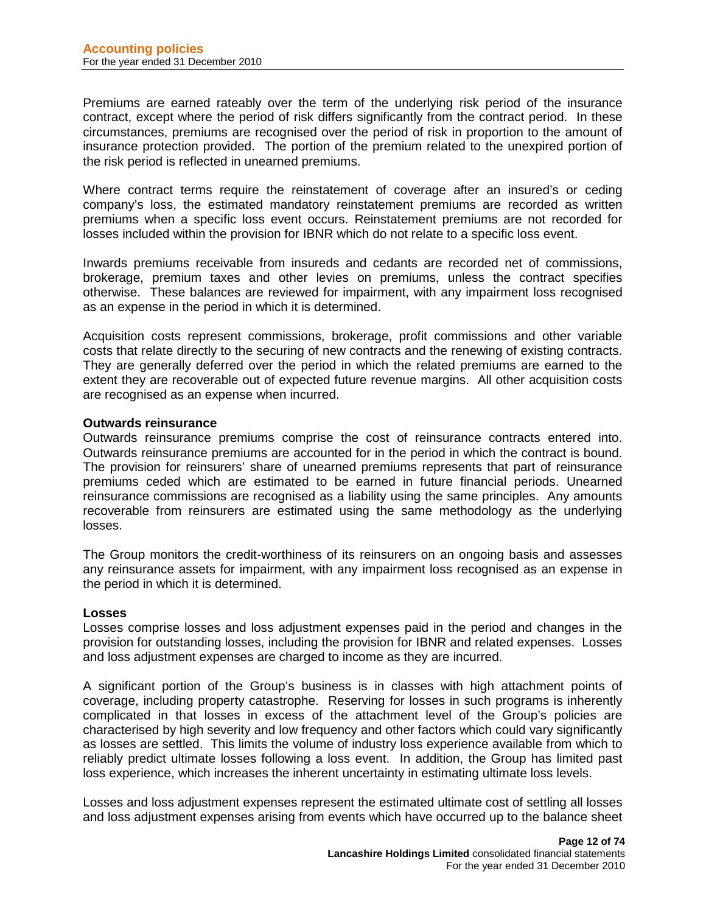Premiums are earned rateably over the term of the underlying risk period of the insurance contract, except where the period of risk differs significantly from the contract period. In these circumstances, premiums are recognised over the period of risk in proportion to the amount of insurance protection provided. The portion of the premium related to the unexpired portion of the risk period is reflected in unearned premiums.

Where contract terms require the reinstatement of coverage after an insured's or ceding company's loss, the estimated mandatory reinstatement premiums are recorded as written premiums when a specific loss event occurs. Reinstatement premiums are not recorded for losses included within the provision for IBNR which do not relate to a specific loss event.

Inwards premiums receivable from insureds and cedants are recorded net of commissions, brokerage, premium taxes and other levies on premiums, unless the contract specifies otherwise. These balances are reviewed for impairment, with any impairment loss recognised as an expense in the period in which it is determined.

Acquisition costs represent commissions, brokerage, profit commissions and other variable costs that relate directly to the securing of new contracts and the renewing of existing contracts. They are generally deferred over the period in which the related premiums are earned to the extent they are recoverable out of expected future revenue margins. All other acquisition costs are recognised as an expense when incurred.

## **Outwards reinsurance**

Outwards reinsurance premiums comprise the cost of reinsurance contracts entered into. Outwards reinsurance premiums are accounted for in the period in which the contract is bound. The provision for reinsurers' share of unearned premiums represents that part of reinsurance premiums ceded which are estimated to be earned in future financial periods. Unearned reinsurance commissions are recognised as a liability using the same principles. Any amounts recoverable from reinsurers are estimated using the same methodology as the underlying losses.

The Group monitors the credit-worthiness of its reinsurers on an ongoing basis and assesses any reinsurance assets for impairment, with any impairment loss recognised as an expense in the period in which it is determined.

## **Losses**

Losses comprise losses and loss adjustment expenses paid in the period and changes in the provision for outstanding losses, including the provision for IBNR and related expenses. Losses and loss adjustment expenses are charged to income as they are incurred.

A significant portion of the Group's business is in classes with high attachment points of coverage, including property catastrophe. Reserving for losses in such programs is inherently complicated in that losses in excess of the attachment level of the Group's policies are characterised by high severity and low frequency and other factors which could vary significantly as losses are settled. This limits the volume of industry loss experience available from which to reliably predict ultimate losses following a loss event. In addition, the Group has limited past loss experience, which increases the inherent uncertainty in estimating ultimate loss levels.

Losses and loss adjustment expenses represent the estimated ultimate cost of settling all losses and loss adjustment expenses arising from events which have occurred up to the balance sheet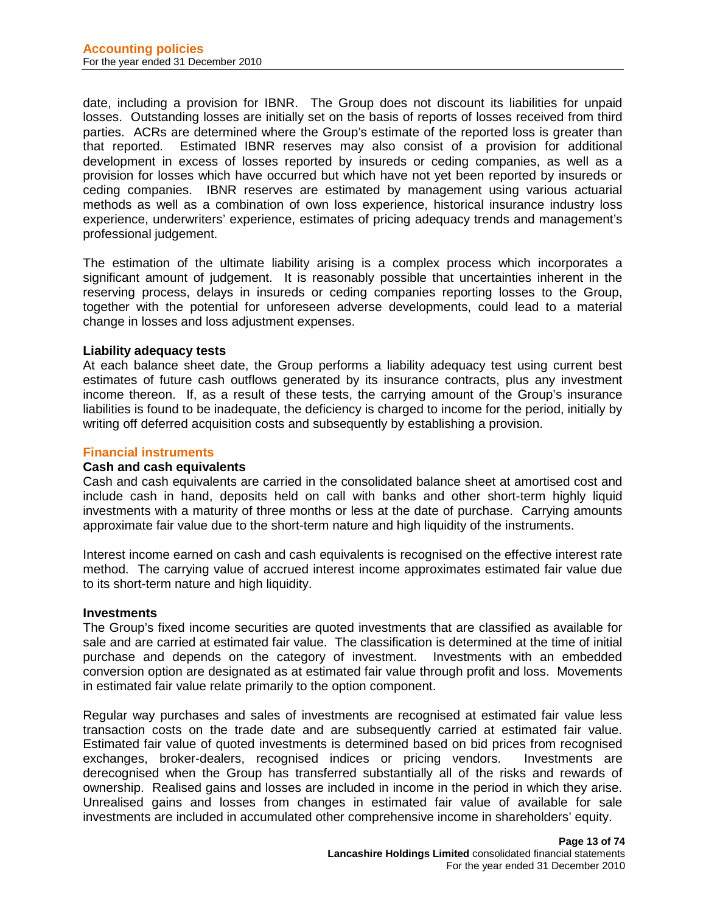date, including a provision for IBNR. The Group does not discount its liabilities for unpaid losses. Outstanding losses are initially set on the basis of reports of losses received from third parties. ACRs are determined where the Group's estimate of the reported loss is greater than that reported. Estimated IBNR reserves may also consist of a provision for additional development in excess of losses reported by insureds or ceding companies, as well as a provision for losses which have occurred but which have not yet been reported by insureds or ceding companies. IBNR reserves are estimated by management using various actuarial methods as well as a combination of own loss experience, historical insurance industry loss experience, underwriters' experience, estimates of pricing adequacy trends and management's professional judgement.

The estimation of the ultimate liability arising is a complex process which incorporates a significant amount of judgement. It is reasonably possible that uncertainties inherent in the reserving process, delays in insureds or ceding companies reporting losses to the Group, together with the potential for unforeseen adverse developments, could lead to a material change in losses and loss adjustment expenses.

## **Liability adequacy tests**

At each balance sheet date, the Group performs a liability adequacy test using current best estimates of future cash outflows generated by its insurance contracts, plus any investment income thereon. If, as a result of these tests, the carrying amount of the Group's insurance liabilities is found to be inadequate, the deficiency is charged to income for the period, initially by writing off deferred acquisition costs and subsequently by establishing a provision.

## **Financial instruments**

#### **Cash and cash equivalents**

Cash and cash equivalents are carried in the consolidated balance sheet at amortised cost and include cash in hand, deposits held on call with banks and other short-term highly liquid investments with a maturity of three months or less at the date of purchase. Carrying amounts approximate fair value due to the short-term nature and high liquidity of the instruments.

Interest income earned on cash and cash equivalents is recognised on the effective interest rate method. The carrying value of accrued interest income approximates estimated fair value due to its short-term nature and high liquidity.

#### **Investments**

The Group's fixed income securities are quoted investments that are classified as available for sale and are carried at estimated fair value. The classification is determined at the time of initial purchase and depends on the category of investment. Investments with an embedded conversion option are designated as at estimated fair value through profit and loss. Movements in estimated fair value relate primarily to the option component.

Regular way purchases and sales of investments are recognised at estimated fair value less transaction costs on the trade date and are subsequently carried at estimated fair value. Estimated fair value of quoted investments is determined based on bid prices from recognised exchanges, broker-dealers, recognised indices or pricing vendors. Investments are derecognised when the Group has transferred substantially all of the risks and rewards of ownership. Realised gains and losses are included in income in the period in which they arise. Unrealised gains and losses from changes in estimated fair value of available for sale investments are included in accumulated other comprehensive income in shareholders' equity.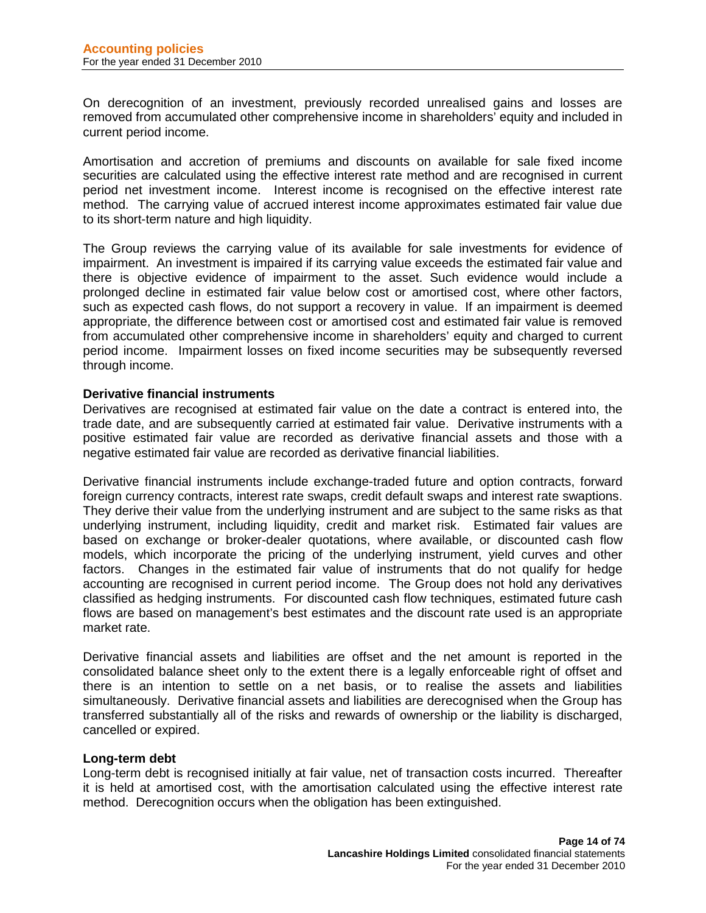On derecognition of an investment, previously recorded unrealised gains and losses are removed from accumulated other comprehensive income in shareholders' equity and included in current period income.

Amortisation and accretion of premiums and discounts on available for sale fixed income securities are calculated using the effective interest rate method and are recognised in current period net investment income. Interest income is recognised on the effective interest rate method. The carrying value of accrued interest income approximates estimated fair value due to its short-term nature and high liquidity.

The Group reviews the carrying value of its available for sale investments for evidence of impairment. An investment is impaired if its carrying value exceeds the estimated fair value and there is objective evidence of impairment to the asset. Such evidence would include a prolonged decline in estimated fair value below cost or amortised cost, where other factors, such as expected cash flows, do not support a recovery in value. If an impairment is deemed appropriate, the difference between cost or amortised cost and estimated fair value is removed from accumulated other comprehensive income in shareholders' equity and charged to current period income. Impairment losses on fixed income securities may be subsequently reversed through income.

## **Derivative financial instruments**

Derivatives are recognised at estimated fair value on the date a contract is entered into, the trade date, and are subsequently carried at estimated fair value. Derivative instruments with a positive estimated fair value are recorded as derivative financial assets and those with a negative estimated fair value are recorded as derivative financial liabilities.

Derivative financial instruments include exchange-traded future and option contracts, forward foreign currency contracts, interest rate swaps, credit default swaps and interest rate swaptions. They derive their value from the underlying instrument and are subject to the same risks as that underlying instrument, including liquidity, credit and market risk. Estimated fair values are based on exchange or broker-dealer quotations, where available, or discounted cash flow models, which incorporate the pricing of the underlying instrument, yield curves and other factors. Changes in the estimated fair value of instruments that do not qualify for hedge accounting are recognised in current period income. The Group does not hold any derivatives classified as hedging instruments. For discounted cash flow techniques, estimated future cash flows are based on management's best estimates and the discount rate used is an appropriate market rate.

Derivative financial assets and liabilities are offset and the net amount is reported in the consolidated balance sheet only to the extent there is a legally enforceable right of offset and there is an intention to settle on a net basis, or to realise the assets and liabilities simultaneously. Derivative financial assets and liabilities are derecognised when the Group has transferred substantially all of the risks and rewards of ownership or the liability is discharged, cancelled or expired.

## **Long-term debt**

Long-term debt is recognised initially at fair value, net of transaction costs incurred. Thereafter it is held at amortised cost, with the amortisation calculated using the effective interest rate method. Derecognition occurs when the obligation has been extinguished.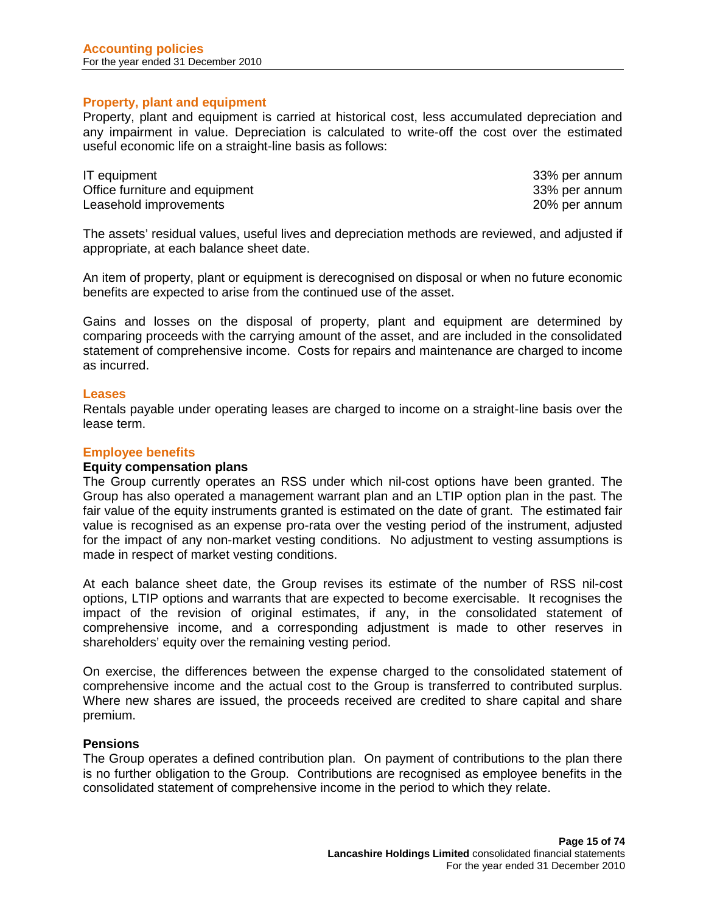## **Property, plant and equipment**

Property, plant and equipment is carried at historical cost, less accumulated depreciation and any impairment in value. Depreciation is calculated to write-off the cost over the estimated useful economic life on a straight-line basis as follows:

| IT equipment                   | 33% per annum |
|--------------------------------|---------------|
| Office furniture and equipment | 33% per annum |
| Leasehold improvements         | 20% per annum |

The assets' residual values, useful lives and depreciation methods are reviewed, and adjusted if appropriate, at each balance sheet date.

An item of property, plant or equipment is derecognised on disposal or when no future economic benefits are expected to arise from the continued use of the asset.

Gains and losses on the disposal of property, plant and equipment are determined by comparing proceeds with the carrying amount of the asset, and are included in the consolidated statement of comprehensive income. Costs for repairs and maintenance are charged to income as incurred.

#### **Leases**

Rentals payable under operating leases are charged to income on a straight-line basis over the lease term.

## **Employee benefits**

#### **Equity compensation plans**

The Group currently operates an RSS under which nil-cost options have been granted. The Group has also operated a management warrant plan and an LTIP option plan in the past. The fair value of the equity instruments granted is estimated on the date of grant. The estimated fair value is recognised as an expense pro-rata over the vesting period of the instrument, adjusted for the impact of any non-market vesting conditions. No adjustment to vesting assumptions is made in respect of market vesting conditions.

At each balance sheet date, the Group revises its estimate of the number of RSS nil-cost options, LTIP options and warrants that are expected to become exercisable. It recognises the impact of the revision of original estimates, if any, in the consolidated statement of comprehensive income, and a corresponding adjustment is made to other reserves in shareholders' equity over the remaining vesting period.

On exercise, the differences between the expense charged to the consolidated statement of comprehensive income and the actual cost to the Group is transferred to contributed surplus. Where new shares are issued, the proceeds received are credited to share capital and share premium.

### **Pensions**

The Group operates a defined contribution plan. On payment of contributions to the plan there is no further obligation to the Group. Contributions are recognised as employee benefits in the consolidated statement of comprehensive income in the period to which they relate.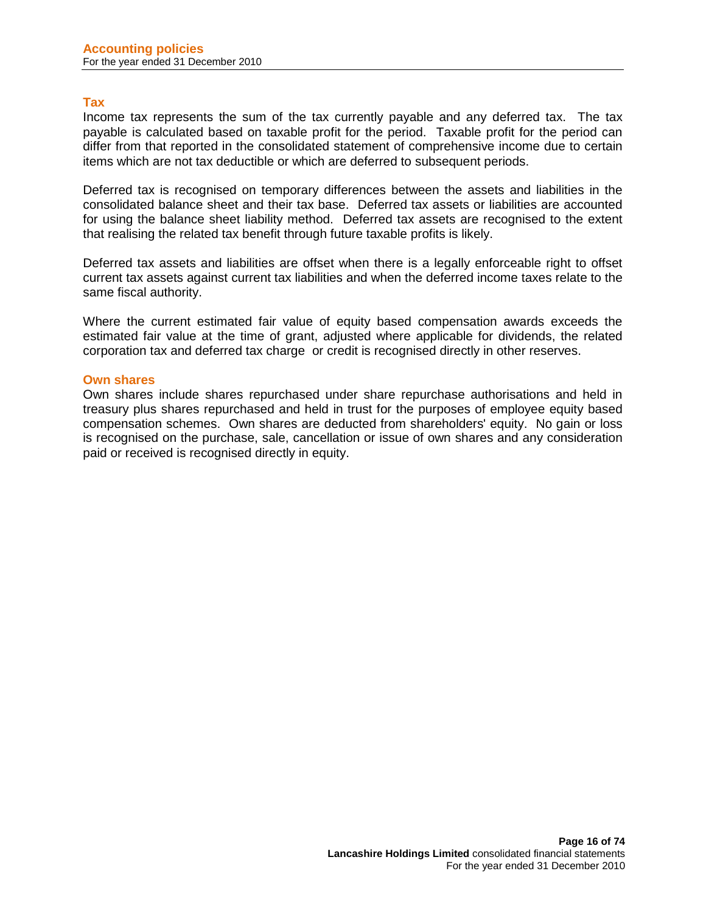## **Tax**

Income tax represents the sum of the tax currently payable and any deferred tax. The tax payable is calculated based on taxable profit for the period. Taxable profit for the period can differ from that reported in the consolidated statement of comprehensive income due to certain items which are not tax deductible or which are deferred to subsequent periods.

Deferred tax is recognised on temporary differences between the assets and liabilities in the consolidated balance sheet and their tax base. Deferred tax assets or liabilities are accounted for using the balance sheet liability method. Deferred tax assets are recognised to the extent that realising the related tax benefit through future taxable profits is likely.

Deferred tax assets and liabilities are offset when there is a legally enforceable right to offset current tax assets against current tax liabilities and when the deferred income taxes relate to the same fiscal authority.

Where the current estimated fair value of equity based compensation awards exceeds the estimated fair value at the time of grant, adjusted where applicable for dividends, the related corporation tax and deferred tax charge or credit is recognised directly in other reserves.

## **Own shares**

Own shares include shares repurchased under share repurchase authorisations and held in treasury plus shares repurchased and held in trust for the purposes of employee equity based compensation schemes. Own shares are deducted from shareholders' equity. No gain or loss is recognised on the purchase, sale, cancellation or issue of own shares and any consideration paid or received is recognised directly in equity.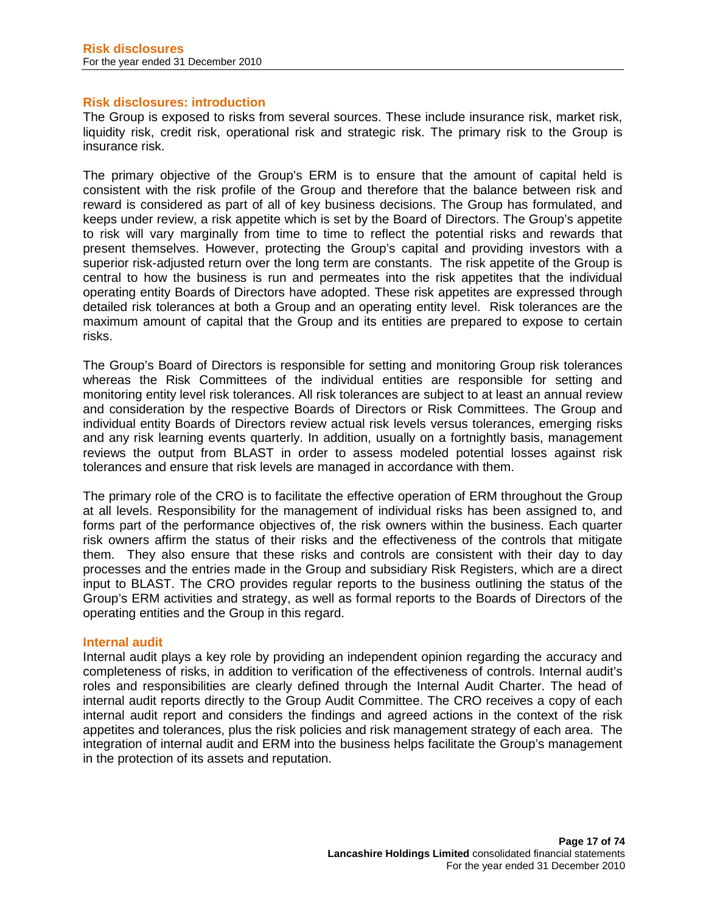## **Risk disclosures: introduction**

The Group is exposed to risks from several sources. These include insurance risk, market risk, liquidity risk, credit risk, operational risk and strategic risk. The primary risk to the Group is insurance risk.

The primary objective of the Group's ERM is to ensure that the amount of capital held is consistent with the risk profile of the Group and therefore that the balance between risk and reward is considered as part of all of key business decisions. The Group has formulated, and keeps under review, a risk appetite which is set by the Board of Directors. The Group's appetite to risk will vary marginally from time to time to reflect the potential risks and rewards that present themselves. However, protecting the Group's capital and providing investors with a superior risk-adjusted return over the long term are constants. The risk appetite of the Group is central to how the business is run and permeates into the risk appetites that the individual operating entity Boards of Directors have adopted. These risk appetites are expressed through detailed risk tolerances at both a Group and an operating entity level. Risk tolerances are the maximum amount of capital that the Group and its entities are prepared to expose to certain risks.

The Group's Board of Directors is responsible for setting and monitoring Group risk tolerances whereas the Risk Committees of the individual entities are responsible for setting and monitoring entity level risk tolerances. All risk tolerances are subject to at least an annual review and consideration by the respective Boards of Directors or Risk Committees. The Group and individual entity Boards of Directors review actual risk levels versus tolerances, emerging risks and any risk learning events quarterly. In addition, usually on a fortnightly basis, management reviews the output from BLAST in order to assess modeled potential losses against risk tolerances and ensure that risk levels are managed in accordance with them.

The primary role of the CRO is to facilitate the effective operation of ERM throughout the Group at all levels. Responsibility for the management of individual risks has been assigned to, and forms part of the performance objectives of, the risk owners within the business. Each quarter risk owners affirm the status of their risks and the effectiveness of the controls that mitigate them. They also ensure that these risks and controls are consistent with their day to day processes and the entries made in the Group and subsidiary Risk Registers, which are a direct input to BLAST. The CRO provides regular reports to the business outlining the status of the Group's ERM activities and strategy, as well as formal reports to the Boards of Directors of the operating entities and the Group in this regard.

## **Internal audit**

Internal audit plays a key role by providing an independent opinion regarding the accuracy and completeness of risks, in addition to verification of the effectiveness of controls. Internal audit's roles and responsibilities are clearly defined through the Internal Audit Charter. The head of internal audit reports directly to the Group Audit Committee. The CRO receives a copy of each internal audit report and considers the findings and agreed actions in the context of the risk appetites and tolerances, plus the risk policies and risk management strategy of each area. The integration of internal audit and ERM into the business helps facilitate the Group's management in the protection of its assets and reputation.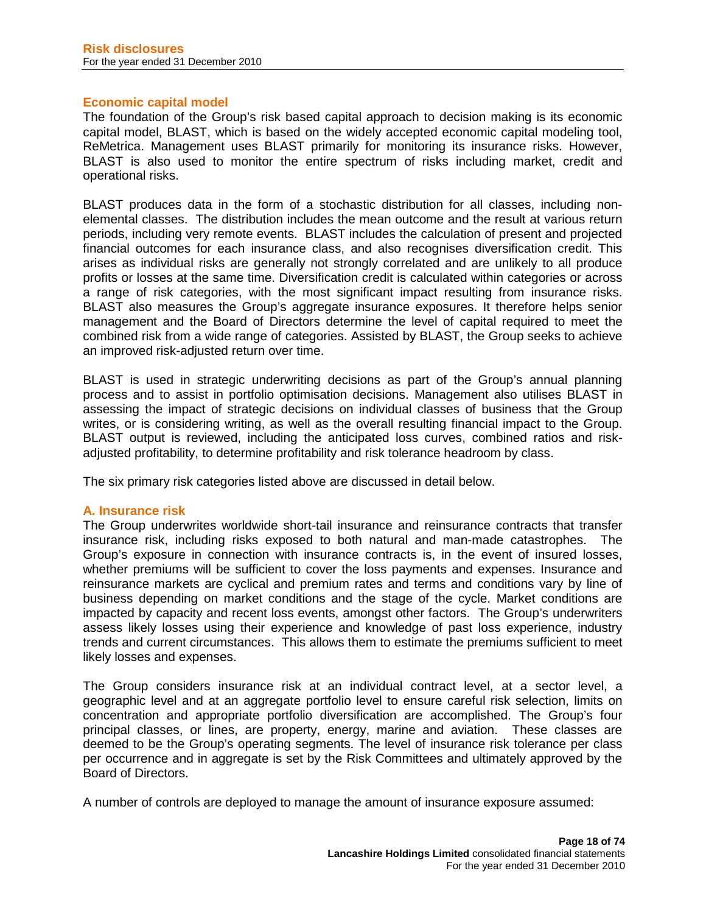## **Economic capital model**

The foundation of the Group's risk based capital approach to decision making is its economic capital model, BLAST, which is based on the widely accepted economic capital modeling tool, ReMetrica. Management uses BLAST primarily for monitoring its insurance risks. However, BLAST is also used to monitor the entire spectrum of risks including market, credit and operational risks.

BLAST produces data in the form of a stochastic distribution for all classes, including nonelemental classes. The distribution includes the mean outcome and the result at various return periods, including very remote events. BLAST includes the calculation of present and projected financial outcomes for each insurance class, and also recognises diversification credit. This arises as individual risks are generally not strongly correlated and are unlikely to all produce profits or losses at the same time. Diversification credit is calculated within categories or across a range of risk categories, with the most significant impact resulting from insurance risks. BLAST also measures the Group's aggregate insurance exposures. It therefore helps senior management and the Board of Directors determine the level of capital required to meet the combined risk from a wide range of categories. Assisted by BLAST, the Group seeks to achieve an improved risk-adjusted return over time.

BLAST is used in strategic underwriting decisions as part of the Group's annual planning process and to assist in portfolio optimisation decisions. Management also utilises BLAST in assessing the impact of strategic decisions on individual classes of business that the Group writes, or is considering writing, as well as the overall resulting financial impact to the Group. BLAST output is reviewed, including the anticipated loss curves, combined ratios and riskadjusted profitability, to determine profitability and risk tolerance headroom by class.

The six primary risk categories listed above are discussed in detail below.

## **A. Insurance risk**

The Group underwrites worldwide short-tail insurance and reinsurance contracts that transfer insurance risk, including risks exposed to both natural and man-made catastrophes. The Group's exposure in connection with insurance contracts is, in the event of insured losses, whether premiums will be sufficient to cover the loss payments and expenses. Insurance and reinsurance markets are cyclical and premium rates and terms and conditions vary by line of business depending on market conditions and the stage of the cycle. Market conditions are impacted by capacity and recent loss events, amongst other factors. The Group's underwriters assess likely losses using their experience and knowledge of past loss experience, industry trends and current circumstances. This allows them to estimate the premiums sufficient to meet likely losses and expenses.

The Group considers insurance risk at an individual contract level, at a sector level, a geographic level and at an aggregate portfolio level to ensure careful risk selection, limits on concentration and appropriate portfolio diversification are accomplished. The Group's four principal classes, or lines, are property, energy, marine and aviation. These classes are deemed to be the Group's operating segments. The level of insurance risk tolerance per class per occurrence and in aggregate is set by the Risk Committees and ultimately approved by the Board of Directors.

A number of controls are deployed to manage the amount of insurance exposure assumed: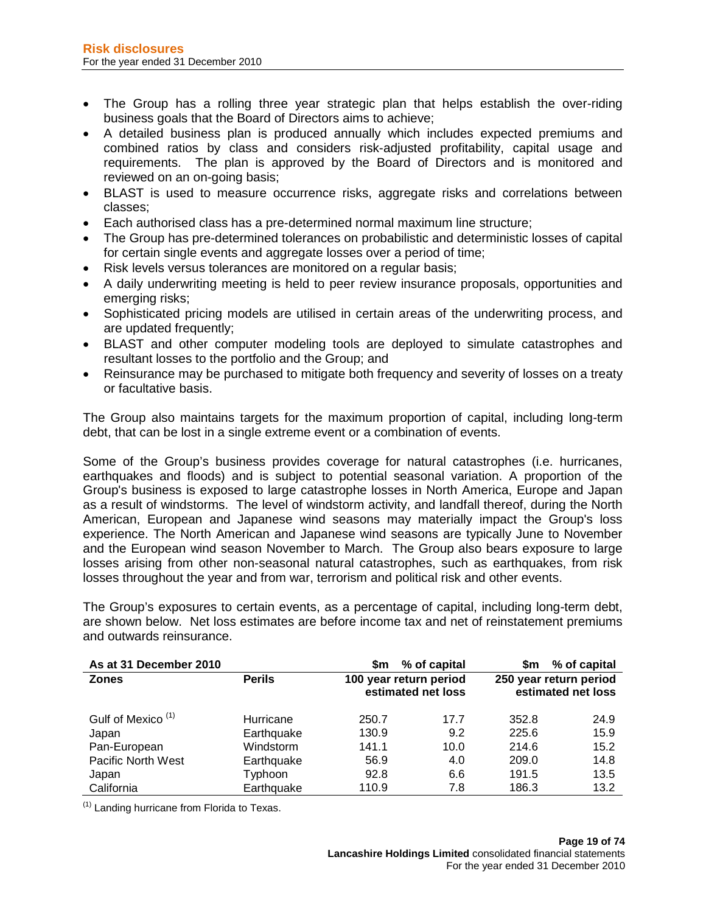- The Group has a rolling three year strategic plan that helps establish the over-riding business goals that the Board of Directors aims to achieve;
- A detailed business plan is produced annually which includes expected premiums and combined ratios by class and considers risk-adjusted profitability, capital usage and requirements. The plan is approved by the Board of Directors and is monitored and reviewed on an on-going basis;
- BLAST is used to measure occurrence risks, aggregate risks and correlations between classes;
- Each authorised class has a pre-determined normal maximum line structure;
- The Group has pre-determined tolerances on probabilistic and deterministic losses of capital for certain single events and aggregate losses over a period of time;
- Risk levels versus tolerances are monitored on a regular basis;
- A daily underwriting meeting is held to peer review insurance proposals, opportunities and emerging risks;
- Sophisticated pricing models are utilised in certain areas of the underwriting process, and are updated frequently;
- BLAST and other computer modeling tools are deployed to simulate catastrophes and resultant losses to the portfolio and the Group; and
- Reinsurance may be purchased to mitigate both frequency and severity of losses on a treaty or facultative basis.

The Group also maintains targets for the maximum proportion of capital, including long-term debt, that can be lost in a single extreme event or a combination of events.

Some of the Group's business provides coverage for natural catastrophes (i.e. hurricanes, earthquakes and floods) and is subject to potential seasonal variation. A proportion of the Group's business is exposed to large catastrophe losses in North America, Europe and Japan as a result of windstorms. The level of windstorm activity, and landfall thereof, during the North American, European and Japanese wind seasons may materially impact the Group's loss experience. The North American and Japanese wind seasons are typically June to November and the European wind season November to March. The Group also bears exposure to large losses arising from other non-seasonal natural catastrophes, such as earthquakes, from risk losses throughout the year and from war, terrorism and political risk and other events.

The Group's exposures to certain events, as a percentage of capital, including long-term debt, are shown below. Net loss estimates are before income tax and net of reinstatement premiums and outwards reinsurance.

| As at 31 December 2010        |               | \$m                    | % of capital       | \$m   | % of capital                                 |
|-------------------------------|---------------|------------------------|--------------------|-------|----------------------------------------------|
| <b>Zones</b>                  | <b>Perils</b> | 100 year return period | estimated net loss |       | 250 year return period<br>estimated net loss |
| Gulf of Mexico <sup>(1)</sup> | Hurricane     | 250.7                  | 17.7               | 352.8 | 24.9                                         |
| Japan                         | Earthquake    | 130.9                  | 9.2                | 225.6 | 15.9                                         |
| Pan-European                  | Windstorm     | 141.1                  | 10.0               | 214.6 | 15.2                                         |
| Pacific North West            | Earthquake    | 56.9                   | 4.0                | 209.0 | 14.8                                         |
| Japan                         | Typhoon       | 92.8                   | 6.6                | 191.5 | 13.5                                         |
| California                    | Earthquake    | 110.9                  | 7.8                | 186.3 | 13.2                                         |

 $<sup>(1)</sup>$  Landing hurricane from Florida to Texas.</sup>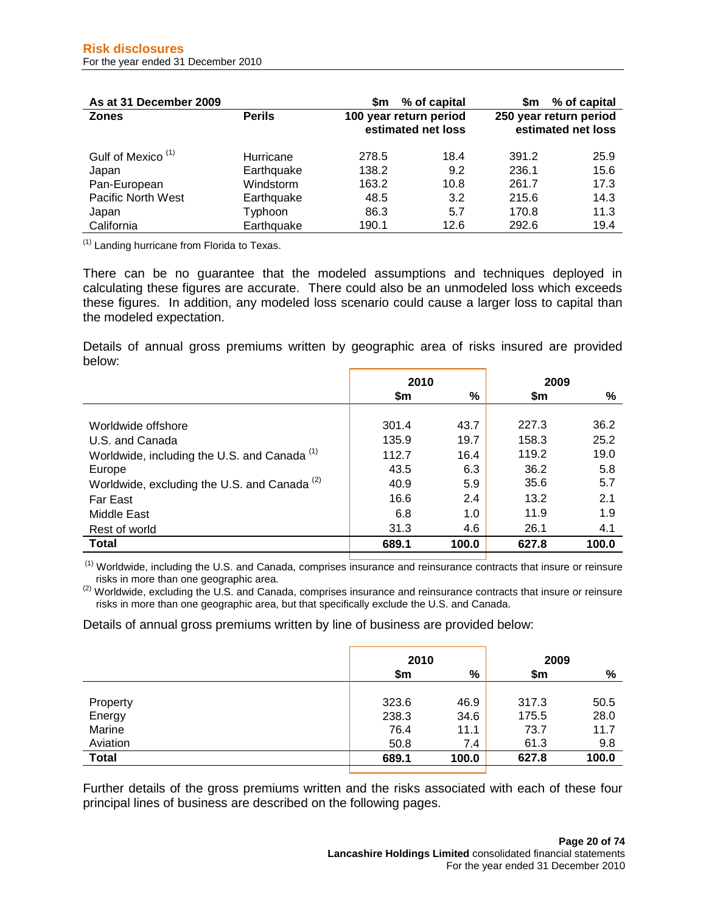| As at 31 December 2009        |               | \$m                    | % of capital       | Sm.                    | % of capital       |
|-------------------------------|---------------|------------------------|--------------------|------------------------|--------------------|
| <b>Zones</b>                  | <b>Perils</b> | 100 year return period | estimated net loss | 250 year return period | estimated net loss |
| Gulf of Mexico <sup>(1)</sup> | Hurricane     | 278.5                  | 18.4               | 391.2                  | 25.9               |
| Japan                         | Earthquake    | 138.2                  | 9.2                | 236.1                  | 15.6               |
| Pan-European                  | Windstorm     | 163.2                  | 10.8               | 261.7                  | 17.3               |
| Pacific North West            | Earthquake    | 48.5                   | 3.2                | 215.6                  | 14.3               |
| Japan                         | Typhoon       | 86.3                   | 5.7                | 170.8                  | 11.3               |
| California                    | Earthquake    | 190.1                  | 12.6               | 292.6                  | 19.4               |

 $(1)$  Landing hurricane from Florida to Texas.

There can be no guarantee that the modeled assumptions and techniques deployed in calculating these figures are accurate. There could also be an unmodeled loss which exceeds these figures. In addition, any modeled loss scenario could cause a larger loss to capital than the modeled expectation.

Details of annual gross premiums written by geographic area of risks insured are provided below:

|                                                         | 2010  |       | 2009  |       |
|---------------------------------------------------------|-------|-------|-------|-------|
|                                                         | \$m   | %     | \$m   | %     |
|                                                         |       |       |       |       |
| Worldwide offshore                                      | 301.4 | 43.7  | 227.3 | 36.2  |
| U.S. and Canada                                         | 135.9 | 19.7  | 158.3 | 25.2  |
| Worldwide, including the U.S. and Canada <sup>(1)</sup> | 112.7 | 16.4  | 119.2 | 19.0  |
| Europe                                                  | 43.5  | 6.3   | 36.2  | 5.8   |
| Worldwide, excluding the U.S. and Canada <sup>(2)</sup> | 40.9  | 5.9   | 35.6  | 5.7   |
| Far East                                                | 16.6  | 2.4   | 13.2  | 2.1   |
| Middle East                                             | 6.8   | 1.0   | 11.9  | 1.9   |
| Rest of world                                           | 31.3  | 4.6   | 26.1  | 4.1   |
| <b>Total</b>                                            | 689.1 | 100.0 | 627.8 | 100.0 |

 $<sup>(1)</sup>$  Worldwide, including the U.S. and Canada, comprises insurance and reinsurance contracts that insure or reinsure risks in more than one geographic area.</sup>

 $^{(2)}$  Worldwide, excluding the U.S. and Canada, comprises insurance and reinsurance contracts that insure or reinsure risks in more than one geographic area, but that specifically exclude the U.S. and Canada.

Details of annual gross premiums written by line of business are provided below:

|              | 2010  |       | 2009  |       |
|--------------|-------|-------|-------|-------|
|              | \$m   | %     | \$m   | %     |
| Property     | 323.6 | 46.9  | 317.3 | 50.5  |
| Energy       | 238.3 | 34.6  | 175.5 | 28.0  |
| Marine       | 76.4  | 11.1  | 73.7  | 11.7  |
| Aviation     | 50.8  | 7.4   | 61.3  | 9.8   |
| <b>Total</b> | 689.1 | 100.0 | 627.8 | 100.0 |

Further details of the gross premiums written and the risks associated with each of these four principal lines of business are described on the following pages.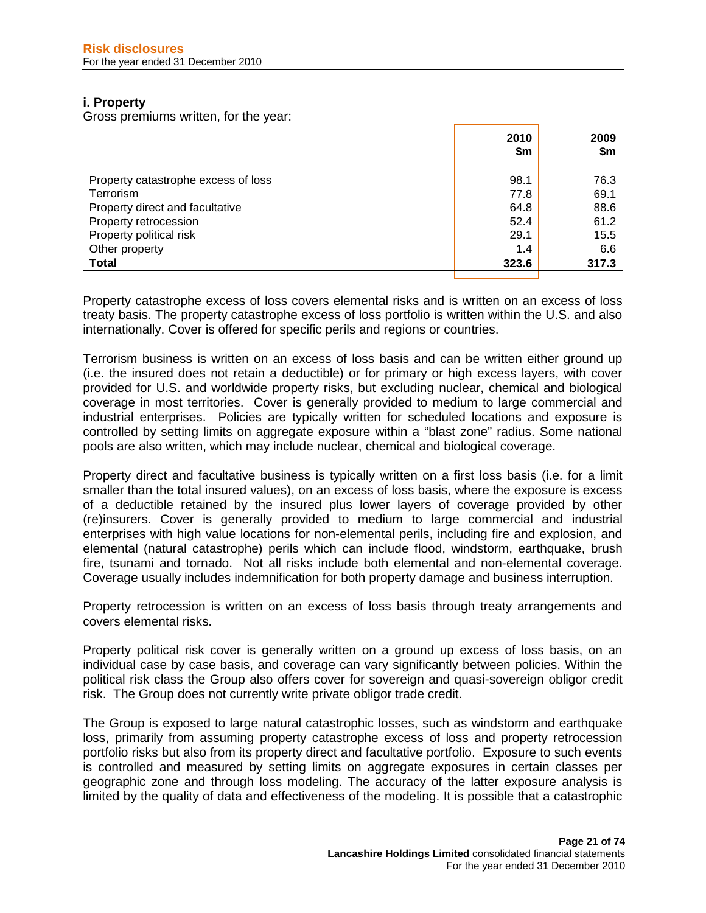## **i. Property**

Gross premiums written, for the year:

|                                     | 2010<br>\$m | 2009<br>\$m |
|-------------------------------------|-------------|-------------|
|                                     |             |             |
| Property catastrophe excess of loss | 98.1        | 76.3        |
| Terrorism                           | 77.8        | 69.1        |
| Property direct and facultative     | 64.8        | 88.6        |
| Property retrocession               | 52.4        | 61.2        |
| Property political risk             | 29.1        | 15.5        |
| Other property                      | 1.4         | 6.6         |
| <b>Total</b>                        | 323.6       | 317.3       |
|                                     |             |             |

Property catastrophe excess of loss covers elemental risks and is written on an excess of loss treaty basis. The property catastrophe excess of loss portfolio is written within the U.S. and also internationally. Cover is offered for specific perils and regions or countries.

Terrorism business is written on an excess of loss basis and can be written either ground up (i.e. the insured does not retain a deductible) or for primary or high excess layers, with cover provided for U.S. and worldwide property risks, but excluding nuclear, chemical and biological coverage in most territories. Cover is generally provided to medium to large commercial and industrial enterprises. Policies are typically written for scheduled locations and exposure is controlled by setting limits on aggregate exposure within a "blast zone" radius. Some national pools are also written, which may include nuclear, chemical and biological coverage.

Property direct and facultative business is typically written on a first loss basis (i.e. for a limit smaller than the total insured values), on an excess of loss basis, where the exposure is excess of a deductible retained by the insured plus lower layers of coverage provided by other (re)insurers. Cover is generally provided to medium to large commercial and industrial enterprises with high value locations for non-elemental perils, including fire and explosion, and elemental (natural catastrophe) perils which can include flood, windstorm, earthquake, brush fire, tsunami and tornado. Not all risks include both elemental and non-elemental coverage. Coverage usually includes indemnification for both property damage and business interruption.

Property retrocession is written on an excess of loss basis through treaty arrangements and covers elemental risks.

Property political risk cover is generally written on a ground up excess of loss basis, on an individual case by case basis, and coverage can vary significantly between policies. Within the political risk class the Group also offers cover for sovereign and quasi-sovereign obligor credit risk. The Group does not currently write private obligor trade credit.

The Group is exposed to large natural catastrophic losses, such as windstorm and earthquake loss, primarily from assuming property catastrophe excess of loss and property retrocession portfolio risks but also from its property direct and facultative portfolio. Exposure to such events is controlled and measured by setting limits on aggregate exposures in certain classes per geographic zone and through loss modeling. The accuracy of the latter exposure analysis is limited by the quality of data and effectiveness of the modeling. It is possible that a catastrophic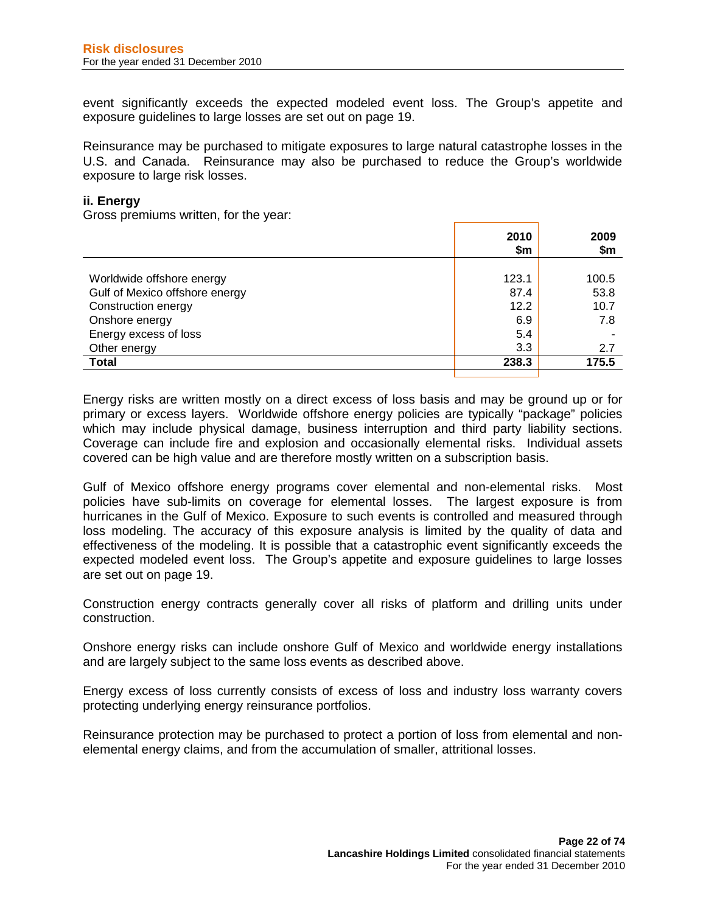event significantly exceeds the expected modeled event loss. The Group's appetite and exposure guidelines to large losses are set out on page 19.

Reinsurance may be purchased to mitigate exposures to large natural catastrophe losses in the U.S. and Canada. Reinsurance may also be purchased to reduce the Group's worldwide exposure to large risk losses.

## **ii. Energy**

Gross premiums written, for the year:

|                                | 2010<br>\$m | 2009<br>\$m |
|--------------------------------|-------------|-------------|
|                                |             |             |
| Worldwide offshore energy      | 123.1       | 100.5       |
| Gulf of Mexico offshore energy | 87.4        | 53.8        |
| Construction energy            | 12.2        | 10.7        |
| Onshore energy                 | 6.9         | 7.8         |
| Energy excess of loss          | 5.4         |             |
| Other energy                   | 3.3         | 2.7         |
| <b>Total</b>                   | 238.3       | 175.5       |
|                                |             |             |

Energy risks are written mostly on a direct excess of loss basis and may be ground up or for primary or excess layers. Worldwide offshore energy policies are typically "package" policies which may include physical damage, business interruption and third party liability sections. Coverage can include fire and explosion and occasionally elemental risks. Individual assets covered can be high value and are therefore mostly written on a subscription basis.

Gulf of Mexico offshore energy programs cover elemental and non-elemental risks. Most policies have sub-limits on coverage for elemental losses. The largest exposure is from hurricanes in the Gulf of Mexico. Exposure to such events is controlled and measured through loss modeling. The accuracy of this exposure analysis is limited by the quality of data and effectiveness of the modeling. It is possible that a catastrophic event significantly exceeds the expected modeled event loss. The Group's appetite and exposure guidelines to large losses are set out on page 19.

Construction energy contracts generally cover all risks of platform and drilling units under construction.

Onshore energy risks can include onshore Gulf of Mexico and worldwide energy installations and are largely subject to the same loss events as described above.

Energy excess of loss currently consists of excess of loss and industry loss warranty covers protecting underlying energy reinsurance portfolios.

Reinsurance protection may be purchased to protect a portion of loss from elemental and nonelemental energy claims, and from the accumulation of smaller, attritional losses.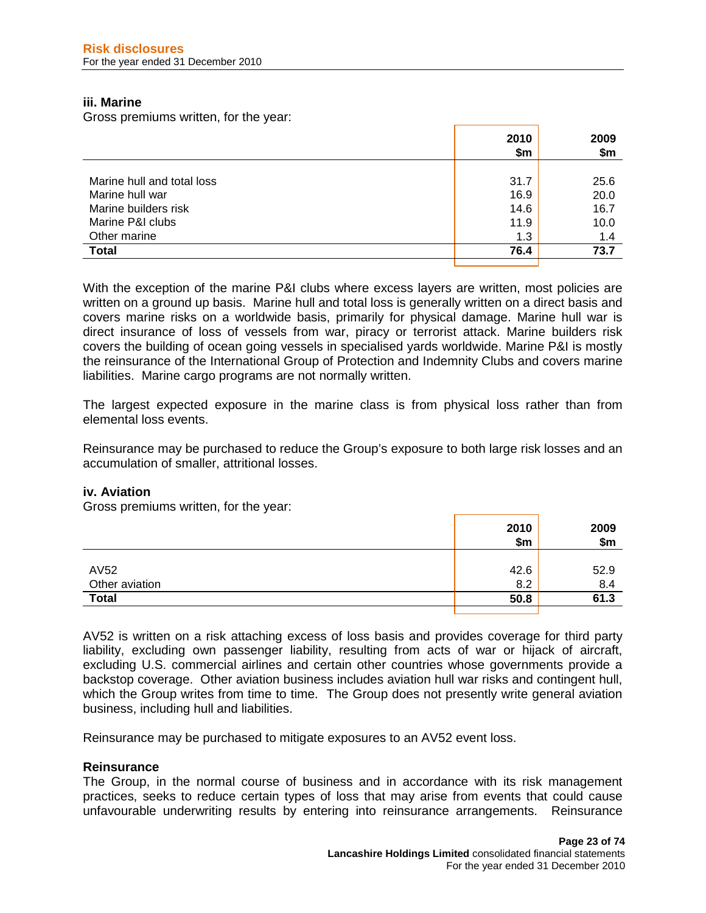## **iii. Marine**

Gross premiums written, for the year:

|                            | 2010<br>\$m | 2009<br>\$m |
|----------------------------|-------------|-------------|
|                            |             |             |
| Marine hull and total loss | 31.7        | 25.6        |
| Marine hull war            | 16.9        | 20.0        |
| Marine builders risk       | 14.6        | 16.7        |
| Marine P&I clubs           | 11.9        | 10.0        |
| Other marine               | 1.3         | 1.4         |
| <b>Total</b>               | 76.4        | 73.7        |
|                            |             |             |

With the exception of the marine P&I clubs where excess layers are written, most policies are written on a ground up basis. Marine hull and total loss is generally written on a direct basis and covers marine risks on a worldwide basis, primarily for physical damage. Marine hull war is direct insurance of loss of vessels from war, piracy or terrorist attack. Marine builders risk covers the building of ocean going vessels in specialised yards worldwide. Marine P&I is mostly the reinsurance of the International Group of Protection and Indemnity Clubs and covers marine liabilities. Marine cargo programs are not normally written.

The largest expected exposure in the marine class is from physical loss rather than from elemental loss events.

Reinsurance may be purchased to reduce the Group's exposure to both large risk losses and an accumulation of smaller, attritional losses.

## **iv. Aviation**

Gross premiums written, for the year:

|                | 2010<br>\$m | 2009<br>\$m\$ |
|----------------|-------------|---------------|
|                |             |               |
| AV52           | 42.6        | 52.9          |
| Other aviation | 8.2         | 8.4           |
| <b>Total</b>   | 50.8        | 61.3          |
|                |             |               |

AV52 is written on a risk attaching excess of loss basis and provides coverage for third party liability, excluding own passenger liability, resulting from acts of war or hijack of aircraft, excluding U.S. commercial airlines and certain other countries whose governments provide a backstop coverage. Other aviation business includes aviation hull war risks and contingent hull, which the Group writes from time to time. The Group does not presently write general aviation business, including hull and liabilities.

Reinsurance may be purchased to mitigate exposures to an AV52 event loss.

## **Reinsurance**

The Group, in the normal course of business and in accordance with its risk management practices, seeks to reduce certain types of loss that may arise from events that could cause unfavourable underwriting results by entering into reinsurance arrangements. Reinsurance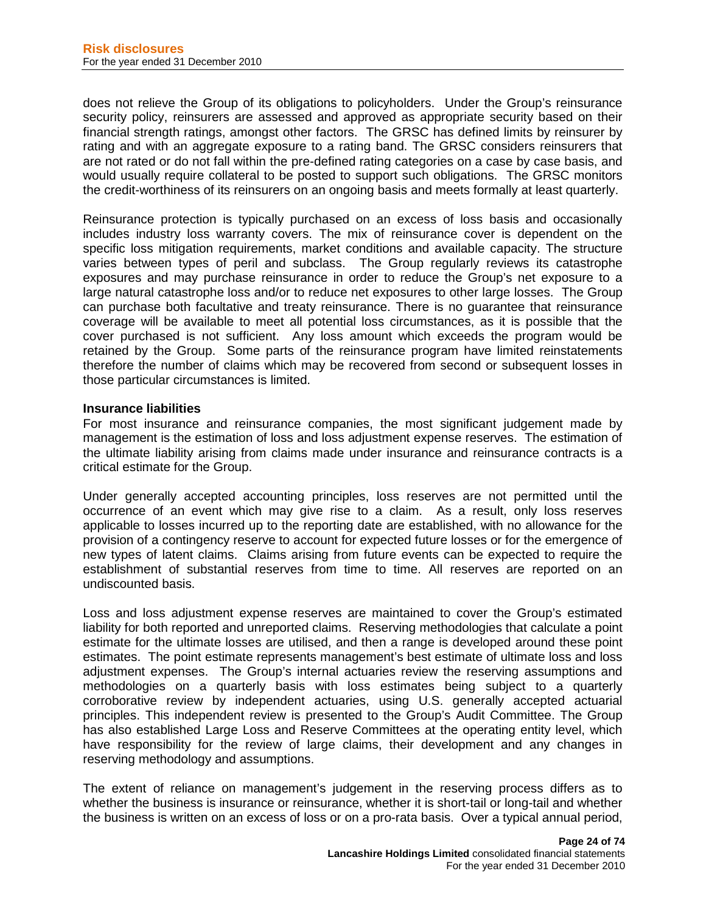does not relieve the Group of its obligations to policyholders. Under the Group's reinsurance security policy, reinsurers are assessed and approved as appropriate security based on their financial strength ratings, amongst other factors. The GRSC has defined limits by reinsurer by rating and with an aggregate exposure to a rating band. The GRSC considers reinsurers that are not rated or do not fall within the pre-defined rating categories on a case by case basis, and would usually require collateral to be posted to support such obligations. The GRSC monitors the credit-worthiness of its reinsurers on an ongoing basis and meets formally at least quarterly.

Reinsurance protection is typically purchased on an excess of loss basis and occasionally includes industry loss warranty covers. The mix of reinsurance cover is dependent on the specific loss mitigation requirements, market conditions and available capacity. The structure varies between types of peril and subclass. The Group regularly reviews its catastrophe exposures and may purchase reinsurance in order to reduce the Group's net exposure to a large natural catastrophe loss and/or to reduce net exposures to other large losses. The Group can purchase both facultative and treaty reinsurance. There is no guarantee that reinsurance coverage will be available to meet all potential loss circumstances, as it is possible that the cover purchased is not sufficient. Any loss amount which exceeds the program would be retained by the Group. Some parts of the reinsurance program have limited reinstatements therefore the number of claims which may be recovered from second or subsequent losses in those particular circumstances is limited.

## **Insurance liabilities**

For most insurance and reinsurance companies, the most significant judgement made by management is the estimation of loss and loss adjustment expense reserves. The estimation of the ultimate liability arising from claims made under insurance and reinsurance contracts is a critical estimate for the Group.

Under generally accepted accounting principles, loss reserves are not permitted until the occurrence of an event which may give rise to a claim. As a result, only loss reserves applicable to losses incurred up to the reporting date are established, with no allowance for the provision of a contingency reserve to account for expected future losses or for the emergence of new types of latent claims. Claims arising from future events can be expected to require the establishment of substantial reserves from time to time. All reserves are reported on an undiscounted basis.

Loss and loss adjustment expense reserves are maintained to cover the Group's estimated liability for both reported and unreported claims. Reserving methodologies that calculate a point estimate for the ultimate losses are utilised, and then a range is developed around these point estimates. The point estimate represents management's best estimate of ultimate loss and loss adjustment expenses. The Group's internal actuaries review the reserving assumptions and methodologies on a quarterly basis with loss estimates being subject to a quarterly corroborative review by independent actuaries, using U.S. generally accepted actuarial principles. This independent review is presented to the Group's Audit Committee. The Group has also established Large Loss and Reserve Committees at the operating entity level, which have responsibility for the review of large claims, their development and any changes in reserving methodology and assumptions.

The extent of reliance on management's judgement in the reserving process differs as to whether the business is insurance or reinsurance, whether it is short-tail or long-tail and whether the business is written on an excess of loss or on a pro-rata basis. Over a typical annual period,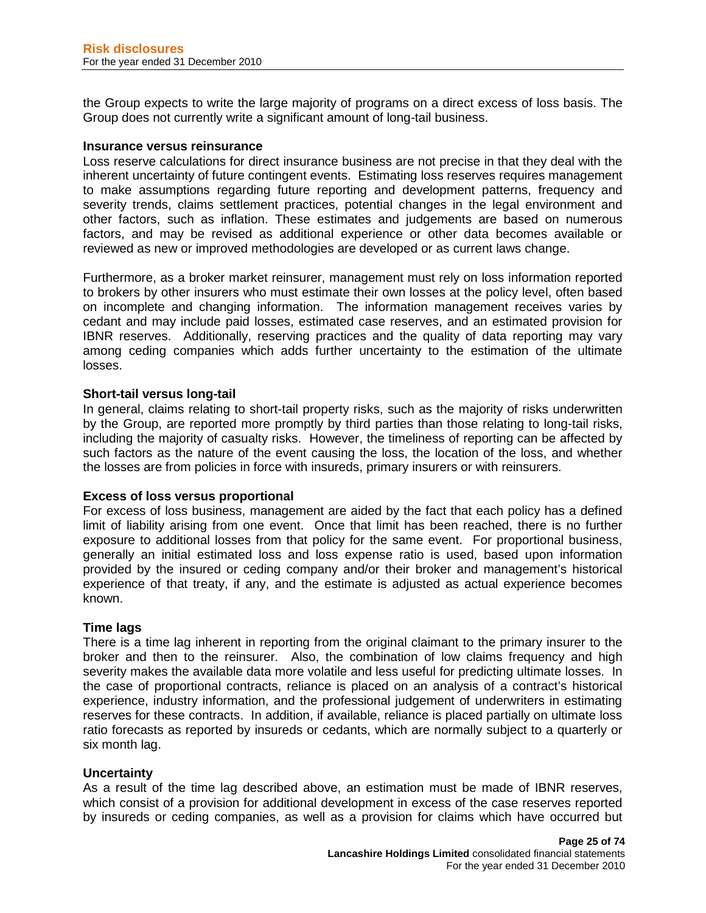the Group expects to write the large majority of programs on a direct excess of loss basis. The Group does not currently write a significant amount of long-tail business.

## **Insurance versus reinsurance**

Loss reserve calculations for direct insurance business are not precise in that they deal with the inherent uncertainty of future contingent events. Estimating loss reserves requires management to make assumptions regarding future reporting and development patterns, frequency and severity trends, claims settlement practices, potential changes in the legal environment and other factors, such as inflation. These estimates and judgements are based on numerous factors, and may be revised as additional experience or other data becomes available or reviewed as new or improved methodologies are developed or as current laws change.

Furthermore, as a broker market reinsurer, management must rely on loss information reported to brokers by other insurers who must estimate their own losses at the policy level, often based on incomplete and changing information. The information management receives varies by cedant and may include paid losses, estimated case reserves, and an estimated provision for IBNR reserves. Additionally, reserving practices and the quality of data reporting may vary among ceding companies which adds further uncertainty to the estimation of the ultimate losses.

## **Short-tail versus long-tail**

In general, claims relating to short-tail property risks, such as the majority of risks underwritten by the Group, are reported more promptly by third parties than those relating to long-tail risks, including the majority of casualty risks. However, the timeliness of reporting can be affected by such factors as the nature of the event causing the loss, the location of the loss, and whether the losses are from policies in force with insureds, primary insurers or with reinsurers.

## **Excess of loss versus proportional**

For excess of loss business, management are aided by the fact that each policy has a defined limit of liability arising from one event. Once that limit has been reached, there is no further exposure to additional losses from that policy for the same event. For proportional business, generally an initial estimated loss and loss expense ratio is used, based upon information provided by the insured or ceding company and/or their broker and management's historical experience of that treaty, if any, and the estimate is adjusted as actual experience becomes known.

## **Time lags**

There is a time lag inherent in reporting from the original claimant to the primary insurer to the broker and then to the reinsurer. Also, the combination of low claims frequency and high severity makes the available data more volatile and less useful for predicting ultimate losses. In the case of proportional contracts, reliance is placed on an analysis of a contract's historical experience, industry information, and the professional judgement of underwriters in estimating reserves for these contracts. In addition, if available, reliance is placed partially on ultimate loss ratio forecasts as reported by insureds or cedants, which are normally subject to a quarterly or six month lag.

### **Uncertainty**

As a result of the time lag described above, an estimation must be made of IBNR reserves, which consist of a provision for additional development in excess of the case reserves reported by insureds or ceding companies, as well as a provision for claims which have occurred but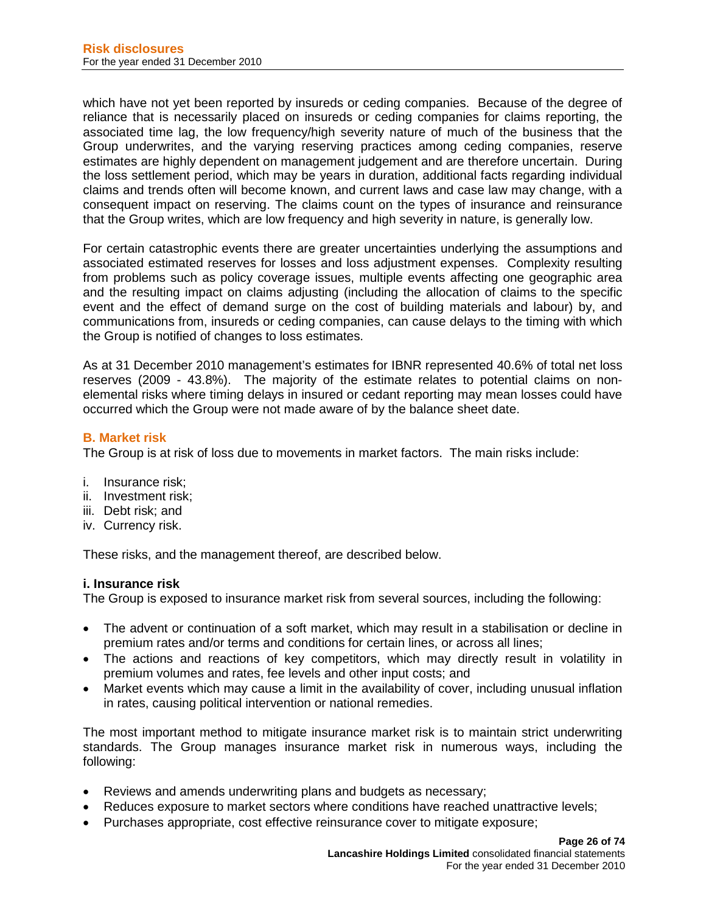which have not yet been reported by insureds or ceding companies. Because of the degree of reliance that is necessarily placed on insureds or ceding companies for claims reporting, the associated time lag, the low frequency/high severity nature of much of the business that the Group underwrites, and the varying reserving practices among ceding companies, reserve estimates are highly dependent on management judgement and are therefore uncertain. During the loss settlement period, which may be years in duration, additional facts regarding individual claims and trends often will become known, and current laws and case law may change, with a consequent impact on reserving. The claims count on the types of insurance and reinsurance that the Group writes, which are low frequency and high severity in nature, is generally low.

For certain catastrophic events there are greater uncertainties underlying the assumptions and associated estimated reserves for losses and loss adjustment expenses. Complexity resulting from problems such as policy coverage issues, multiple events affecting one geographic area and the resulting impact on claims adjusting (including the allocation of claims to the specific event and the effect of demand surge on the cost of building materials and labour) by, and communications from, insureds or ceding companies, can cause delays to the timing with which the Group is notified of changes to loss estimates.

As at 31 December 2010 management's estimates for IBNR represented 40.6% of total net loss reserves (2009 - 43.8%). The majority of the estimate relates to potential claims on nonelemental risks where timing delays in insured or cedant reporting may mean losses could have occurred which the Group were not made aware of by the balance sheet date.

## **B. Market risk**

The Group is at risk of loss due to movements in market factors. The main risks include:

- i. Insurance risk;
- ii. Investment risk;
- iii. Debt risk; and
- iv. Currency risk.

These risks, and the management thereof, are described below.

## **i. Insurance risk**

The Group is exposed to insurance market risk from several sources, including the following:

- The advent or continuation of a soft market, which may result in a stabilisation or decline in premium rates and/or terms and conditions for certain lines, or across all lines;
- The actions and reactions of key competitors, which may directly result in volatility in premium volumes and rates, fee levels and other input costs; and
- Market events which may cause a limit in the availability of cover, including unusual inflation in rates, causing political intervention or national remedies.

The most important method to mitigate insurance market risk is to maintain strict underwriting standards. The Group manages insurance market risk in numerous ways, including the following:

- Reviews and amends underwriting plans and budgets as necessary;
- Reduces exposure to market sectors where conditions have reached unattractive levels;
- Purchases appropriate, cost effective reinsurance cover to mitigate exposure;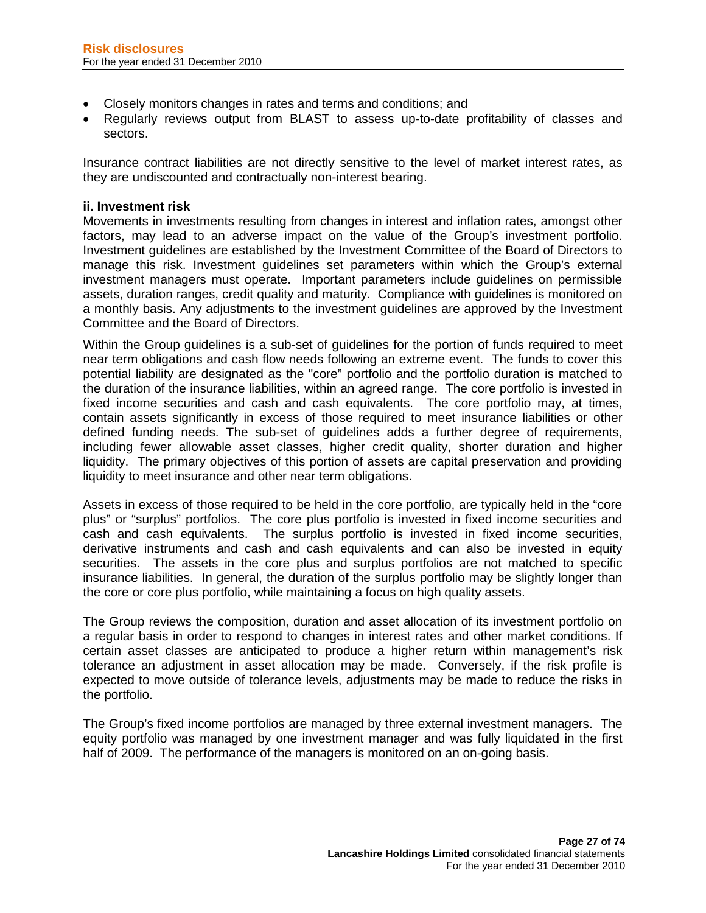- Closely monitors changes in rates and terms and conditions; and
- Regularly reviews output from BLAST to assess up-to-date profitability of classes and sectors.

Insurance contract liabilities are not directly sensitive to the level of market interest rates, as they are undiscounted and contractually non-interest bearing.

## **ii. Investment risk**

Movements in investments resulting from changes in interest and inflation rates, amongst other factors, may lead to an adverse impact on the value of the Group's investment portfolio. Investment guidelines are established by the Investment Committee of the Board of Directors to manage this risk. Investment guidelines set parameters within which the Group's external investment managers must operate. Important parameters include guidelines on permissible assets, duration ranges, credit quality and maturity. Compliance with guidelines is monitored on a monthly basis. Any adjustments to the investment guidelines are approved by the Investment Committee and the Board of Directors.

Within the Group guidelines is a sub-set of guidelines for the portion of funds required to meet near term obligations and cash flow needs following an extreme event. The funds to cover this potential liability are designated as the "core" portfolio and the portfolio duration is matched to the duration of the insurance liabilities, within an agreed range. The core portfolio is invested in fixed income securities and cash and cash equivalents. The core portfolio may, at times, contain assets significantly in excess of those required to meet insurance liabilities or other defined funding needs. The sub-set of guidelines adds a further degree of requirements, including fewer allowable asset classes, higher credit quality, shorter duration and higher liquidity. The primary objectives of this portion of assets are capital preservation and providing liquidity to meet insurance and other near term obligations.

Assets in excess of those required to be held in the core portfolio, are typically held in the "core plus" or "surplus" portfolios. The core plus portfolio is invested in fixed income securities and cash and cash equivalents. The surplus portfolio is invested in fixed income securities, derivative instruments and cash and cash equivalents and can also be invested in equity securities. The assets in the core plus and surplus portfolios are not matched to specific insurance liabilities. In general, the duration of the surplus portfolio may be slightly longer than the core or core plus portfolio, while maintaining a focus on high quality assets.

The Group reviews the composition, duration and asset allocation of its investment portfolio on a regular basis in order to respond to changes in interest rates and other market conditions. If certain asset classes are anticipated to produce a higher return within management's risk tolerance an adjustment in asset allocation may be made. Conversely, if the risk profile is expected to move outside of tolerance levels, adjustments may be made to reduce the risks in the portfolio.

The Group's fixed income portfolios are managed by three external investment managers. The equity portfolio was managed by one investment manager and was fully liquidated in the first half of 2009. The performance of the managers is monitored on an on-going basis.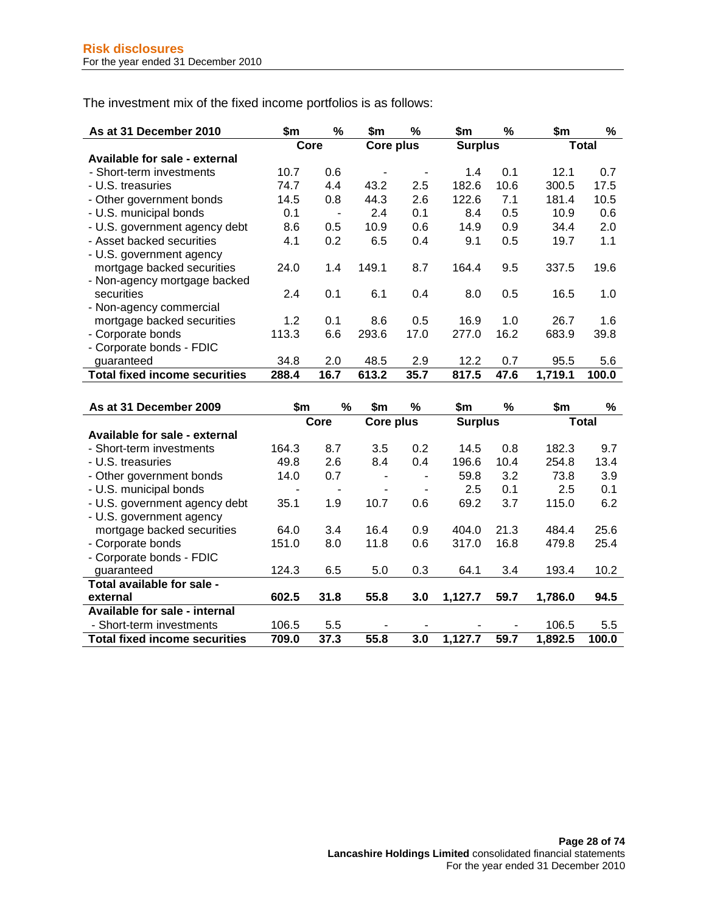The investment mix of the fixed income portfolios is as follows:

| As at 31 December 2010               | \$m   | ℅              | \$m       | %    | \$m            | ℅    | \$m     | %            |
|--------------------------------------|-------|----------------|-----------|------|----------------|------|---------|--------------|
|                                      |       | Core           | Core plus |      | <b>Surplus</b> |      |         | <b>Total</b> |
| Available for sale - external        |       |                |           |      |                |      |         |              |
| - Short-term investments             | 10.7  | 0.6            |           |      | 1.4            | 0.1  | 12.1    | 0.7          |
| - U.S. treasuries                    | 74.7  | 4.4            | 43.2      | 2.5  | 182.6          | 10.6 | 300.5   | 17.5         |
| - Other government bonds             | 14.5  | 0.8            | 44.3      | 2.6  | 122.6          | 7.1  | 181.4   | 10.5         |
| - U.S. municipal bonds               | 0.1   | $\blacksquare$ | 2.4       | 0.1  | 8.4            | 0.5  | 10.9    | 0.6          |
| - U.S. government agency debt        | 8.6   | 0.5            | 10.9      | 0.6  | 14.9           | 0.9  | 34.4    | 2.0          |
| - Asset backed securities            | 4.1   | 0.2            | 6.5       | 0.4  | 9.1            | 0.5  | 19.7    | 1.1          |
| - U.S. government agency             |       |                |           |      |                |      |         |              |
| mortgage backed securities           | 24.0  | 1.4            | 149.1     | 8.7  | 164.4          | 9.5  | 337.5   | 19.6         |
| - Non-agency mortgage backed         |       |                |           |      |                |      |         |              |
| securities                           | 2.4   | 0.1            | 6.1       | 0.4  | 8.0            | 0.5  | 16.5    | 1.0          |
| - Non-agency commercial              |       |                |           |      |                |      |         |              |
| mortgage backed securities           | 1.2   | 0.1            | 8.6       | 0.5  | 16.9           | 1.0  | 26.7    | 1.6          |
| - Corporate bonds                    | 113.3 | 6.6            | 293.6     | 17.0 | 277.0          | 16.2 | 683.9   | 39.8         |
| - Corporate bonds - FDIC             |       |                |           |      |                |      |         |              |
| guaranteed                           | 34.8  | 2.0            | 48.5      | 2.9  | 12.2           | 0.7  | 95.5    | 5.6          |
| <b>Total fixed income securities</b> | 288.4 | 16.7           | 613.2     | 35.7 | 817.5          | 47.6 | 1.719.1 | 100.0        |

| As at 31 December 2009               | \$m   | %    | \$m       | %   | \$m            | %    | \$m     | %            |
|--------------------------------------|-------|------|-----------|-----|----------------|------|---------|--------------|
|                                      |       | Core | Core plus |     | <b>Surplus</b> |      |         | <b>Total</b> |
| Available for sale - external        |       |      |           |     |                |      |         |              |
| - Short-term investments             | 164.3 | 8.7  | 3.5       | 0.2 | 14.5           | 0.8  | 182.3   | 9.7          |
| - U.S. treasuries                    | 49.8  | 2.6  | 8.4       | 0.4 | 196.6          | 10.4 | 254.8   | 13.4         |
| - Other government bonds             | 14.0  | 0.7  |           | ۰   | 59.8           | 3.2  | 73.8    | 3.9          |
| - U.S. municipal bonds               |       |      |           |     | 2.5            | 0.1  | 2.5     | 0.1          |
| - U.S. government agency debt        | 35.1  | 1.9  | 10.7      | 0.6 | 69.2           | 3.7  | 115.0   | 6.2          |
| - U.S. government agency             |       |      |           |     |                |      |         |              |
| mortgage backed securities           | 64.0  | 3.4  | 16.4      | 0.9 | 404.0          | 21.3 | 484.4   | 25.6         |
| - Corporate bonds                    | 151.0 | 8.0  | 11.8      | 0.6 | 317.0          | 16.8 | 479.8   | 25.4         |
| - Corporate bonds - FDIC             |       |      |           |     |                |      |         |              |
| guaranteed                           | 124.3 | 6.5  | 5.0       | 0.3 | 64.1           | 3.4  | 193.4   | 10.2         |
| Total available for sale -           |       |      |           |     |                |      |         |              |
| external                             | 602.5 | 31.8 | 55.8      | 3.0 | 1,127.7        | 59.7 | 1,786.0 | 94.5         |
| Available for sale - internal        |       |      |           |     |                |      |         |              |
| - Short-term investments             | 106.5 | 5.5  |           |     |                |      | 106.5   | 5.5          |
| <b>Total fixed income securities</b> | 709.0 | 37.3 | 55.8      | 3.0 | 1,127.7        | 59.7 | 1,892.5 | 100.0        |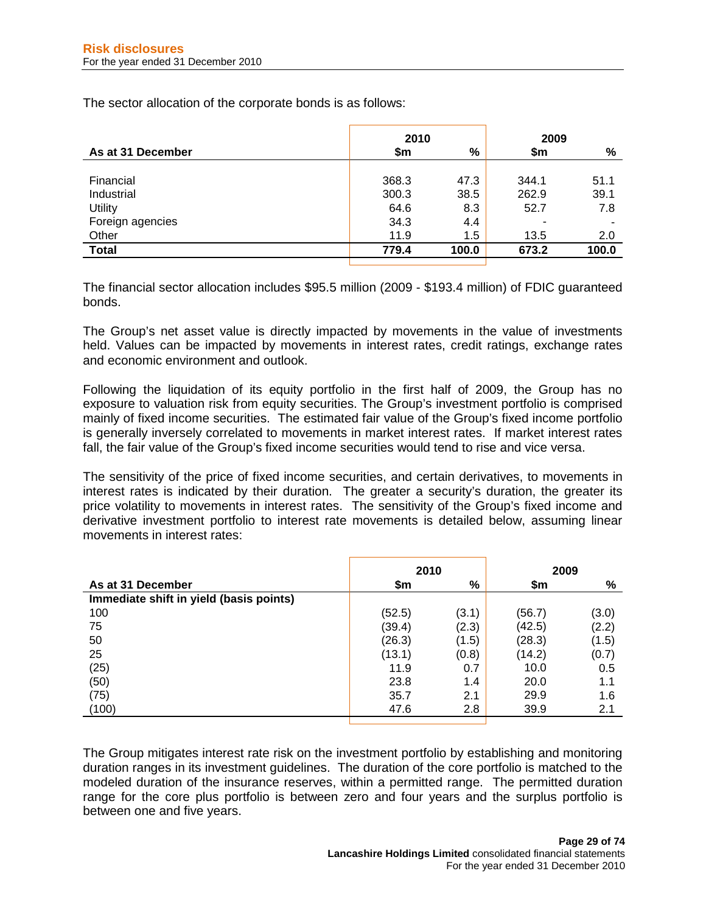The sector allocation of the corporate bonds is as follows:

|                   | 2010  |       | 2009  |       |  |
|-------------------|-------|-------|-------|-------|--|
| As at 31 December | \$m   | %     | \$m   | %     |  |
|                   |       |       |       |       |  |
| Financial         | 368.3 | 47.3  | 344.1 | 51.1  |  |
| Industrial        | 300.3 | 38.5  | 262.9 | 39.1  |  |
| Utility           | 64.6  | 8.3   | 52.7  | 7.8   |  |
| Foreign agencies  | 34.3  | 4.4   |       |       |  |
| Other             | 11.9  | 1.5   | 13.5  | 2.0   |  |
| <b>Total</b>      | 779.4 | 100.0 | 673.2 | 100.0 |  |
|                   |       |       |       |       |  |

The financial sector allocation includes \$95.5 million (2009 - \$193.4 million) of FDIC guaranteed bonds.

The Group's net asset value is directly impacted by movements in the value of investments held. Values can be impacted by movements in interest rates, credit ratings, exchange rates and economic environment and outlook.

Following the liquidation of its equity portfolio in the first half of 2009, the Group has no exposure to valuation risk from equity securities. The Group's investment portfolio is comprised mainly of fixed income securities. The estimated fair value of the Group's fixed income portfolio is generally inversely correlated to movements in market interest rates. If market interest rates fall, the fair value of the Group's fixed income securities would tend to rise and vice versa.

The sensitivity of the price of fixed income securities, and certain derivatives, to movements in interest rates is indicated by their duration. The greater a security's duration, the greater its price volatility to movements in interest rates. The sensitivity of the Group's fixed income and derivative investment portfolio to interest rate movements is detailed below, assuming linear movements in interest rates:

|                                         | 2010   |       | 2009   |       |  |
|-----------------------------------------|--------|-------|--------|-------|--|
| As at 31 December                       | \$m    | $\%$  | \$m    | %     |  |
| Immediate shift in yield (basis points) |        |       |        |       |  |
| 100                                     | (52.5) | (3.1) | (56.7) | (3.0) |  |
| 75                                      | (39.4) | (2.3) | (42.5) | (2.2) |  |
| 50                                      | (26.3) | (1.5) | (28.3) | (1.5) |  |
| 25                                      | (13.1) | (0.8) | (14.2) | (0.7) |  |
| (25)                                    | 11.9   | 0.7   | 10.0   | 0.5   |  |
| (50)                                    | 23.8   | 1.4   | 20.0   | 1.1   |  |
| (75)                                    | 35.7   | 2.1   | 29.9   | 1.6   |  |
| (100)                                   | 47.6   | 2.8   | 39.9   | 2.1   |  |

The Group mitigates interest rate risk on the investment portfolio by establishing and monitoring duration ranges in its investment guidelines. The duration of the core portfolio is matched to the modeled duration of the insurance reserves, within a permitted range. The permitted duration range for the core plus portfolio is between zero and four years and the surplus portfolio is between one and five years.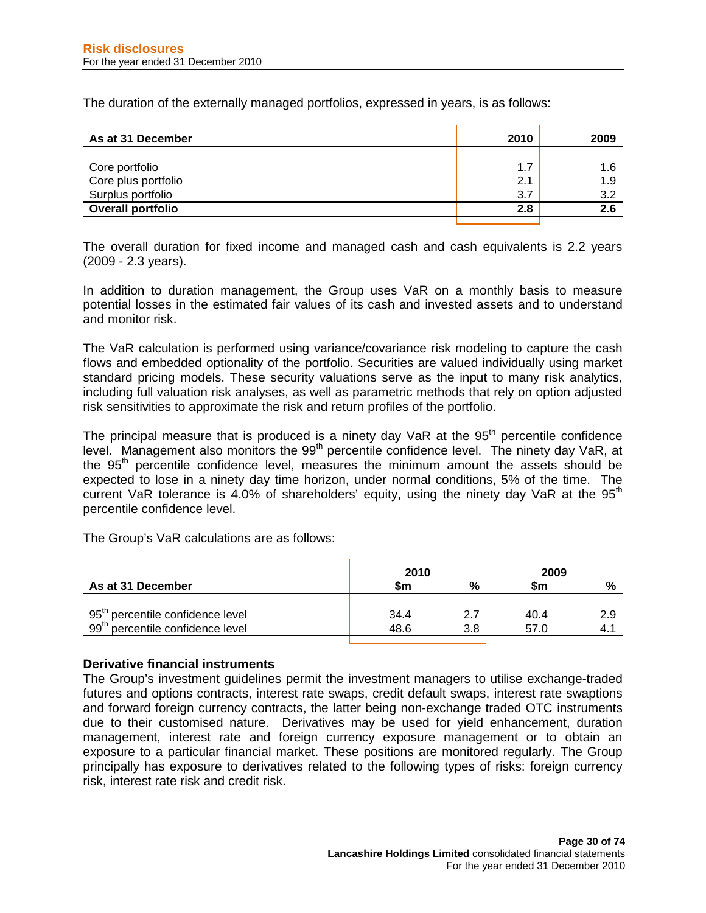The duration of the externally managed portfolios, expressed in years, is as follows:

| As at 31 December        | 2010 | 2009 |
|--------------------------|------|------|
| Core portfolio           | 1.7  | 1.6  |
| Core plus portfolio      | 2.1  | 1.9  |
| Surplus portfolio        | 3.7  | 3.2  |
| <b>Overall portfolio</b> | 2.8  | 2.6  |
|                          |      |      |

The overall duration for fixed income and managed cash and cash equivalents is 2.2 years (2009 - 2.3 years).

In addition to duration management, the Group uses VaR on a monthly basis to measure potential losses in the estimated fair values of its cash and invested assets and to understand and monitor risk.

The VaR calculation is performed using variance/covariance risk modeling to capture the cash flows and embedded optionality of the portfolio. Securities are valued individually using market standard pricing models. These security valuations serve as the input to many risk analytics, including full valuation risk analyses, as well as parametric methods that rely on option adjusted risk sensitivities to approximate the risk and return profiles of the portfolio.

The principal measure that is produced is a ninety day VaR at the  $95<sup>th</sup>$  percentile confidence level. Management also monitors the 99<sup>th</sup> percentile confidence level. The ninety day VaR, at the 95<sup>th</sup> percentile confidence level, measures the minimum amount the assets should be expected to lose in a ninety day time horizon, under normal conditions, 5% of the time. The current VaR tolerance is 4.0% of shareholders' equity, using the ninety day VaR at the  $95<sup>th</sup>$ percentile confidence level.

The Group's VaR calculations are as follows:

| As at 31 December                            | 2010<br>\$m | %   | 2009<br>\$m | %   |
|----------------------------------------------|-------------|-----|-------------|-----|
| 95 <sup>th</sup> percentile confidence level | 34.4        | 2.7 | 40.4        | 2.9 |
| 99 <sup>th</sup> percentile confidence level | 48.6        | 3.8 | 57.0        | 4.1 |

#### **Derivative financial instruments**

The Group's investment guidelines permit the investment managers to utilise exchange-traded futures and options contracts, interest rate swaps, credit default swaps, interest rate swaptions and forward foreign currency contracts, the latter being non-exchange traded OTC instruments due to their customised nature. Derivatives may be used for yield enhancement, duration management, interest rate and foreign currency exposure management or to obtain an exposure to a particular financial market. These positions are monitored regularly. The Group principally has exposure to derivatives related to the following types of risks: foreign currency risk, interest rate risk and credit risk.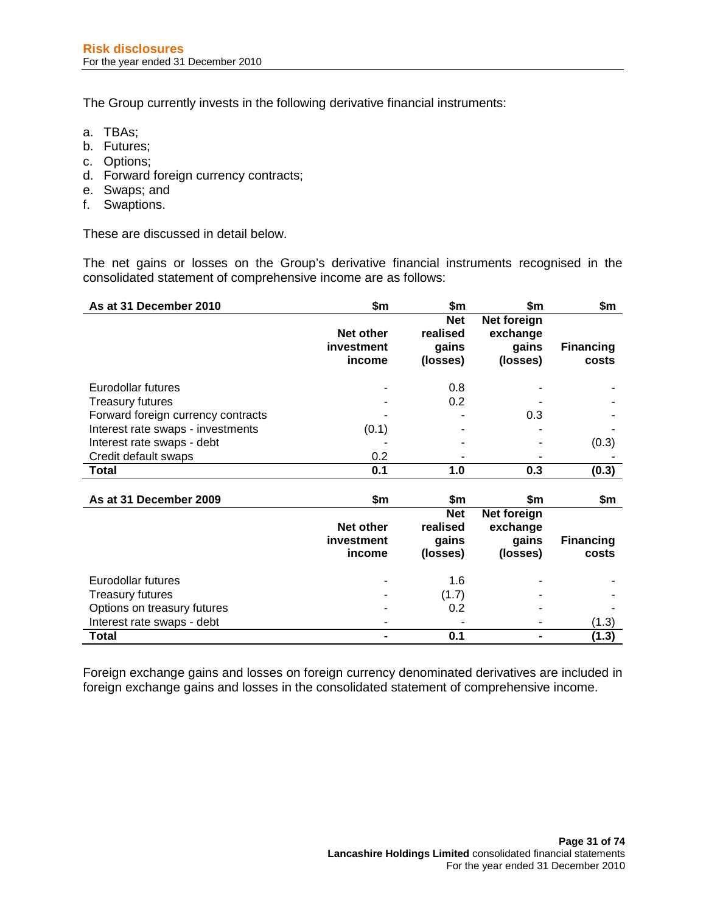The Group currently invests in the following derivative financial instruments:

- a. TBAs;
- b. Futures;
- c. Options;
- d. Forward foreign currency contracts;
- e. Swaps; and
- f. Swaptions.

These are discussed in detail below.

The net gains or losses on the Group's derivative financial instruments recognised in the consolidated statement of comprehensive income are as follows:

| As at 31 December 2010             | \$m                                      | \$m                                         | \$m                                          | \$m                       |
|------------------------------------|------------------------------------------|---------------------------------------------|----------------------------------------------|---------------------------|
|                                    | <b>Net other</b><br>investment<br>income | <b>Net</b><br>realised<br>gains<br>(losses) | Net foreign<br>exchange<br>gains<br>(losses) | <b>Financing</b><br>costs |
| Eurodollar futures                 |                                          | 0.8                                         |                                              |                           |
| <b>Treasury futures</b>            |                                          | 0.2                                         |                                              |                           |
| Forward foreign currency contracts |                                          |                                             | 0.3                                          |                           |
| Interest rate swaps - investments  | (0.1)                                    |                                             |                                              |                           |
| Interest rate swaps - debt         |                                          |                                             |                                              | (0.3)                     |
| Credit default swaps               | 0.2                                      |                                             |                                              |                           |
| <b>Total</b>                       | 0.1                                      | 1.0                                         | 0.3                                          | (0.3)                     |
| As at 31 December 2009             | \$m                                      | \$m                                         | \$m                                          | \$m                       |
|                                    | Net other<br>investment<br>income        | <b>Net</b><br>realised<br>gains<br>(losses) | Net foreign<br>exchange<br>gains<br>(losses) | <b>Financing</b><br>costs |
| Eurodollar futures                 |                                          | 1.6                                         |                                              |                           |
| <b>Treasury futures</b>            |                                          | (1.7)                                       |                                              |                           |
| Options on treasury futures        |                                          | 0.2                                         |                                              |                           |
| Interest rate swaps - debt         |                                          |                                             |                                              | (1.3)                     |
| <b>Total</b>                       |                                          | 0.1                                         | $\blacksquare$                               | (1.3)                     |

Foreign exchange gains and losses on foreign currency denominated derivatives are included in foreign exchange gains and losses in the consolidated statement of comprehensive income.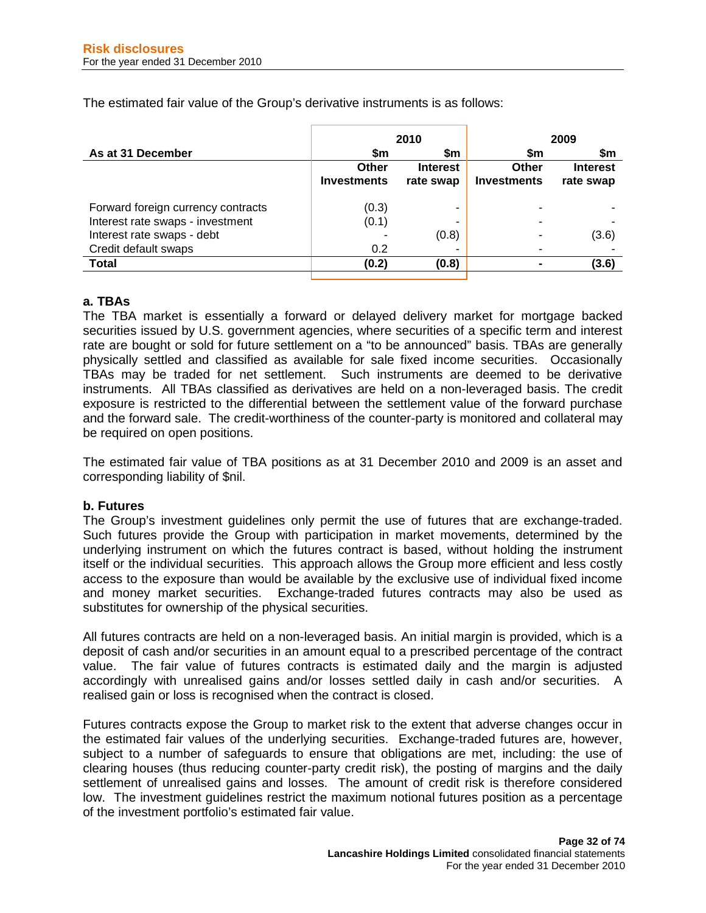The estimated fair value of the Group's derivative instruments is as follows:

|                    |                 | 2009               |                 |  |
|--------------------|-----------------|--------------------|-----------------|--|
| \$m                | \$m             | \$m                | \$m             |  |
| Other              | <b>Interest</b> | Other              | <b>Interest</b> |  |
| <b>Investments</b> | rate swap       | <b>Investments</b> | rate swap       |  |
| (0.3)              |                 |                    |                 |  |
| (0.1)              |                 |                    |                 |  |
|                    | (0.8)           |                    | (3.6)           |  |
| 0.2                |                 |                    |                 |  |
| (0.2)              | (0.8)           |                    | (3.6)           |  |
|                    |                 | 2010               |                 |  |

# **a. TBAs**

The TBA market is essentially a forward or delayed delivery market for mortgage backed securities issued by U.S. government agencies, where securities of a specific term and interest rate are bought or sold for future settlement on a "to be announced" basis. TBAs are generally physically settled and classified as available for sale fixed income securities. Occasionally TBAs may be traded for net settlement. Such instruments are deemed to be derivative instruments. All TBAs classified as derivatives are held on a non-leveraged basis. The credit exposure is restricted to the differential between the settlement value of the forward purchase and the forward sale. The credit-worthiness of the counter-party is monitored and collateral may be required on open positions.

The estimated fair value of TBA positions as at 31 December 2010 and 2009 is an asset and corresponding liability of \$nil.

#### **b. Futures**

The Group's investment guidelines only permit the use of futures that are exchange-traded. Such futures provide the Group with participation in market movements, determined by the underlying instrument on which the futures contract is based, without holding the instrument itself or the individual securities. This approach allows the Group more efficient and less costly access to the exposure than would be available by the exclusive use of individual fixed income and money market securities. Exchange-traded futures contracts may also be used as substitutes for ownership of the physical securities.

All futures contracts are held on a non-leveraged basis. An initial margin is provided, which is a deposit of cash and/or securities in an amount equal to a prescribed percentage of the contract value. The fair value of futures contracts is estimated daily and the margin is adjusted accordingly with unrealised gains and/or losses settled daily in cash and/or securities. A realised gain or loss is recognised when the contract is closed.

Futures contracts expose the Group to market risk to the extent that adverse changes occur in the estimated fair values of the underlying securities. Exchange-traded futures are, however, subject to a number of safeguards to ensure that obligations are met, including: the use of clearing houses (thus reducing counter-party credit risk), the posting of margins and the daily settlement of unrealised gains and losses. The amount of credit risk is therefore considered low. The investment guidelines restrict the maximum notional futures position as a percentage of the investment portfolio's estimated fair value.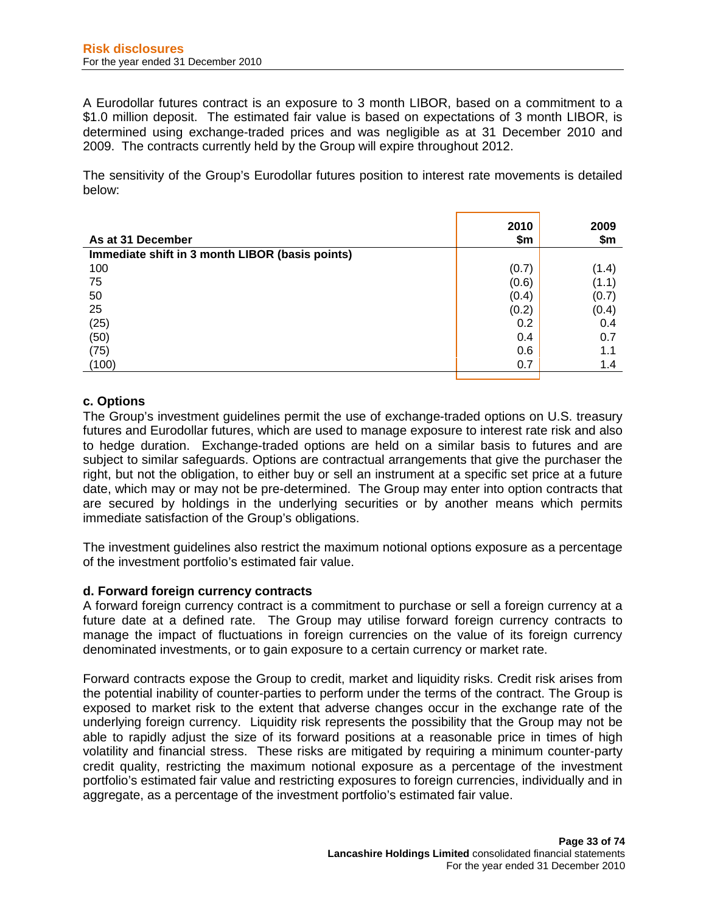A Eurodollar futures contract is an exposure to 3 month LIBOR, based on a commitment to a \$1.0 million deposit. The estimated fair value is based on expectations of 3 month LIBOR, is determined using exchange-traded prices and was negligible as at 31 December 2010 and 2009. The contracts currently held by the Group will expire throughout 2012.

The sensitivity of the Group's Eurodollar futures position to interest rate movements is detailed below:

| As at 31 December                               | 2010<br>\$m | 2009<br>\$m |
|-------------------------------------------------|-------------|-------------|
| Immediate shift in 3 month LIBOR (basis points) |             |             |
| 100                                             | (0.7)       | (1.4)       |
| 75                                              | (0.6)       | (1.1)       |
| 50                                              | (0.4)       | (0.7)       |
| 25                                              | (0.2)       | (0.4)       |
| (25)                                            | 0.2         | 0.4         |
| (50)                                            | 0.4         | 0.7         |
| (75)                                            | 0.6         | 1.1         |
| (100)                                           | 0.7         | 1.4         |

# **c. Options**

The Group's investment guidelines permit the use of exchange-traded options on U.S. treasury futures and Eurodollar futures, which are used to manage exposure to interest rate risk and also to hedge duration. Exchange-traded options are held on a similar basis to futures and are subject to similar safeguards. Options are contractual arrangements that give the purchaser the right, but not the obligation, to either buy or sell an instrument at a specific set price at a future date, which may or may not be pre-determined. The Group may enter into option contracts that are secured by holdings in the underlying securities or by another means which permits immediate satisfaction of the Group's obligations.

The investment guidelines also restrict the maximum notional options exposure as a percentage of the investment portfolio's estimated fair value.

#### **d. Forward foreign currency contracts**

A forward foreign currency contract is a commitment to purchase or sell a foreign currency at a future date at a defined rate. The Group may utilise forward foreign currency contracts to manage the impact of fluctuations in foreign currencies on the value of its foreign currency denominated investments, or to gain exposure to a certain currency or market rate.

Forward contracts expose the Group to credit, market and liquidity risks. Credit risk arises from the potential inability of counter-parties to perform under the terms of the contract. The Group is exposed to market risk to the extent that adverse changes occur in the exchange rate of the underlying foreign currency. Liquidity risk represents the possibility that the Group may not be able to rapidly adjust the size of its forward positions at a reasonable price in times of high volatility and financial stress. These risks are mitigated by requiring a minimum counter-party credit quality, restricting the maximum notional exposure as a percentage of the investment portfolio's estimated fair value and restricting exposures to foreign currencies, individually and in aggregate, as a percentage of the investment portfolio's estimated fair value.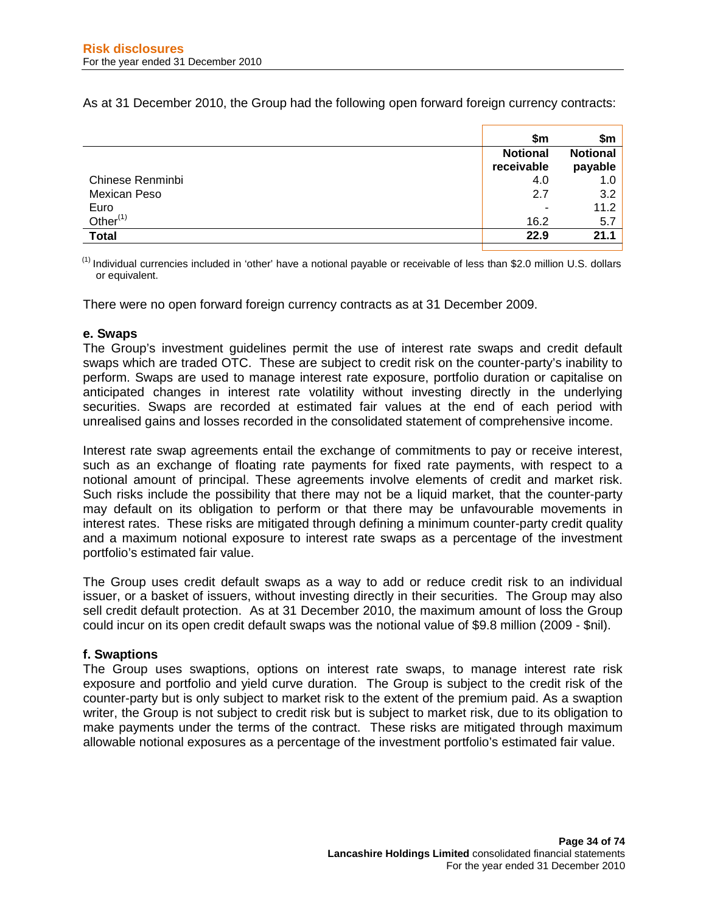As at 31 December 2010, the Group had the following open forward foreign currency contracts:

|                  | \$m                           | \$m                        |
|------------------|-------------------------------|----------------------------|
|                  | <b>Notional</b><br>receivable | <b>Notional</b><br>payable |
| Chinese Renminbi | 4.0                           | 1.0                        |
| Mexican Peso     | 2.7                           | 3.2                        |
| Euro             | -                             | 11.2                       |
| Other $(1)$      | 16.2                          | 5.7                        |
| <b>Total</b>     | 22.9                          | 21.1                       |

 $<sup>(1)</sup>$  Individual currencies included in 'other' have a notional payable or receivable of less than \$2.0 million U.S. dollars</sup> or equivalent.

There were no open forward foreign currency contracts as at 31 December 2009.

## **e. Swaps**

The Group's investment guidelines permit the use of interest rate swaps and credit default swaps which are traded OTC. These are subject to credit risk on the counter-party's inability to perform. Swaps are used to manage interest rate exposure, portfolio duration or capitalise on anticipated changes in interest rate volatility without investing directly in the underlying securities. Swaps are recorded at estimated fair values at the end of each period with unrealised gains and losses recorded in the consolidated statement of comprehensive income.

Interest rate swap agreements entail the exchange of commitments to pay or receive interest, such as an exchange of floating rate payments for fixed rate payments, with respect to a notional amount of principal. These agreements involve elements of credit and market risk. Such risks include the possibility that there may not be a liquid market, that the counter-party may default on its obligation to perform or that there may be unfavourable movements in interest rates. These risks are mitigated through defining a minimum counter-party credit quality and a maximum notional exposure to interest rate swaps as a percentage of the investment portfolio's estimated fair value.

The Group uses credit default swaps as a way to add or reduce credit risk to an individual issuer, or a basket of issuers, without investing directly in their securities. The Group may also sell credit default protection. As at 31 December 2010, the maximum amount of loss the Group could incur on its open credit default swaps was the notional value of \$9.8 million (2009 - \$nil).

#### **f. Swaptions**

The Group uses swaptions, options on interest rate swaps, to manage interest rate risk exposure and portfolio and yield curve duration. The Group is subject to the credit risk of the counter-party but is only subject to market risk to the extent of the premium paid. As a swaption writer, the Group is not subject to credit risk but is subject to market risk, due to its obligation to make payments under the terms of the contract. These risks are mitigated through maximum allowable notional exposures as a percentage of the investment portfolio's estimated fair value.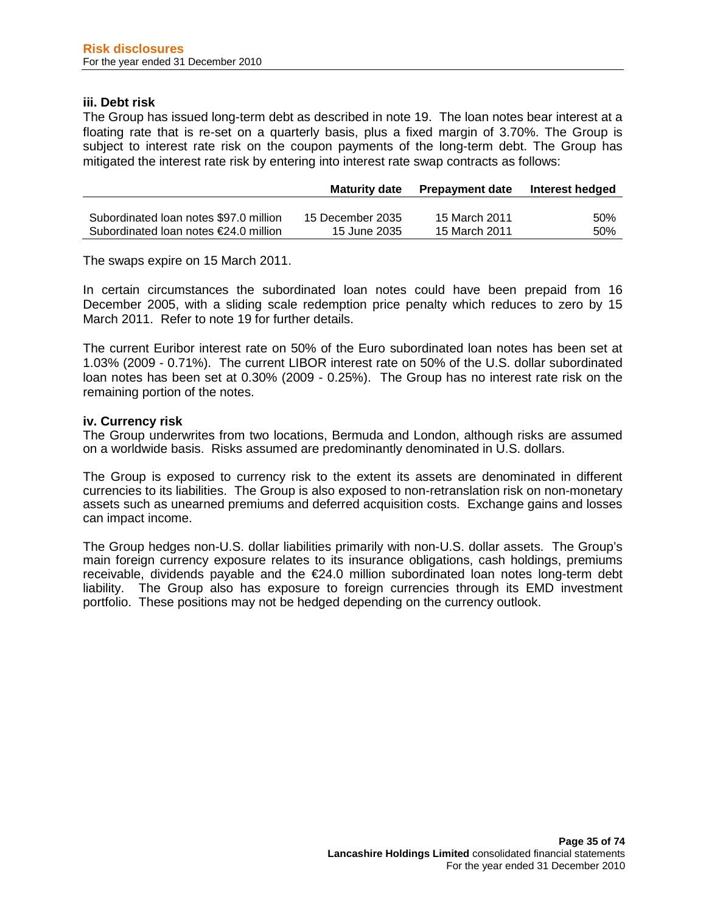#### **iii. Debt risk**

The Group has issued long-term debt as described in note 19. The loan notes bear interest at a floating rate that is re-set on a quarterly basis, plus a fixed margin of 3.70%. The Group is subject to interest rate risk on the coupon payments of the long-term debt. The Group has mitigated the interest rate risk by entering into interest rate swap contracts as follows:

|                                                 | <b>Maturity date</b> | <b>Prepayment date</b> | Interest hedged |
|-------------------------------------------------|----------------------|------------------------|-----------------|
|                                                 |                      |                        |                 |
| Subordinated Ioan notes \$97.0 million          | 15 December 2035     | 15 March 2011          | 50%             |
| Subordinated loan notes $\epsilon$ 24.0 million | 15 June 2035         | 15 March 2011          | 50%             |

The swaps expire on 15 March 2011.

In certain circumstances the subordinated loan notes could have been prepaid from 16 December 2005, with a sliding scale redemption price penalty which reduces to zero by 15 March 2011. Refer to note 19 for further details.

The current Euribor interest rate on 50% of the Euro subordinated loan notes has been set at 1.03% (2009 - 0.71%). The current LIBOR interest rate on 50% of the U.S. dollar subordinated loan notes has been set at 0.30% (2009 - 0.25%). The Group has no interest rate risk on the remaining portion of the notes.

## **iv. Currency risk**

The Group underwrites from two locations, Bermuda and London, although risks are assumed on a worldwide basis. Risks assumed are predominantly denominated in U.S. dollars.

The Group is exposed to currency risk to the extent its assets are denominated in different currencies to its liabilities. The Group is also exposed to non-retranslation risk on non-monetary assets such as unearned premiums and deferred acquisition costs. Exchange gains and losses can impact income.

The Group hedges non-U.S. dollar liabilities primarily with non-U.S. dollar assets. The Group's main foreign currency exposure relates to its insurance obligations, cash holdings, premiums receivable, dividends payable and the €24.0 million subordinated loan notes long-term debt liability. The Group also has exposure to foreign currencies through its EMD investment portfolio. These positions may not be hedged depending on the currency outlook.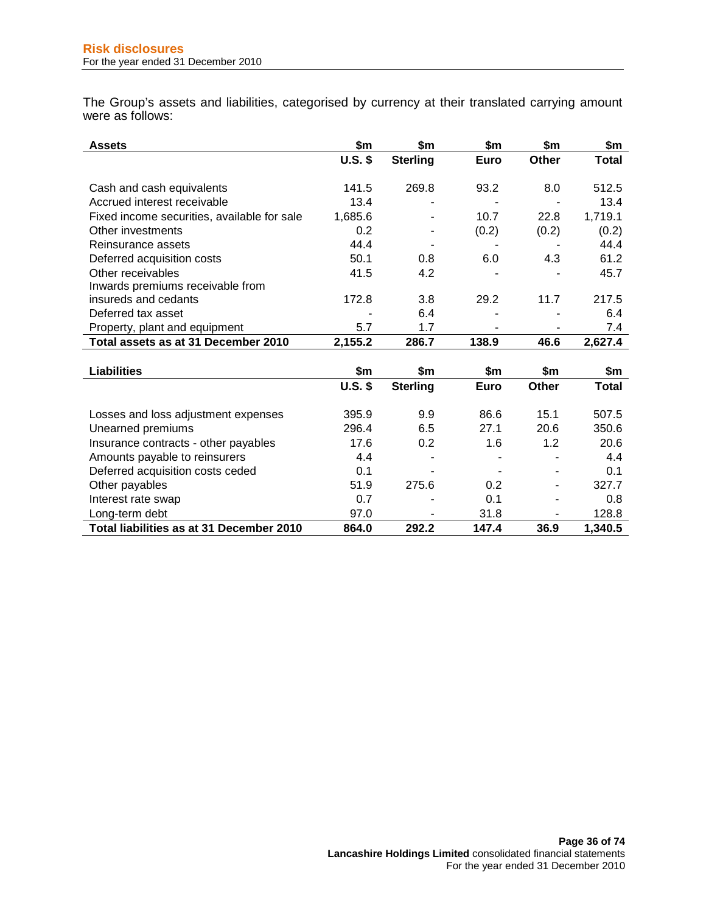The Group's assets and liabilities, categorised by currency at their translated carrying amount were as follows:

| <b>Assets</b>                               | \$m       | \$m             | \$m         | \$m   | \$m     |
|---------------------------------------------|-----------|-----------------|-------------|-------|---------|
|                                             | $U.S.$ \$ | <b>Sterling</b> | <b>Euro</b> | Other | Total   |
|                                             |           |                 |             |       |         |
| Cash and cash equivalents                   | 141.5     | 269.8           | 93.2        | 8.0   | 512.5   |
| Accrued interest receivable                 | 13.4      |                 | ۰           |       | 13.4    |
| Fixed income securities, available for sale | 1,685.6   |                 | 10.7        | 22.8  | 1,719.1 |
| Other investments                           | 0.2       |                 | (0.2)       | (0.2) | (0.2)   |
| Reinsurance assets                          | 44.4      |                 |             |       | 44.4    |
| Deferred acquisition costs                  | 50.1      | 0.8             | 6.0         | 4.3   | 61.2    |
| Other receivables                           | 41.5      | 4.2             |             |       | 45.7    |
| Inwards premiums receivable from            |           |                 |             |       |         |
| insureds and cedants                        | 172.8     | 3.8             | 29.2        | 11.7  | 217.5   |
| Deferred tax asset                          |           | 6.4             | ۰           |       | 6.4     |
| Property, plant and equipment               | 5.7       | 1.7             | ۰           |       | 7.4     |
| Total assets as at 31 December 2010         | 2,155.2   | 286.7           | 138.9       | 46.6  | 2,627.4 |
|                                             |           |                 |             |       |         |

| <b>Liabilities</b>                       | \$m       | \$m             | \$m   | \$m          | \$m          |
|------------------------------------------|-----------|-----------------|-------|--------------|--------------|
|                                          | $U.S.$ \$ | <b>Sterling</b> | Euro  | <b>Other</b> | <b>Total</b> |
| Losses and loss adjustment expenses      | 395.9     | 9.9             | 86.6  | 15.1         | 507.5        |
| Unearned premiums                        | 296.4     | 6.5             | 27.1  | 20.6         | 350.6        |
| Insurance contracts - other payables     | 17.6      | 0.2             | 1.6   | 1.2          | 20.6         |
| Amounts payable to reinsurers            | 4.4       | ۰               | -     | ۰            | 4.4          |
| Deferred acquisition costs ceded         | 0.1       |                 |       |              | 0.1          |
| Other payables                           | 51.9      | 275.6           | 0.2   | ۰            | 327.7        |
| Interest rate swap                       | 0.7       |                 | 0.1   |              | 0.8          |
| Long-term debt                           | 97.0      | ۰               | 31.8  |              | 128.8        |
| Total liabilities as at 31 December 2010 | 864.0     | 292.2           | 147.4 | 36.9         | 1,340.5      |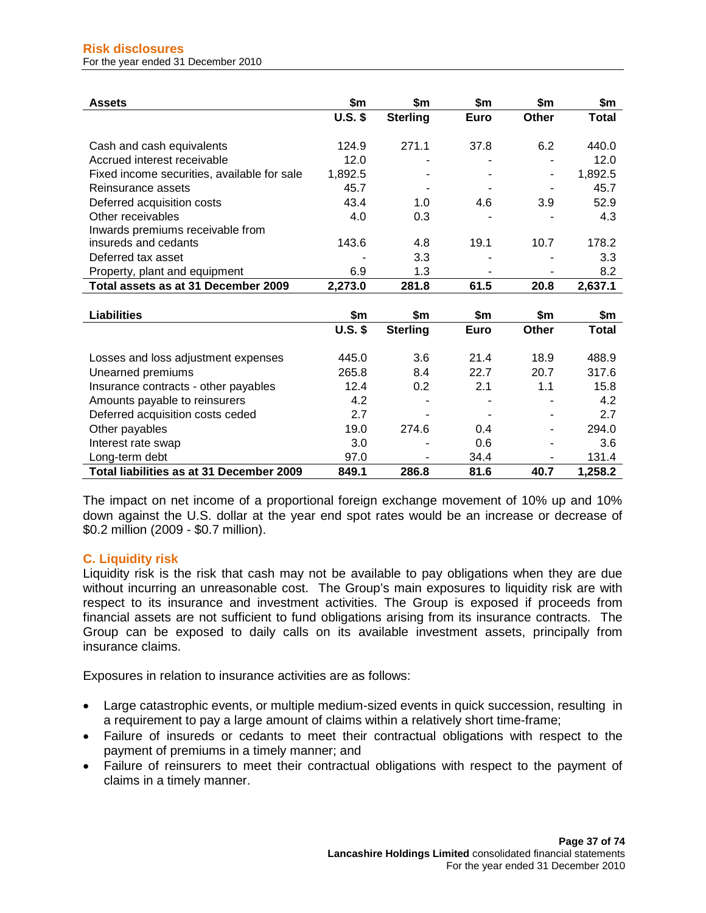| <b>Assets</b>                               | \$m       | \$m             | \$m         | \$m          | \$m          |
|---------------------------------------------|-----------|-----------------|-------------|--------------|--------------|
|                                             | $U.S.$ \$ | <b>Sterling</b> | <b>Euro</b> | <b>Other</b> | <b>Total</b> |
|                                             |           |                 |             |              |              |
| Cash and cash equivalents                   | 124.9     | 271.1           | 37.8        | 6.2          | 440.0        |
| Accrued interest receivable                 | 12.0      |                 |             |              | 12.0         |
| Fixed income securities, available for sale | 1,892.5   |                 |             |              | 1,892.5      |
| Reinsurance assets                          | 45.7      |                 |             |              | 45.7         |
| Deferred acquisition costs                  | 43.4      | 1.0             | 4.6         | 3.9          | 52.9         |
| Other receivables                           | 4.0       | 0.3             |             |              | 4.3          |
| Inwards premiums receivable from            |           |                 |             |              |              |
| insureds and cedants                        | 143.6     | 4.8             | 19.1        | 10.7         | 178.2        |
| Deferred tax asset                          |           | 3.3             |             |              | 3.3          |
| Property, plant and equipment               | 6.9       | 1.3             |             |              | 8.2          |
| Total assets as at 31 December 2009         | 2,273.0   | 281.8           | 61.5        | 20.8         | 2,637.1      |
|                                             |           |                 |             |              |              |
| <b>Liabilities</b>                          | \$m       | \$m             | \$m         | \$m          | \$m          |
|                                             | $U.S.$ \$ | <b>Sterling</b> | Euro        | Other        | <b>Total</b> |
|                                             |           |                 |             |              |              |
| Losses and loss adjustment expenses         | 445.0     | 3.6             | 21.4        | 18.9         | 488.9        |
| Unearned premiums                           | 265.8     | 8.4             | 22.7        | 20.7         | 317.6        |
| Insurance contracts - other payables        | 12.4      | 0.2             | 2.1         | 1.1          | 15.8         |
| Amounts payable to reinsurers               | 4.2       |                 |             |              | 4.2          |
| Deferred acquisition costs ceded            | 2.7       |                 |             |              | 2.7          |
| Other payables                              | 19.0      | 274.6           | 0.4         |              | 294.0        |
| Interest rate swap                          | 3.0       |                 | 0.6         |              | 3.6          |
| Long-term debt                              | 97.0      |                 | 34.4        |              | 131.4        |
| Total liabilities as at 31 December 2009    | 849.1     | 286.8           | 81.6        | 40.7         | 1,258.2      |

The impact on net income of a proportional foreign exchange movement of 10% up and 10% down against the U.S. dollar at the year end spot rates would be an increase or decrease of \$0.2 million (2009 - \$0.7 million).

# **C. Liquidity risk**

Liquidity risk is the risk that cash may not be available to pay obligations when they are due without incurring an unreasonable cost. The Group's main exposures to liquidity risk are with respect to its insurance and investment activities. The Group is exposed if proceeds from financial assets are not sufficient to fund obligations arising from its insurance contracts. The Group can be exposed to daily calls on its available investment assets, principally from insurance claims.

Exposures in relation to insurance activities are as follows:

- Large catastrophic events, or multiple medium-sized events in quick succession, resulting in a requirement to pay a large amount of claims within a relatively short time-frame;
- Failure of insureds or cedants to meet their contractual obligations with respect to the payment of premiums in a timely manner; and
- Failure of reinsurers to meet their contractual obligations with respect to the payment of claims in a timely manner.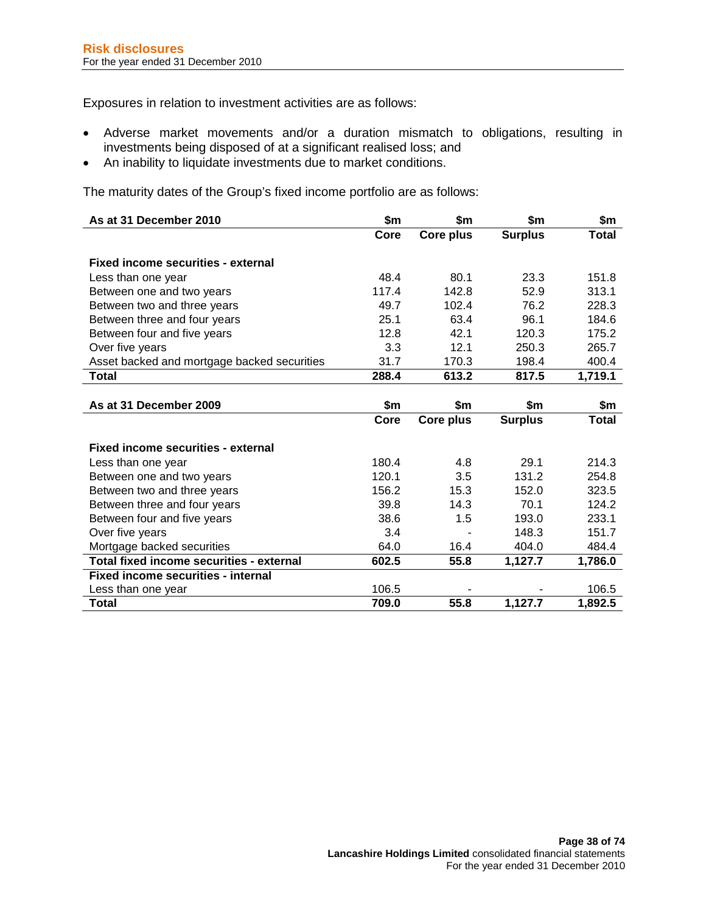Exposures in relation to investment activities are as follows:

- Adverse market movements and/or a duration mismatch to obligations, resulting in investments being disposed of at a significant realised loss; and
- An inability to liquidate investments due to market conditions.

The maturity dates of the Group's fixed income portfolio are as follows:

| As at 31 December 2010                      | \$m   | \$m       | \$m            | \$m          |
|---------------------------------------------|-------|-----------|----------------|--------------|
|                                             | Core  | Core plus | <b>Surplus</b> | <b>Total</b> |
|                                             |       |           |                |              |
| <b>Fixed income securities - external</b>   |       |           |                |              |
| Less than one year                          | 48.4  | 80.1      | 23.3           | 151.8        |
| Between one and two years                   | 117.4 | 142.8     | 52.9           | 313.1        |
| Between two and three years                 | 49.7  | 102.4     | 76.2           | 228.3        |
| Between three and four years                | 25.1  | 63.4      | 96.1           | 184.6        |
| Between four and five years                 | 12.8  | 42.1      | 120.3          | 175.2        |
| Over five years                             | 3.3   | 12.1      | 250.3          | 265.7        |
| Asset backed and mortgage backed securities | 31.7  | 170.3     | 198.4          | 400.4        |
| <b>Total</b>                                | 288.4 | 613.2     | 817.5          | 1,719.1      |
|                                             |       |           |                |              |
| As at 31 December 2009                      | \$m   | \$m       | \$m            | \$m          |
|                                             | Core  | Core plus | <b>Surplus</b> | <b>Total</b> |
| <b>Fixed income securities - external</b>   |       |           |                |              |
|                                             |       |           |                |              |
| Less than one year                          | 180.4 | 4.8       | 29.1           | 214.3        |
| Between one and two years                   | 120.1 | 3.5       | 131.2          | 254.8        |
| Between two and three years                 | 156.2 | 15.3      | 152.0          | 323.5        |
| Between three and four years                | 39.8  | 14.3      | 70.1           | 124.2        |
| Between four and five years                 | 38.6  | 1.5       | 193.0          | 233.1        |
| Over five years                             | 3.4   |           | 148.3          | 151.7        |
| Mortgage backed securities                  | 64.0  | 16.4      | 404.0          | 484.4        |
| Total fixed income securities - external    | 602.5 | 55.8      | 1,127.7        | 1,786.0      |
| <b>Fixed income securities - internal</b>   |       |           |                |              |
| Less than one year                          | 106.5 |           |                | 106.5        |
| <b>Total</b>                                | 709.0 | 55.8      | 1,127.7        | 1,892.5      |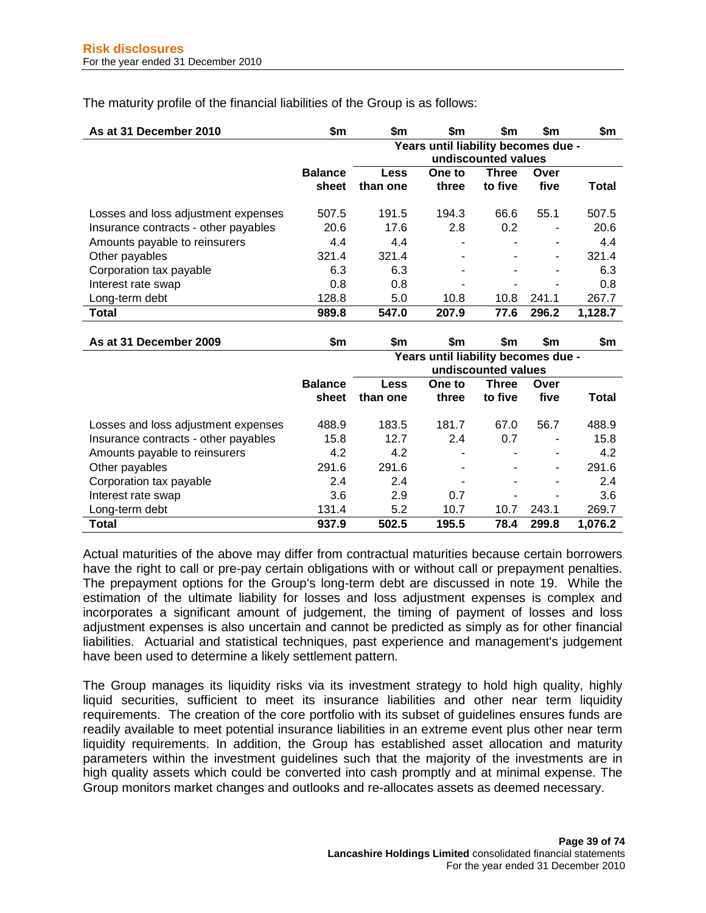The maturity profile of the financial liabilities of the Group is as follows:

| As at 31 December 2010               | \$m                     | \$m                                                        | \$m             | \$m                     | \$m          | \$m     |
|--------------------------------------|-------------------------|------------------------------------------------------------|-----------------|-------------------------|--------------|---------|
|                                      |                         | Years until liability becomes due -<br>undiscounted values |                 |                         |              |         |
|                                      | <b>Balance</b><br>sheet | Less<br>than one                                           | One to<br>three | <b>Three</b><br>to five | Over<br>five | Total   |
| Losses and loss adjustment expenses  | 507.5                   | 191.5                                                      | 194.3           | 66.6                    | 55.1         | 507.5   |
| Insurance contracts - other payables | 20.6                    | 17.6                                                       | 2.8             | 0.2                     |              | 20.6    |
| Amounts payable to reinsurers        | 4.4                     | 4.4                                                        | ۰               |                         | ٠            | 4.4     |
| Other payables                       | 321.4                   | 321.4                                                      |                 |                         | ۰            | 321.4   |
| Corporation tax payable              | 6.3                     | 6.3                                                        | ۰               |                         |              | 6.3     |
| Interest rate swap                   | 0.8                     | 0.8                                                        | -               |                         |              | 0.8     |
| Long-term debt                       | 128.8                   | 5.0                                                        | 10.8            | 10.8                    | 241.1        | 267.7   |
| <b>Total</b>                         | 989.8                   | 547.0                                                      | 207.9           | 77.6                    | 296.2        | 1,128.7 |

| As at 31 December 2009               | \$m            | \$m                                 | \$m    | \$m                 | \$m   | \$m     |
|--------------------------------------|----------------|-------------------------------------|--------|---------------------|-------|---------|
|                                      |                | Years until liability becomes due - |        |                     |       |         |
|                                      |                |                                     |        | undiscounted values |       |         |
|                                      | <b>Balance</b> | Less                                | One to | <b>Three</b>        | Over  |         |
|                                      | sheet          | than one                            | three  | to five             | five  | Total   |
| Losses and loss adjustment expenses  | 488.9          | 183.5                               | 181.7  | 67.0                | 56.7  | 488.9   |
| Insurance contracts - other payables | 15.8           | 12.7                                | 2.4    | 0.7                 | ٠     | 15.8    |
| Amounts payable to reinsurers        | 4.2            | 4.2                                 | ۰      |                     | ٠     | 4.2     |
| Other payables                       | 291.6          | 291.6                               |        |                     | ٠     | 291.6   |
| Corporation tax payable              | 2.4            | 2.4                                 |        |                     | ٠     | 2.4     |
| Interest rate swap                   | 3.6            | 2.9                                 | 0.7    |                     |       | 3.6     |
| Long-term debt                       | 131.4          | 5.2                                 | 10.7   | 10.7                | 243.1 | 269.7   |
| Total                                | 937.9          | 502.5                               | 195.5  | 78.4                | 299.8 | 1,076.2 |

Actual maturities of the above may differ from contractual maturities because certain borrowers have the right to call or pre-pay certain obligations with or without call or prepayment penalties. The prepayment options for the Group's long-term debt are discussed in note 19. While the estimation of the ultimate liability for losses and loss adjustment expenses is complex and incorporates a significant amount of judgement, the timing of payment of losses and loss adjustment expenses is also uncertain and cannot be predicted as simply as for other financial liabilities. Actuarial and statistical techniques, past experience and management's judgement have been used to determine a likely settlement pattern.

The Group manages its liquidity risks via its investment strategy to hold high quality, highly liquid securities, sufficient to meet its insurance liabilities and other near term liquidity requirements. The creation of the core portfolio with its subset of guidelines ensures funds are readily available to meet potential insurance liabilities in an extreme event plus other near term liquidity requirements. In addition, the Group has established asset allocation and maturity parameters within the investment guidelines such that the majority of the investments are in high quality assets which could be converted into cash promptly and at minimal expense. The Group monitors market changes and outlooks and re-allocates assets as deemed necessary.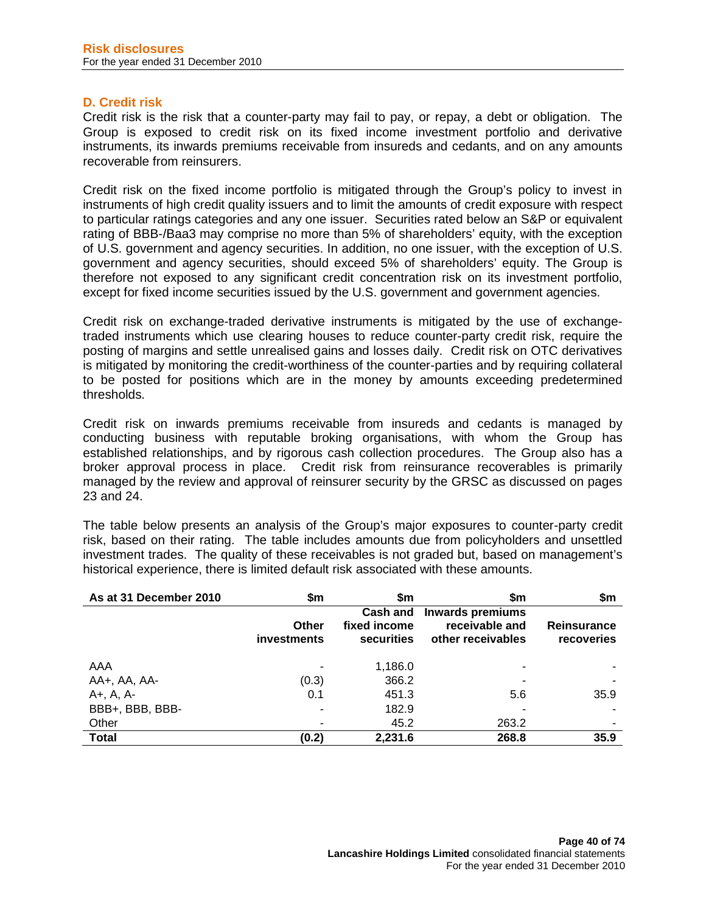#### **D. Credit risk**

Credit risk is the risk that a counter-party may fail to pay, or repay, a debt or obligation. The Group is exposed to credit risk on its fixed income investment portfolio and derivative instruments, its inwards premiums receivable from insureds and cedants, and on any amounts recoverable from reinsurers.

Credit risk on the fixed income portfolio is mitigated through the Group's policy to invest in instruments of high credit quality issuers and to limit the amounts of credit exposure with respect to particular ratings categories and any one issuer. Securities rated below an S&P or equivalent rating of BBB-/Baa3 may comprise no more than 5% of shareholders' equity, with the exception of U.S. government and agency securities. In addition, no one issuer, with the exception of U.S. government and agency securities, should exceed 5% of shareholders' equity. The Group is therefore not exposed to any significant credit concentration risk on its investment portfolio, except for fixed income securities issued by the U.S. government and government agencies.

Credit risk on exchange-traded derivative instruments is mitigated by the use of exchangetraded instruments which use clearing houses to reduce counter-party credit risk, require the posting of margins and settle unrealised gains and losses daily. Credit risk on OTC derivatives is mitigated by monitoring the credit-worthiness of the counter-parties and by requiring collateral to be posted for positions which are in the money by amounts exceeding predetermined thresholds.

Credit risk on inwards premiums receivable from insureds and cedants is managed by conducting business with reputable broking organisations, with whom the Group has established relationships, and by rigorous cash collection procedures. The Group also has a broker approval process in place. Credit risk from reinsurance recoverables is primarily managed by the review and approval of reinsurer security by the GRSC as discussed on pages 23 and 24.

The table below presents an analysis of the Group's major exposures to counter-party credit risk, based on their rating. The table includes amounts due from policyholders and unsettled investment trades. The quality of these receivables is not graded but, based on management's historical experience, there is limited default risk associated with these amounts.

| As at 31 December 2010 | \$m                                | \$m                                           | \$m                                                            | \$m                              |
|------------------------|------------------------------------|-----------------------------------------------|----------------------------------------------------------------|----------------------------------|
|                        | <b>Other</b><br><b>investments</b> | Cash and<br>fixed income<br><b>securities</b> | <b>Inwards premiums</b><br>receivable and<br>other receivables | <b>Reinsurance</b><br>recoveries |
| AAA                    |                                    | 1,186.0                                       |                                                                |                                  |
| AA+, AA, AA-           | (0.3)                              | 366.2                                         |                                                                |                                  |
| $A +$ , $A$ , $A$ -    | 0.1                                | 451.3                                         | 5.6                                                            | 35.9                             |
| BBB+, BBB, BBB-        |                                    | 182.9                                         |                                                                |                                  |
| Other                  |                                    | 45.2                                          | 263.2                                                          |                                  |
| <b>Total</b>           | (0.2)                              | 2,231.6                                       | 268.8                                                          | 35.9                             |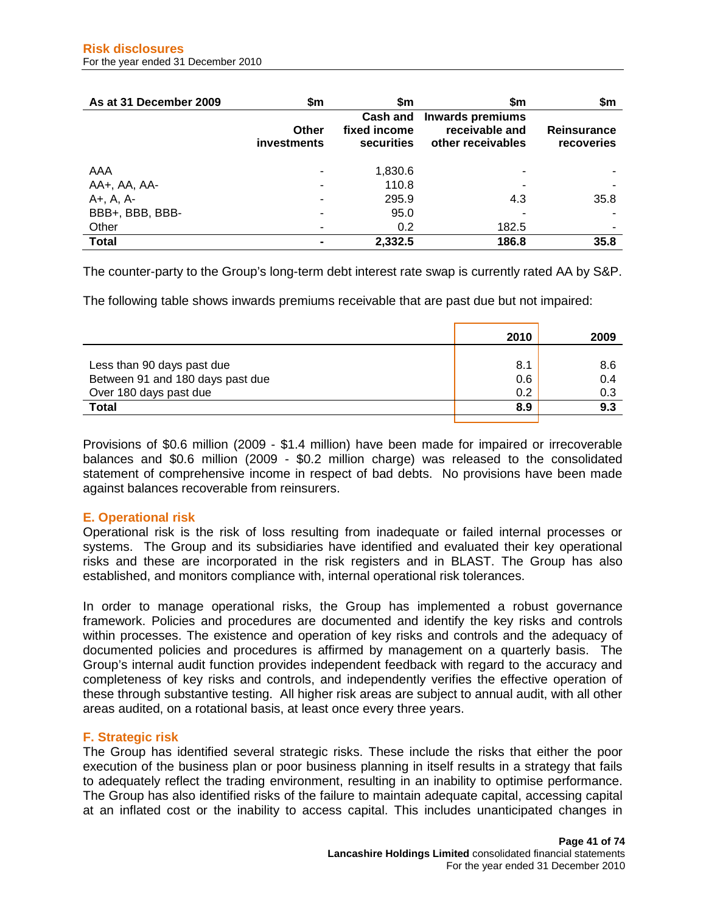| As at 31 December 2009 | \$m                                | \$m                                    | \$m                                                     | \$m                              |
|------------------------|------------------------------------|----------------------------------------|---------------------------------------------------------|----------------------------------|
|                        | <b>Other</b><br><b>investments</b> | Cash and<br>fixed income<br>securities | Inwards premiums<br>receivable and<br>other receivables | <b>Reinsurance</b><br>recoveries |
| AAA                    |                                    | 1,830.6                                |                                                         |                                  |
| AA+, AA, AA-           |                                    | 110.8                                  |                                                         |                                  |
| A+, A, A-              |                                    | 295.9                                  | 4.3                                                     | 35.8                             |
| BBB+, BBB, BBB-        |                                    | 95.0                                   |                                                         |                                  |
| Other                  |                                    | 0.2                                    | 182.5                                                   | ۰                                |
| <b>Total</b>           |                                    | 2,332.5                                | 186.8                                                   | 35.8                             |

The counter-party to the Group's long-term debt interest rate swap is currently rated AA by S&P.

The following table shows inwards premiums receivable that are past due but not impaired:

|                                  | 2010 | 2009 |
|----------------------------------|------|------|
|                                  |      |      |
| Less than 90 days past due       | 8.1  | 8.6  |
| Between 91 and 180 days past due | 0.6  | 0.4  |
| Over 180 days past due           | 0.2  | 0.3  |
| Total                            | 8.9  | 9.3  |
|                                  |      |      |

Provisions of \$0.6 million (2009 - \$1.4 million) have been made for impaired or irrecoverable balances and \$0.6 million (2009 - \$0.2 million charge) was released to the consolidated statement of comprehensive income in respect of bad debts. No provisions have been made against balances recoverable from reinsurers.

# **E. Operational risk**

Operational risk is the risk of loss resulting from inadequate or failed internal processes or systems. The Group and its subsidiaries have identified and evaluated their key operational risks and these are incorporated in the risk registers and in BLAST. The Group has also established, and monitors compliance with, internal operational risk tolerances.

In order to manage operational risks, the Group has implemented a robust governance framework. Policies and procedures are documented and identify the key risks and controls within processes. The existence and operation of key risks and controls and the adequacy of documented policies and procedures is affirmed by management on a quarterly basis. The Group's internal audit function provides independent feedback with regard to the accuracy and completeness of key risks and controls, and independently verifies the effective operation of these through substantive testing. All higher risk areas are subject to annual audit, with all other areas audited, on a rotational basis, at least once every three years.

# **F. Strategic risk**

The Group has identified several strategic risks. These include the risks that either the poor execution of the business plan or poor business planning in itself results in a strategy that fails to adequately reflect the trading environment, resulting in an inability to optimise performance. The Group has also identified risks of the failure to maintain adequate capital, accessing capital at an inflated cost or the inability to access capital. This includes unanticipated changes in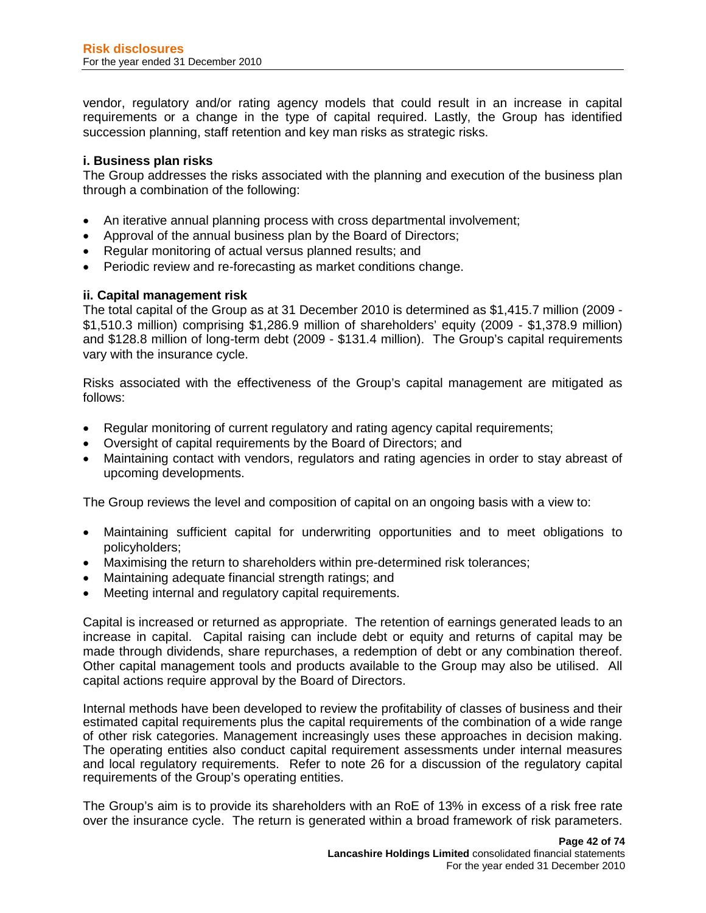vendor, regulatory and/or rating agency models that could result in an increase in capital requirements or a change in the type of capital required. Lastly, the Group has identified succession planning, staff retention and key man risks as strategic risks.

## **i. Business plan risks**

The Group addresses the risks associated with the planning and execution of the business plan through a combination of the following:

- An iterative annual planning process with cross departmental involvement;
- Approval of the annual business plan by the Board of Directors;
- Regular monitoring of actual versus planned results; and
- Periodic review and re-forecasting as market conditions change.

## **ii. Capital management risk**

The total capital of the Group as at 31 December 2010 is determined as \$1,415.7 million (2009 - \$1,510.3 million) comprising \$1,286.9 million of shareholders' equity (2009 - \$1,378.9 million) and \$128.8 million of long-term debt (2009 - \$131.4 million). The Group's capital requirements vary with the insurance cycle.

Risks associated with the effectiveness of the Group's capital management are mitigated as follows:

- Regular monitoring of current regulatory and rating agency capital requirements;
- Oversight of capital requirements by the Board of Directors; and
- Maintaining contact with vendors, regulators and rating agencies in order to stay abreast of upcoming developments.

The Group reviews the level and composition of capital on an ongoing basis with a view to:

- Maintaining sufficient capital for underwriting opportunities and to meet obligations to policyholders;
- Maximising the return to shareholders within pre-determined risk tolerances;
- Maintaining adequate financial strength ratings; and
- Meeting internal and regulatory capital requirements.

Capital is increased or returned as appropriate. The retention of earnings generated leads to an increase in capital. Capital raising can include debt or equity and returns of capital may be made through dividends, share repurchases, a redemption of debt or any combination thereof. Other capital management tools and products available to the Group may also be utilised. All capital actions require approval by the Board of Directors.

Internal methods have been developed to review the profitability of classes of business and their estimated capital requirements plus the capital requirements of the combination of a wide range of other risk categories. Management increasingly uses these approaches in decision making. The operating entities also conduct capital requirement assessments under internal measures and local regulatory requirements. Refer to note 26 for a discussion of the regulatory capital requirements of the Group's operating entities.

The Group's aim is to provide its shareholders with an RoE of 13% in excess of a risk free rate over the insurance cycle. The return is generated within a broad framework of risk parameters.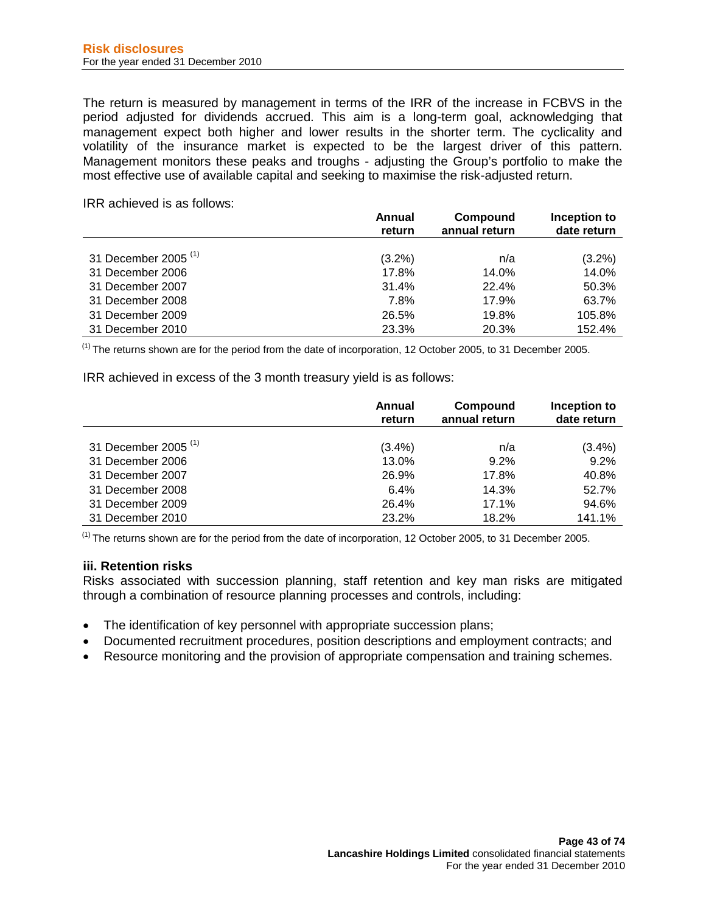The return is measured by management in terms of the IRR of the increase in FCBVS in the period adjusted for dividends accrued. This aim is a long-term goal, acknowledging that management expect both higher and lower results in the shorter term. The cyclicality and volatility of the insurance market is expected to be the largest driver of this pattern. Management monitors these peaks and troughs - adjusting the Group's portfolio to make the most effective use of available capital and seeking to maximise the risk-adjusted return.

IRR achieved is as follows:

|                                 | Annual<br>return | Compound<br>annual return | Inception to<br>date return |
|---------------------------------|------------------|---------------------------|-----------------------------|
| 31 December 2005 <sup>(1)</sup> | $(3.2\%)$        | n/a                       | $(3.2\%)$                   |
| 31 December 2006                | 17.8%            | 14.0%                     | 14.0%                       |
| 31 December 2007                | 31.4%            | 22.4%                     | 50.3%                       |
| 31 December 2008                | 7.8%             | 17.9%                     | 63.7%                       |
| 31 December 2009                | 26.5%            | 19.8%                     | 105.8%                      |
| 31 December 2010                | 23.3%            | 20.3%                     | 152.4%                      |

 $<sup>(1)</sup>$  The returns shown are for the period from the date of incorporation, 12 October 2005, to 31 December 2005.</sup>

IRR achieved in excess of the 3 month treasury yield is as follows:

|                                 | Annual<br>return | Compound<br>annual return | Inception to<br>date return |
|---------------------------------|------------------|---------------------------|-----------------------------|
| 31 December 2005 <sup>(1)</sup> | (3.4%)           |                           |                             |
|                                 |                  | n/a                       | $(3.4\%)$                   |
| 31 December 2006                | 13.0%            | 9.2%                      | 9.2%                        |
| 31 December 2007                | 26.9%            | 17.8%                     | 40.8%                       |
| 31 December 2008                | 6.4%             | 14.3%                     | 52.7%                       |
| 31 December 2009                | 26.4%            | 17.1%                     | 94.6%                       |
| 31 December 2010                | 23.2%            | 18.2%                     | 141.1%                      |

 $<sup>(1)</sup>$  The returns shown are for the period from the date of incorporation, 12 October 2005, to 31 December 2005.</sup>

#### **iii. Retention risks**

Risks associated with succession planning, staff retention and key man risks are mitigated through a combination of resource planning processes and controls, including:

- The identification of key personnel with appropriate succession plans;
- Documented recruitment procedures, position descriptions and employment contracts; and
- Resource monitoring and the provision of appropriate compensation and training schemes.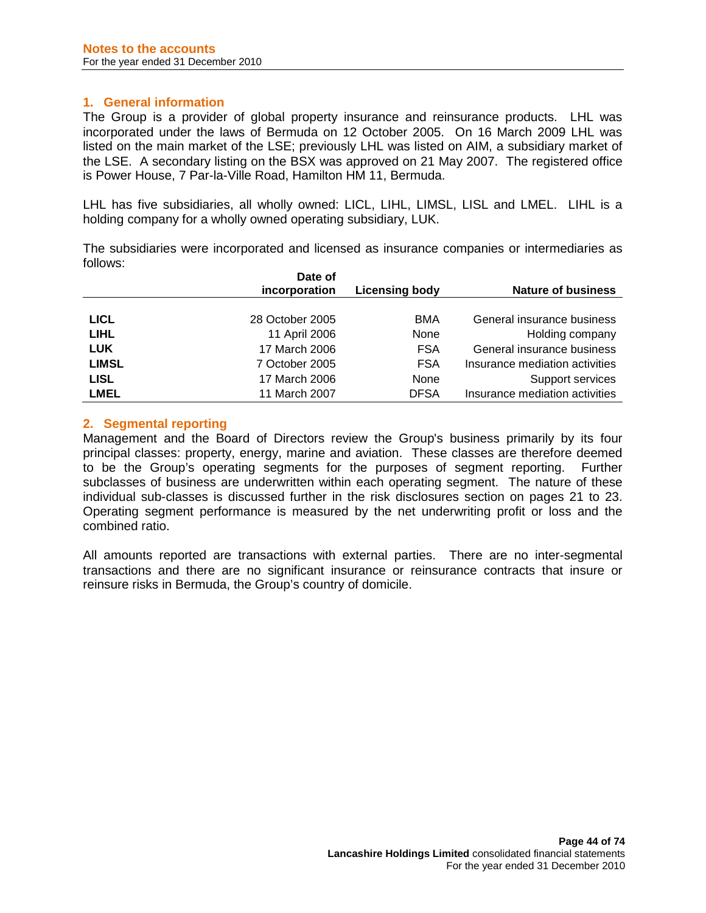## **1. General information**

The Group is a provider of global property insurance and reinsurance products. LHL was incorporated under the laws of Bermuda on 12 October 2005. On 16 March 2009 LHL was listed on the main market of the LSE; previously LHL was listed on AIM, a subsidiary market of the LSE. A secondary listing on the BSX was approved on 21 May 2007. The registered office is Power House, 7 Par-la-Ville Road, Hamilton HM 11, Bermuda.

LHL has five subsidiaries, all wholly owned: LICL, LIHL, LIMSL, LISL and LMEL. LIHL is a holding company for a wholly owned operating subsidiary, LUK.

The subsidiaries were incorporated and licensed as insurance companies or intermediaries as follows:

|              | Date of         |                       |                                |
|--------------|-----------------|-----------------------|--------------------------------|
|              | incorporation   | <b>Licensing body</b> | <b>Nature of business</b>      |
|              |                 |                       |                                |
| <b>LICL</b>  | 28 October 2005 | <b>BMA</b>            | General insurance business     |
| <b>LIHL</b>  | 11 April 2006   | None                  | Holding company                |
| <b>LUK</b>   | 17 March 2006   | <b>FSA</b>            | General insurance business     |
| <b>LIMSL</b> | 7 October 2005  | <b>FSA</b>            | Insurance mediation activities |
| <b>LISL</b>  | 17 March 2006   | None                  | Support services               |
| <b>LMEL</b>  | 11 March 2007   | <b>DFSA</b>           | Insurance mediation activities |

## **2. Segmental reporting**

Management and the Board of Directors review the Group's business primarily by its four principal classes: property, energy, marine and aviation. These classes are therefore deemed to be the Group's operating segments for the purposes of segment reporting. Further subclasses of business are underwritten within each operating segment. The nature of these individual sub-classes is discussed further in the risk disclosures section on pages 21 to 23. Operating segment performance is measured by the net underwriting profit or loss and the combined ratio.

All amounts reported are transactions with external parties. There are no inter-segmental transactions and there are no significant insurance or reinsurance contracts that insure or reinsure risks in Bermuda, the Group's country of domicile.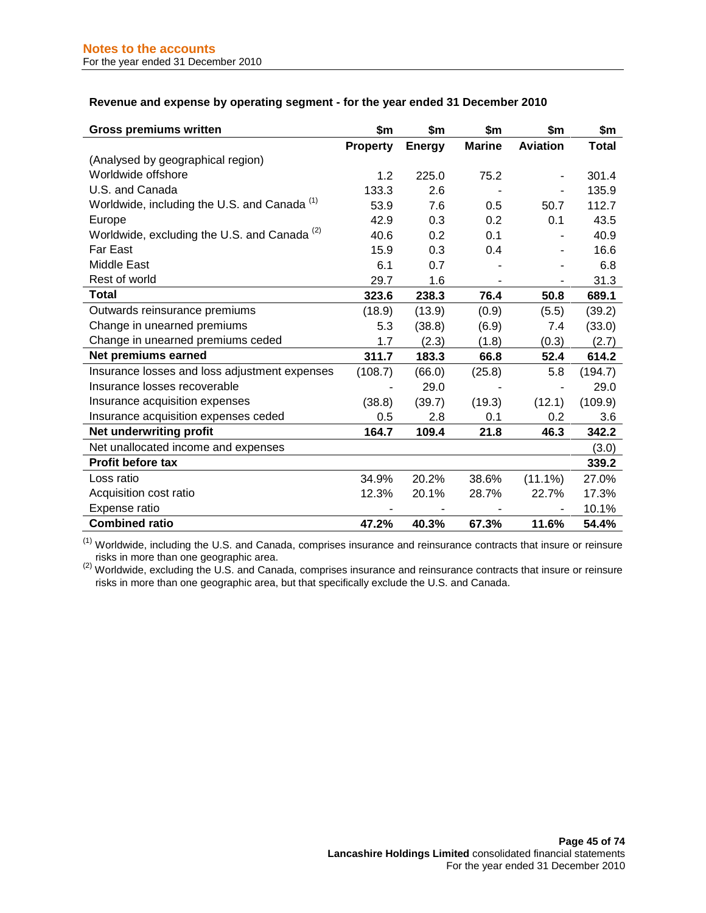| <b>Gross premiums written</b>                           | \$m             | \$m           | \$m           | \$m             | \$m     |
|---------------------------------------------------------|-----------------|---------------|---------------|-----------------|---------|
|                                                         | <b>Property</b> | <b>Energy</b> | <b>Marine</b> | <b>Aviation</b> | Total   |
| (Analysed by geographical region)                       |                 |               |               |                 |         |
| Worldwide offshore                                      | 1.2             | 225.0         | 75.2          |                 | 301.4   |
| U.S. and Canada                                         | 133.3           | 2.6           |               |                 | 135.9   |
| Worldwide, including the U.S. and Canada <sup>(1)</sup> | 53.9            | 7.6           | 0.5           | 50.7            | 112.7   |
| Europe                                                  | 42.9            | 0.3           | 0.2           | 0.1             | 43.5    |
| Worldwide, excluding the U.S. and Canada <sup>(2)</sup> | 40.6            | 0.2           | 0.1           |                 | 40.9    |
| Far East                                                | 15.9            | 0.3           | 0.4           |                 | 16.6    |
| Middle East                                             | 6.1             | 0.7           |               |                 | 6.8     |
| Rest of world                                           | 29.7            | 1.6           |               | -               | 31.3    |
| <b>Total</b>                                            | 323.6           | 238.3         | 76.4          | 50.8            | 689.1   |
| Outwards reinsurance premiums                           | (18.9)          | (13.9)        | (0.9)         | (5.5)           | (39.2)  |
| Change in unearned premiums                             | 5.3             | (38.8)        | (6.9)         | 7.4             | (33.0)  |
| Change in unearned premiums ceded                       | 1.7             | (2.3)         | (1.8)         | (0.3)           | (2.7)   |
| Net premiums earned                                     | 311.7           | 183.3         | 66.8          | 52.4            | 614.2   |
| Insurance losses and loss adjustment expenses           | (108.7)         | (66.0)        | (25.8)        | 5.8             | (194.7) |
| Insurance losses recoverable                            |                 | 29.0          |               |                 | 29.0    |
| Insurance acquisition expenses                          | (38.8)          | (39.7)        | (19.3)        | (12.1)          | (109.9) |
| Insurance acquisition expenses ceded                    | 0.5             | 2.8           | 0.1           | 0.2             | 3.6     |
| Net underwriting profit                                 | 164.7           | 109.4         | 21.8          | 46.3            | 342.2   |
| Net unallocated income and expenses                     |                 |               |               |                 | (3.0)   |
| <b>Profit before tax</b>                                |                 |               |               |                 | 339.2   |
| Loss ratio                                              | 34.9%           | 20.2%         | 38.6%         | $(11.1\%)$      | 27.0%   |
| Acquisition cost ratio                                  | 12.3%           | 20.1%         | 28.7%         | 22.7%           | 17.3%   |
| Expense ratio                                           |                 |               |               |                 | 10.1%   |
| <b>Combined ratio</b>                                   | 47.2%           | 40.3%         | 67.3%         | 11.6%           | 54.4%   |

 $<sup>(1)</sup>$  Worldwide, including the U.S. and Canada, comprises insurance and reinsurance contracts that insure or reinsure</sup>

 $^{(2)}$  risks in more than one geographic area.<br><sup>(2)</sup> Worldwide, excluding the U.S. and Canada, comprises insurance and reinsurance contracts that insure or reinsure risks in more than one geographic area, but that specifically exclude the U.S. and Canada.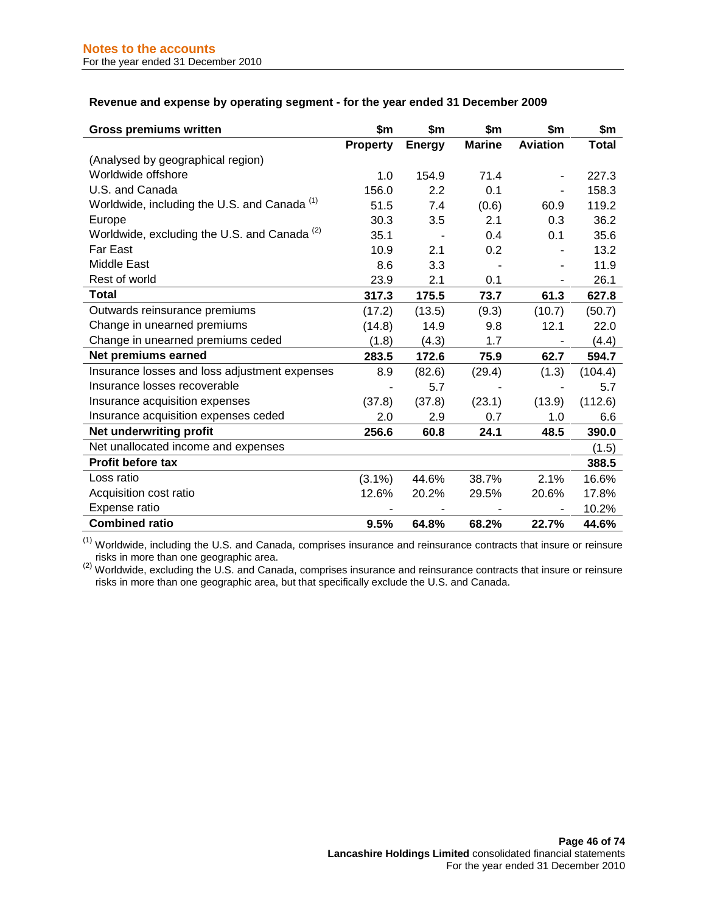#### **Revenue and expense by operating segment - for the year ended 31 December 2009**

| <b>Gross premiums written</b>                           | \$m             | \$m           | \$m           | \$m             | \$m          |
|---------------------------------------------------------|-----------------|---------------|---------------|-----------------|--------------|
|                                                         | <b>Property</b> | <b>Energy</b> | <b>Marine</b> | <b>Aviation</b> | <b>Total</b> |
| (Analysed by geographical region)                       |                 |               |               |                 |              |
| Worldwide offshore                                      | 1.0             | 154.9         | 71.4          |                 | 227.3        |
| U.S. and Canada                                         | 156.0           | 2.2           | 0.1           |                 | 158.3        |
| Worldwide, including the U.S. and Canada <sup>(1)</sup> | 51.5            | 7.4           | (0.6)         | 60.9            | 119.2        |
| Europe                                                  | 30.3            | 3.5           | 2.1           | 0.3             | 36.2         |
| Worldwide, excluding the U.S. and Canada <sup>(2)</sup> | 35.1            |               | 0.4           | 0.1             | 35.6         |
| Far East                                                | 10.9            | 2.1           | 0.2           |                 | 13.2         |
| Middle East                                             | 8.6             | 3.3           |               |                 | 11.9         |
| Rest of world                                           | 23.9            | 2.1           | 0.1           |                 | 26.1         |
| <b>Total</b>                                            | 317.3           | 175.5         | 73.7          | 61.3            | 627.8        |
| Outwards reinsurance premiums                           | (17.2)          | (13.5)        | (9.3)         | (10.7)          | (50.7)       |
| Change in unearned premiums                             | (14.8)          | 14.9          | 9.8           | 12.1            | 22.0         |
| Change in unearned premiums ceded                       | (1.8)           | (4.3)         | 1.7           |                 | (4.4)        |
| Net premiums earned                                     | 283.5           | 172.6         | 75.9          | 62.7            | 594.7        |
| Insurance losses and loss adjustment expenses           | 8.9             | (82.6)        | (29.4)        | (1.3)           | (104.4)      |
| Insurance losses recoverable                            |                 | 5.7           |               |                 | 5.7          |
| Insurance acquisition expenses                          | (37.8)          | (37.8)        | (23.1)        | (13.9)          | (112.6)      |
| Insurance acquisition expenses ceded                    | 2.0             | 2.9           | 0.7           | 1.0             | 6.6          |
| Net underwriting profit                                 | 256.6           | 60.8          | 24.1          | 48.5            | 390.0        |
| Net unallocated income and expenses                     |                 |               |               |                 | (1.5)        |
| Profit before tax                                       |                 |               |               |                 | 388.5        |
| Loss ratio                                              | $(3.1\%)$       | 44.6%         | 38.7%         | 2.1%            | 16.6%        |
| Acquisition cost ratio                                  | 12.6%           | 20.2%         | 29.5%         | 20.6%           | 17.8%        |
| Expense ratio                                           |                 |               |               |                 | 10.2%        |
| <b>Combined ratio</b>                                   | 9.5%            | 64.8%         | 68.2%         | 22.7%           | 44.6%        |

(1) Worldwide, including the U.S. and Canada, comprises insurance and reinsurance contracts that insure or reinsure risks in more than one geographic area.<br><sup>(2)</sup> Worldwide, excluding the U.S. and Canada, comprises insurance and reinsurance contracts that insure or reinsure

risks in more than one geographic area, but that specifically exclude the U.S. and Canada.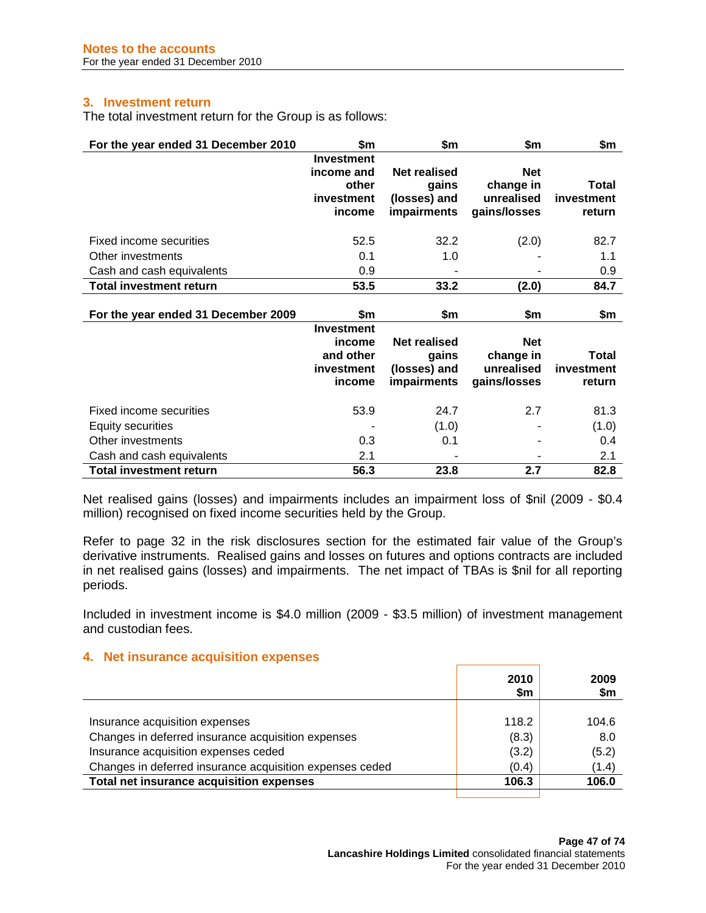## **3. Investment return**

The total investment return for the Group is as follows:

| For the year ended 31 December 2010                                        | \$m                                                              | \$m                                                                | \$m                                                   | \$m                           |
|----------------------------------------------------------------------------|------------------------------------------------------------------|--------------------------------------------------------------------|-------------------------------------------------------|-------------------------------|
|                                                                            | <b>Investment</b><br>income and<br>other<br>investment<br>income | <b>Net realised</b><br>gains<br>(losses) and<br>impairments        | <b>Net</b><br>change in<br>unrealised<br>gains/losses | Total<br>investment<br>return |
| Fixed income securities                                                    | 52.5                                                             | 32.2                                                               | (2.0)                                                 | 82.7                          |
| Other investments                                                          | 0.1                                                              | 1.0                                                                |                                                       | 1.1                           |
| Cash and cash equivalents                                                  | 0.9                                                              |                                                                    |                                                       | 0.9                           |
| <b>Total investment return</b>                                             | 53.5                                                             | 33.2                                                               | (2.0)                                                 | 84.7                          |
|                                                                            |                                                                  |                                                                    |                                                       |                               |
| For the year ended 31 December 2009                                        | \$m                                                              | \$m                                                                | \$m                                                   | \$m                           |
|                                                                            | <b>Investment</b><br>income<br>and other<br>investment<br>income | <b>Net realised</b><br>gains<br>(losses) and<br><b>impairments</b> | <b>Net</b><br>change in<br>unrealised<br>gains/losses | Total<br>investment<br>return |
| Fixed income securities                                                    | 53.9                                                             | 24.7                                                               | 2.7                                                   | 81.3                          |
| <b>Equity securities</b><br>Other investments<br>Cash and cash equivalents | 0.3<br>2.1                                                       | (1.0)<br>0.1                                                       |                                                       | (1.0)<br>0.4<br>2.1           |

Net realised gains (losses) and impairments includes an impairment loss of \$nil (2009 - \$0.4 million) recognised on fixed income securities held by the Group.

Refer to page 32 in the risk disclosures section for the estimated fair value of the Group's derivative instruments. Realised gains and losses on futures and options contracts are included in net realised gains (losses) and impairments. The net impact of TBAs is \$nil for all reporting periods.

Included in investment income is \$4.0 million (2009 - \$3.5 million) of investment management and custodian fees.

#### **4. Net insurance acquisition expenses**

|                                                          | 2010<br>\$m | 2009<br>\$m |
|----------------------------------------------------------|-------------|-------------|
|                                                          |             |             |
| Insurance acquisition expenses                           | 118.2       | 104.6       |
| Changes in deferred insurance acquisition expenses       | (8.3)       | 8.0         |
| Insurance acquisition expenses ceded                     | (3.2)       | (5.2)       |
| Changes in deferred insurance acquisition expenses ceded | (0.4)       | (1.4)       |
| Total net insurance acquisition expenses                 | 106.3       | 106.0       |
|                                                          |             |             |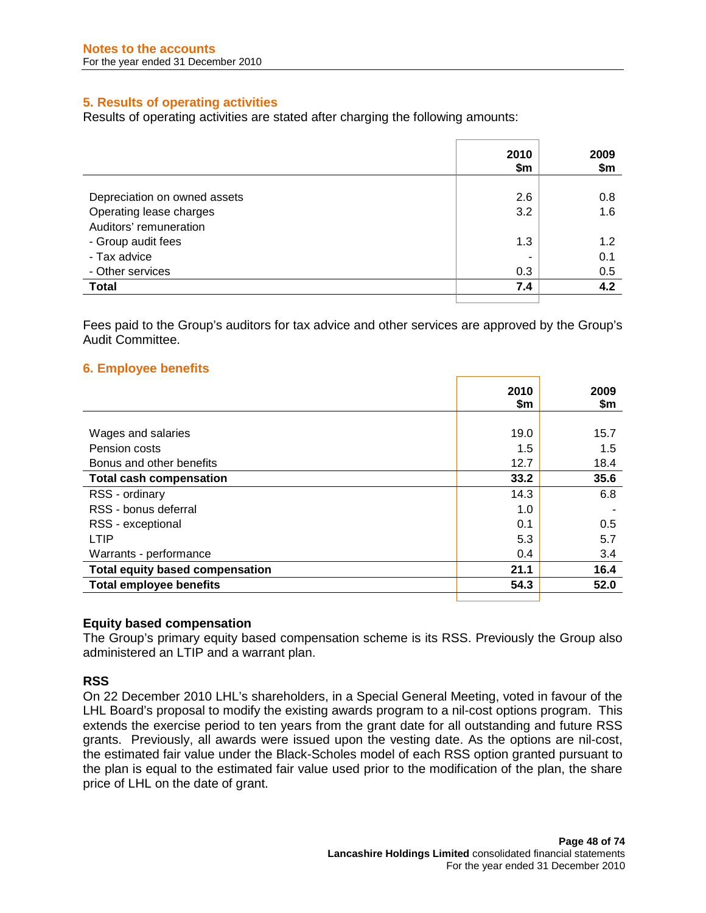# **5. Results of operating activities**

Results of operating activities are stated after charging the following amounts:

|                              | 2010<br>\$m | 2009<br>\$m |
|------------------------------|-------------|-------------|
|                              |             |             |
| Depreciation on owned assets | 2.6         | 0.8         |
| Operating lease charges      | 3.2         | 1.6         |
| Auditors' remuneration       |             |             |
| - Group audit fees           | 1.3         | 1.2         |
| - Tax advice                 |             | 0.1         |
| - Other services             | 0.3         | 0.5         |
| <b>Total</b>                 | 7.4         | 4.2         |
|                              |             |             |

Fees paid to the Group's auditors for tax advice and other services are approved by the Group's Audit Committee.

# **6. Employee benefits**

|                                        | 2010<br>\$m | 2009<br>\$m |
|----------------------------------------|-------------|-------------|
|                                        |             |             |
| Wages and salaries                     | 19.0        | 15.7        |
| Pension costs                          | 1.5         | 1.5         |
| Bonus and other benefits               | 12.7        | 18.4        |
| <b>Total cash compensation</b>         | 33.2        | 35.6        |
| RSS - ordinary                         | 14.3        | 6.8         |
| RSS - bonus deferral                   | 1.0         |             |
| RSS - exceptional                      | 0.1         | 0.5         |
| <b>LTIP</b>                            | 5.3         | 5.7         |
| Warrants - performance                 | 0.4         | 3.4         |
| <b>Total equity based compensation</b> | 21.1        | 16.4        |
| <b>Total employee benefits</b>         | 54.3        | 52.0        |
|                                        |             |             |

#### **Equity based compensation**

The Group's primary equity based compensation scheme is its RSS. Previously the Group also administered an LTIP and a warrant plan.

#### **RSS**

On 22 December 2010 LHL's shareholders, in a Special General Meeting, voted in favour of the LHL Board's proposal to modify the existing awards program to a nil-cost options program. This extends the exercise period to ten years from the grant date for all outstanding and future RSS grants. Previously, all awards were issued upon the vesting date. As the options are nil-cost, the estimated fair value under the Black-Scholes model of each RSS option granted pursuant to the plan is equal to the estimated fair value used prior to the modification of the plan, the share price of LHL on the date of grant.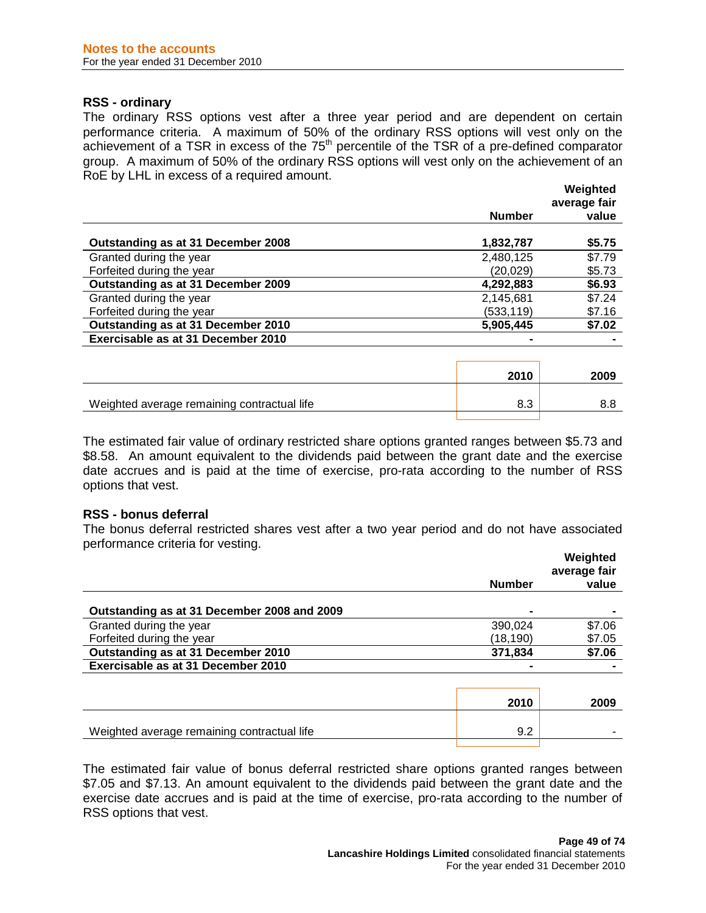#### **RSS - ordinary**

The ordinary RSS options vest after a three year period and are dependent on certain performance criteria. A maximum of 50% of the ordinary RSS options will vest only on the achievement of a TSR in excess of the  $75<sup>th</sup>$  percentile of the TSR of a pre-defined comparator group. A maximum of 50% of the ordinary RSS options will vest only on the achievement of an RoE by LHL in excess of a required amount.

|                                    |               | Weighted<br>average fair |
|------------------------------------|---------------|--------------------------|
|                                    | <b>Number</b> | value                    |
| Outstanding as at 31 December 2008 | 1,832,787     | \$5.75                   |
| Granted during the year            | 2,480,125     | \$7.79                   |
| Forfeited during the year          | (20,029)      | \$5.73                   |
| Outstanding as at 31 December 2009 | 4,292,883     | \$6.93                   |
| Granted during the year            | 2,145,681     | \$7.24                   |
| Forfeited during the year          | (533, 119)    | \$7.16                   |
| Outstanding as at 31 December 2010 | 5,905,445     | \$7.02                   |
| Exercisable as at 31 December 2010 |               |                          |

|                                             | 2010 | 2009 |
|---------------------------------------------|------|------|
| Weighted average remaining contractual life | o.c  |      |
|                                             |      |      |

The estimated fair value of ordinary restricted share options granted ranges between \$5.73 and \$8.58. An amount equivalent to the dividends paid between the grant date and the exercise date accrues and is paid at the time of exercise, pro-rata according to the number of RSS options that vest.

#### **RSS - bonus deferral**

The bonus deferral restricted shares vest after a two year period and do not have associated performance criteria for vesting.

|                                             | <b>Number</b> | Weighted<br>average fair<br>value |
|---------------------------------------------|---------------|-----------------------------------|
|                                             |               |                                   |
| Outstanding as at 31 December 2008 and 2009 |               |                                   |
| Granted during the year                     | 390.024       | \$7.06                            |
| Forfeited during the year                   | (18,190)      | \$7.05                            |
| Outstanding as at 31 December 2010          | 371,834       | \$7.06                            |
| Exercisable as at 31 December 2010          |               |                                   |
|                                             | 2010          | 2009                              |
|                                             |               |                                   |
| Weighted average remaining contractual life | 9.2           |                                   |
|                                             |               |                                   |

The estimated fair value of bonus deferral restricted share options granted ranges between \$7.05 and \$7.13. An amount equivalent to the dividends paid between the grant date and the exercise date accrues and is paid at the time of exercise, pro-rata according to the number of RSS options that vest.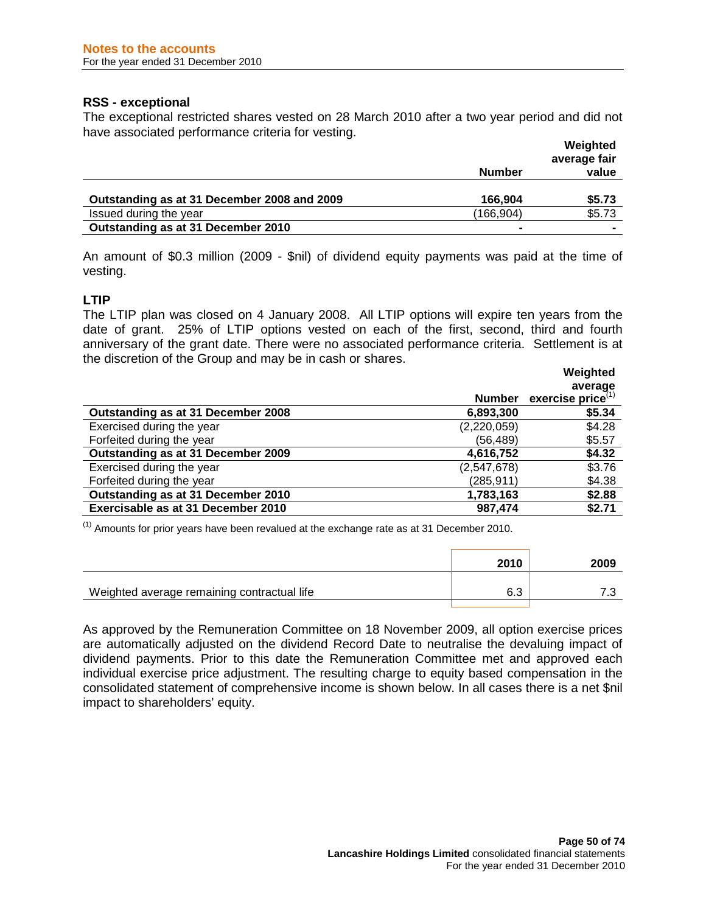## **RSS - exceptional**

The exceptional restricted shares vested on 28 March 2010 after a two year period and did not have associated performance criteria for vesting.

|                                             | <b>Number</b>  | Weighted<br>average fair<br>value |
|---------------------------------------------|----------------|-----------------------------------|
| Outstanding as at 31 December 2008 and 2009 | 166.904        | \$5.73                            |
| Issued during the year                      | (166,904)      | \$5.73                            |
| Outstanding as at 31 December 2010          | $\blacksquare$ | $\blacksquare$                    |

An amount of \$0.3 million (2009 - \$nil) of dividend equity payments was paid at the time of vesting.

## **LTIP**

The LTIP plan was closed on 4 January 2008. All LTIP options will expire ten years from the date of grant. 25% of LTIP options vested on each of the first, second, third and fourth anniversary of the grant date. There were no associated performance criteria. Settlement is at the discretion of the Group and may be in cash or shares.

|                                    |               | Weighted             |
|------------------------------------|---------------|----------------------|
|                                    |               | average              |
|                                    | <b>Number</b> | exercise price $(1)$ |
| Outstanding as at 31 December 2008 | 6,893,300     | \$5.34               |
| Exercised during the year          | (2,220,059)   | \$4.28               |
| Forfeited during the year          | (56,489)      | \$5.57               |
| Outstanding as at 31 December 2009 | 4,616,752     | \$4.32               |
| Exercised during the year          | (2,547,678)   | \$3.76               |
| Forfeited during the year          | (285, 911)    | \$4.38               |
| Outstanding as at 31 December 2010 | 1,783,163     | \$2.88               |
| Exercisable as at 31 December 2010 | 987,474       | \$2.71               |

 $<sup>(1)</sup>$  Amounts for prior years have been revalued at the exchange rate as at 31 December 2010.</sup>

|                                             | 2010 | 2009 |
|---------------------------------------------|------|------|
| Weighted average remaining contractual life | 6.3  |      |
|                                             |      |      |

As approved by the Remuneration Committee on 18 November 2009, all option exercise prices are automatically adjusted on the dividend Record Date to neutralise the devaluing impact of dividend payments. Prior to this date the Remuneration Committee met and approved each individual exercise price adjustment. The resulting charge to equity based compensation in the consolidated statement of comprehensive income is shown below. In all cases there is a net \$nil impact to shareholders' equity.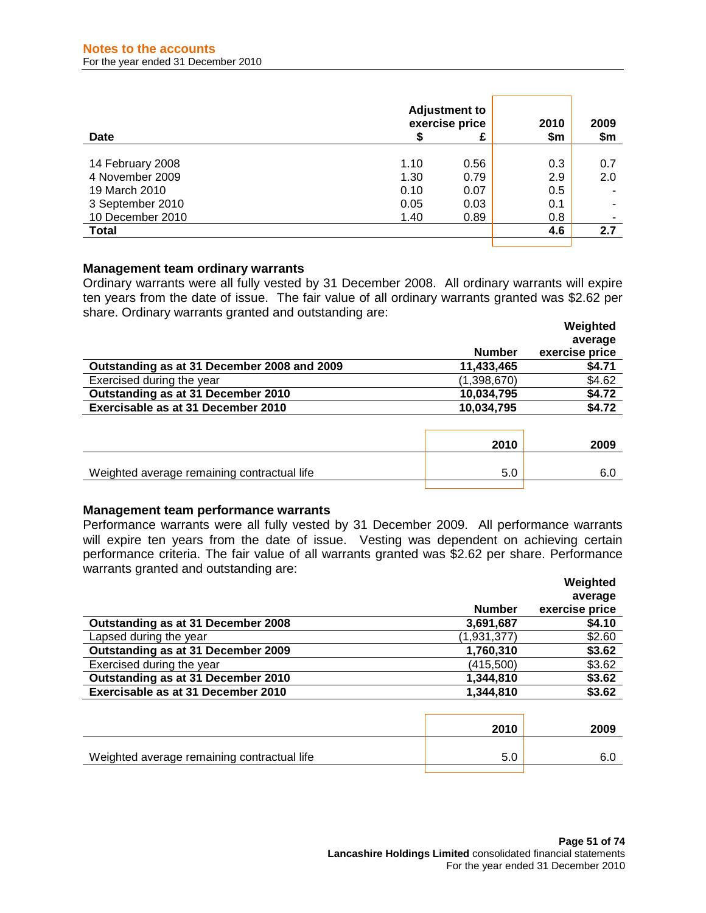| Date             |      | <b>Adjustment to</b><br>exercise price | 2010<br>\$m | 2009<br>\$m |
|------------------|------|----------------------------------------|-------------|-------------|
|                  |      |                                        |             |             |
| 14 February 2008 | 1.10 | 0.56                                   | 0.3         | 0.7         |
| 4 November 2009  | 1.30 | 0.79                                   | 2.9         | 2.0         |
| 19 March 2010    | 0.10 | 0.07                                   | 0.5         |             |
| 3 September 2010 | 0.05 | 0.03                                   | 0.1         |             |
| 10 December 2010 | 1.40 | 0.89                                   | 0.8         | -           |
| <b>Total</b>     |      |                                        | 4.6         | 2.7         |
|                  |      |                                        |             |             |

#### **Management team ordinary warrants**

Ordinary warrants were all fully vested by 31 December 2008. All ordinary warrants will expire ten years from the date of issue. The fair value of all ordinary warrants granted was \$2.62 per share. Ordinary warrants granted and outstanding are: **Weighted** 

|                                             |               | weighted<br>average |
|---------------------------------------------|---------------|---------------------|
|                                             | <b>Number</b> | exercise price      |
| Outstanding as at 31 December 2008 and 2009 | 11,433,465    | \$4.71              |
| Exercised during the year                   | (1,398,670)   | \$4.62              |
| Outstanding as at 31 December 2010          | 10,034,795    | \$4.72              |
| Exercisable as at 31 December 2010          | 10,034,795    | \$4.72              |
|                                             |               |                     |

|                                             | 2010 | 2009 |
|---------------------------------------------|------|------|
| Weighted average remaining contractual life |      |      |
|                                             |      |      |

#### **Management team performance warrants**

Performance warrants were all fully vested by 31 December 2009. All performance warrants will expire ten years from the date of issue. Vesting was dependent on achieving certain performance criteria. The fair value of all warrants granted was \$2.62 per share. Performance warrants granted and outstanding are:

|                                    |               | Weighted       |
|------------------------------------|---------------|----------------|
|                                    |               | average        |
|                                    | <b>Number</b> | exercise price |
| Outstanding as at 31 December 2008 | 3,691,687     | \$4.10         |
| Lapsed during the year             | (1,931,377)   | \$2.60         |
| Outstanding as at 31 December 2009 | 1,760,310     | \$3.62         |
| Exercised during the year          | (415,500)     | \$3.62         |
| Outstanding as at 31 December 2010 | 1,344,810     | \$3.62         |
| Exercisable as at 31 December 2010 | 1,344,810     | \$3.62         |
|                                    |               |                |

|                                             | 2010 | 2009 |
|---------------------------------------------|------|------|
| Weighted average remaining contractual life |      |      |
|                                             |      |      |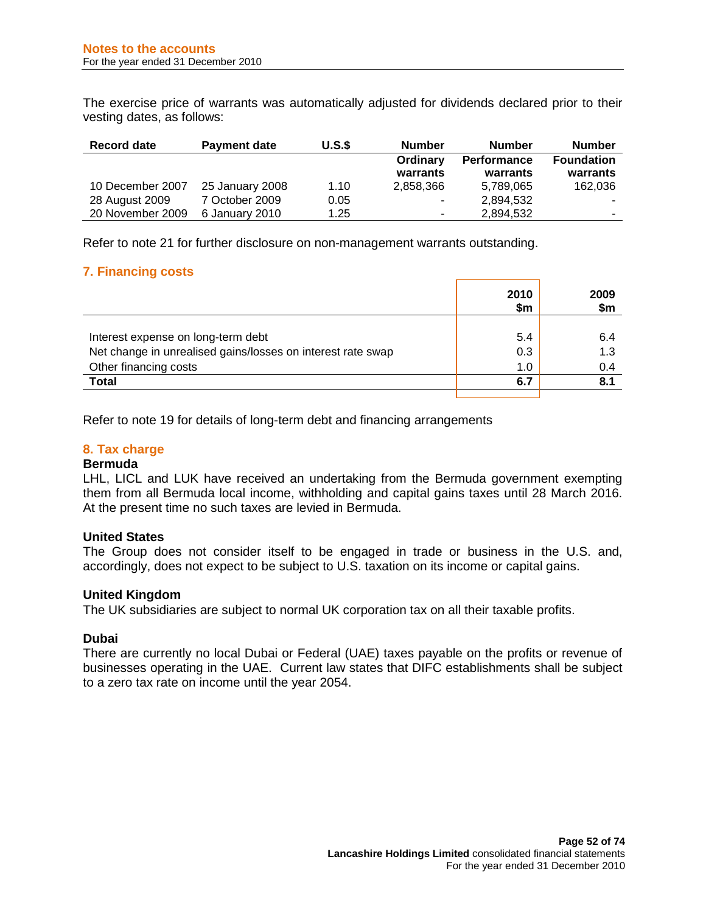The exercise price of warrants was automatically adjusted for dividends declared prior to their vesting dates, as follows:

| Record date      | <b>Payment date</b> | U.S.S | <b>Number</b> | <b>Number</b> | <b>Number</b>     |
|------------------|---------------------|-------|---------------|---------------|-------------------|
|                  |                     |       | Ordinary      | Performance   | <b>Foundation</b> |
|                  |                     |       | warrants      | warrants      | warrants          |
| 10 December 2007 | 25 January 2008     | 1.10  | 2,858,366     | 5,789,065     | 162,036           |
| 28 August 2009   | 7 October 2009      | 0.05  | ۰.            | 2,894,532     |                   |
| 20 November 2009 | 6 January 2010      | 1.25  | ۰.            | 2,894,532     |                   |

Refer to note 21 for further disclosure on non-management warrants outstanding.

## **7. Financing costs**

|                                                             | 2010<br>\$m | 2009<br>\$m |
|-------------------------------------------------------------|-------------|-------------|
|                                                             |             |             |
| Interest expense on long-term debt                          | 5.4         | 6.4         |
| Net change in unrealised gains/losses on interest rate swap | 0.3         | 1.3         |
| Other financing costs                                       | 1.0         | 0.4         |
| Total                                                       | 6.7         | 8.1         |
|                                                             |             |             |

Refer to note 19 for details of long-term debt and financing arrangements

## **8. Tax charge**

#### **Bermuda**

LHL, LICL and LUK have received an undertaking from the Bermuda government exempting them from all Bermuda local income, withholding and capital gains taxes until 28 March 2016. At the present time no such taxes are levied in Bermuda.

#### **United States**

The Group does not consider itself to be engaged in trade or business in the U.S. and, accordingly, does not expect to be subject to U.S. taxation on its income or capital gains.

#### **United Kingdom**

The UK subsidiaries are subject to normal UK corporation tax on all their taxable profits.

#### **Dubai**

There are currently no local Dubai or Federal (UAE) taxes payable on the profits or revenue of businesses operating in the UAE. Current law states that DIFC establishments shall be subject to a zero tax rate on income until the year 2054.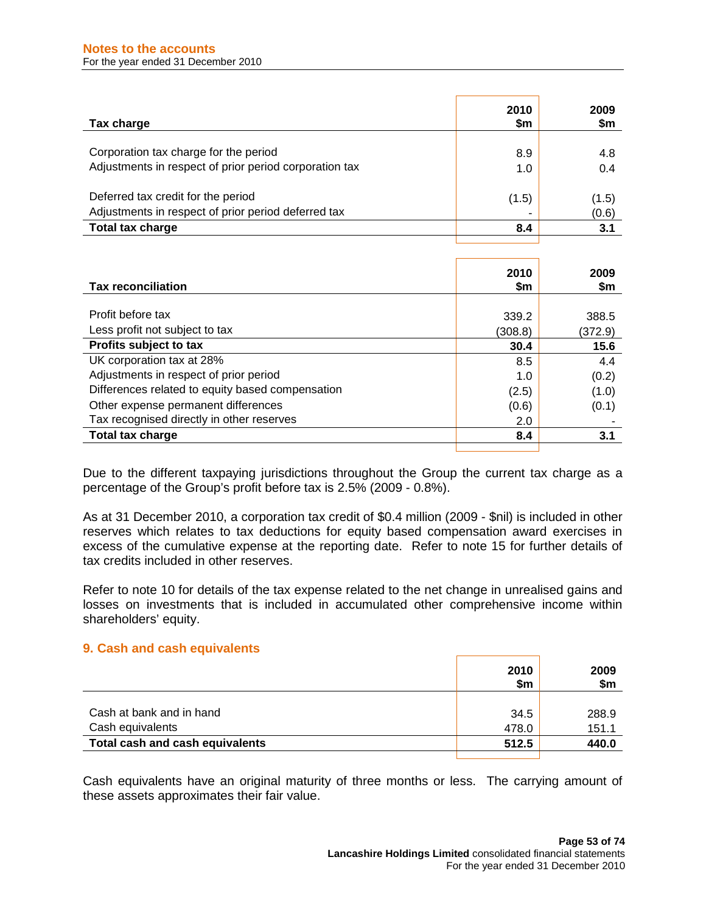| Tax charge                                             | 2010<br>\$m | 2009<br>\$m |
|--------------------------------------------------------|-------------|-------------|
| Corporation tax charge for the period                  | 8.9         | 4.8         |
| Adjustments in respect of prior period corporation tax | 1.0         | 0.4         |
|                                                        |             |             |
| Deferred tax credit for the period                     | (1.5)       | (1.5)       |
| Adjustments in respect of prior period deferred tax    |             | (0.6)       |
| <b>Total tax charge</b>                                | 8.4         | 3.1         |
|                                                        |             |             |

| <b>Tax reconciliation</b>                        | 2010<br>\$m | 2009<br>\$m |
|--------------------------------------------------|-------------|-------------|
|                                                  |             |             |
| Profit before tax                                | 339.2       | 388.5       |
| Less profit not subject to tax                   | (308.8)     | (372.9)     |
| Profits subject to tax                           | 30.4        | 15.6        |
| UK corporation tax at 28%                        | 8.5         | 4.4         |
| Adjustments in respect of prior period           | 1.0         | (0.2)       |
| Differences related to equity based compensation | (2.5)       | (1.0)       |
| Other expense permanent differences              | (0.6)       | (0.1)       |
| Tax recognised directly in other reserves        | 2.0         |             |
| Total tax charge                                 | 8.4         | 3.1         |
|                                                  |             |             |

Due to the different taxpaying jurisdictions throughout the Group the current tax charge as a percentage of the Group's profit before tax is 2.5% (2009 - 0.8%).

As at 31 December 2010, a corporation tax credit of \$0.4 million (2009 - \$nil) is included in other reserves which relates to tax deductions for equity based compensation award exercises in excess of the cumulative expense at the reporting date. Refer to note 15 for further details of tax credits included in other reserves.

Refer to note 10 for details of the tax expense related to the net change in unrealised gains and losses on investments that is included in accumulated other comprehensive income within shareholders' equity.

#### **9. Cash and cash equivalents**

|                                 | 2010<br>\$m | 2009<br>\$m |
|---------------------------------|-------------|-------------|
|                                 |             |             |
| Cash at bank and in hand        | 34.5        | 288.9       |
| Cash equivalents                | 478.0       | 151.1       |
| Total cash and cash equivalents | 512.5       | 440.0       |
|                                 |             |             |

Cash equivalents have an original maturity of three months or less. The carrying amount of these assets approximates their fair value.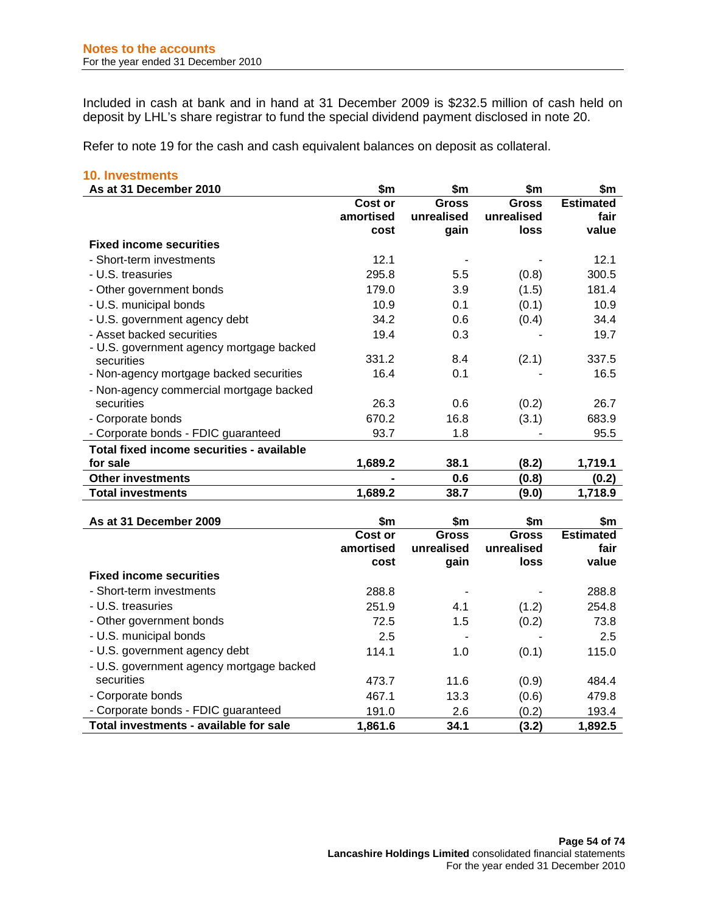Included in cash at bank and in hand at 31 December 2009 is \$232.5 million of cash held on deposit by LHL's share registrar to fund the special dividend payment disclosed in note 20.

Refer to note 19 for the cash and cash equivalent balances on deposit as collateral.

| <b>10. Investments</b>                    |           |            |            |                  |
|-------------------------------------------|-----------|------------|------------|------------------|
| As at 31 December 2010                    | \$m       | \$m        | \$m        | \$m              |
|                                           | Cost or   | Gross      | Gross      | <b>Estimated</b> |
|                                           | amortised | unrealised | unrealised | fair             |
|                                           | cost      | gain       | loss       | value            |
| <b>Fixed income securities</b>            |           |            |            |                  |
| - Short-term investments                  | 12.1      |            |            | 12.1             |
| - U.S. treasuries                         | 295.8     | 5.5        | (0.8)      | 300.5            |
| - Other government bonds                  | 179.0     | 3.9        | (1.5)      | 181.4            |
| - U.S. municipal bonds                    | 10.9      | 0.1        | (0.1)      | 10.9             |
| - U.S. government agency debt             | 34.2      | 0.6        | (0.4)      | 34.4             |
| - Asset backed securities                 | 19.4      | 0.3        |            | 19.7             |
| - U.S. government agency mortgage backed  |           |            |            |                  |
| securities                                | 331.2     | 8.4        | (2.1)      | 337.5            |
| - Non-agency mortgage backed securities   | 16.4      | 0.1        |            | 16.5             |
| - Non-agency commercial mortgage backed   |           |            |            |                  |
| securities                                | 26.3      | 0.6        | (0.2)      | 26.7             |
| - Corporate bonds                         | 670.2     | 16.8       | (3.1)      | 683.9            |
| - Corporate bonds - FDIC guaranteed       | 93.7      | 1.8        |            | 95.5             |
| Total fixed income securities - available |           |            |            |                  |
| for sale                                  | 1,689.2   | 38.1       | (8.2)      | 1,719.1          |
| <b>Other investments</b>                  |           | 0.6        | (0.8)      | (0.2)            |
| <b>Total investments</b>                  | 1,689.2   | 38.7       | (9.0)      | 1,718.9          |

| As at 31 December 2009                   | \$m                          | \$m                         | \$m                                | \$m                               |
|------------------------------------------|------------------------------|-----------------------------|------------------------------------|-----------------------------------|
|                                          | Cost or<br>amortised<br>cost | Gross<br>unrealised<br>gain | <b>Gross</b><br>unrealised<br>loss | <b>Estimated</b><br>fair<br>value |
| <b>Fixed income securities</b>           |                              |                             |                                    |                                   |
| - Short-term investments                 | 288.8                        |                             |                                    | 288.8                             |
| - U.S. treasuries                        | 251.9                        | 4.1                         | (1.2)                              | 254.8                             |
| - Other government bonds                 | 72.5                         | 1.5                         | (0.2)                              | 73.8                              |
| - U.S. municipal bonds                   | 2.5                          |                             |                                    | 2.5                               |
| - U.S. government agency debt            | 114.1                        | 1.0                         | (0.1)                              | 115.0                             |
| - U.S. government agency mortgage backed |                              |                             |                                    |                                   |
| securities                               | 473.7                        | 11.6                        | (0.9)                              | 484.4                             |
| - Corporate bonds                        | 467.1                        | 13.3                        | (0.6)                              | 479.8                             |
| - Corporate bonds - FDIC guaranteed      | 191.0                        | 2.6                         | (0.2)                              | 193.4                             |
| Total investments - available for sale   | 1,861.6                      | 34.1                        | (3.2)                              | 1,892.5                           |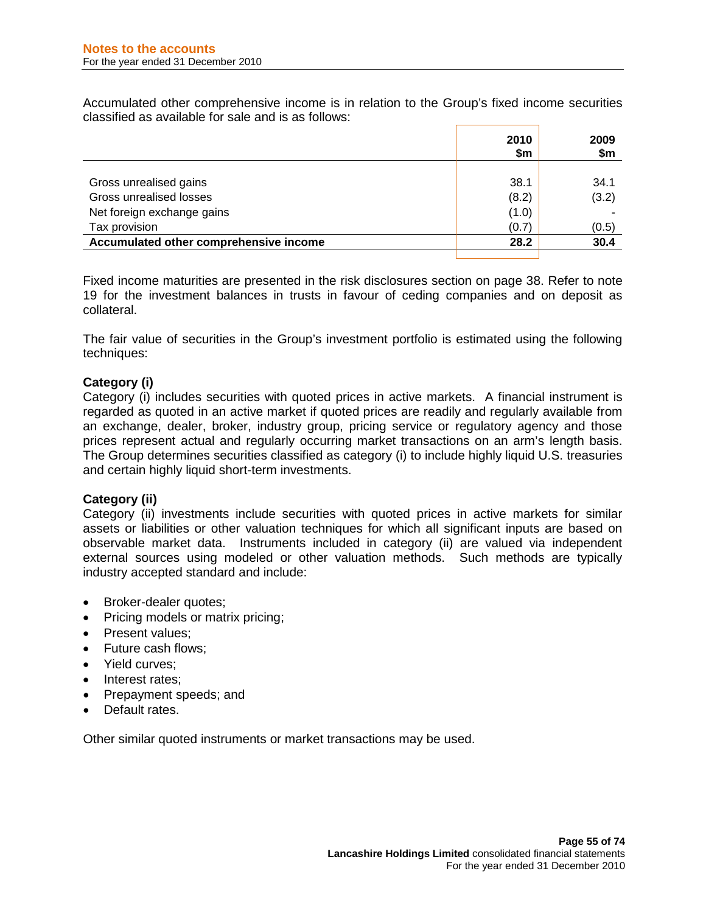Accumulated other comprehensive income is in relation to the Group's fixed income securities classified as available for sale and is as follows:

|                                        | 2010<br>\$m | 2009<br>\$m |
|----------------------------------------|-------------|-------------|
|                                        |             |             |
| Gross unrealised gains                 | 38.1        | 34.1        |
| Gross unrealised losses                | (8.2)       | (3.2)       |
| Net foreign exchange gains             | (1.0)       |             |
| Tax provision                          | (0.7)       | (0.5)       |
| Accumulated other comprehensive income | 28.2        | 30.4        |
|                                        |             |             |

Fixed income maturities are presented in the risk disclosures section on page 38. Refer to note 19 for the investment balances in trusts in favour of ceding companies and on deposit as collateral.

The fair value of securities in the Group's investment portfolio is estimated using the following techniques:

## **Category (i)**

Category (i) includes securities with quoted prices in active markets. A financial instrument is regarded as quoted in an active market if quoted prices are readily and regularly available from an exchange, dealer, broker, industry group, pricing service or regulatory agency and those prices represent actual and regularly occurring market transactions on an arm's length basis. The Group determines securities classified as category (i) to include highly liquid U.S. treasuries and certain highly liquid short-term investments.

# **Category (ii)**

Category (ii) investments include securities with quoted prices in active markets for similar assets or liabilities or other valuation techniques for which all significant inputs are based on observable market data. Instruments included in category (ii) are valued via independent external sources using modeled or other valuation methods. Such methods are typically industry accepted standard and include:

- Broker-dealer quotes;
- Pricing models or matrix pricing;
- Present values:
- Future cash flows;
- Yield curves;
- Interest rates;
- Prepayment speeds; and
- Default rates.

Other similar quoted instruments or market transactions may be used.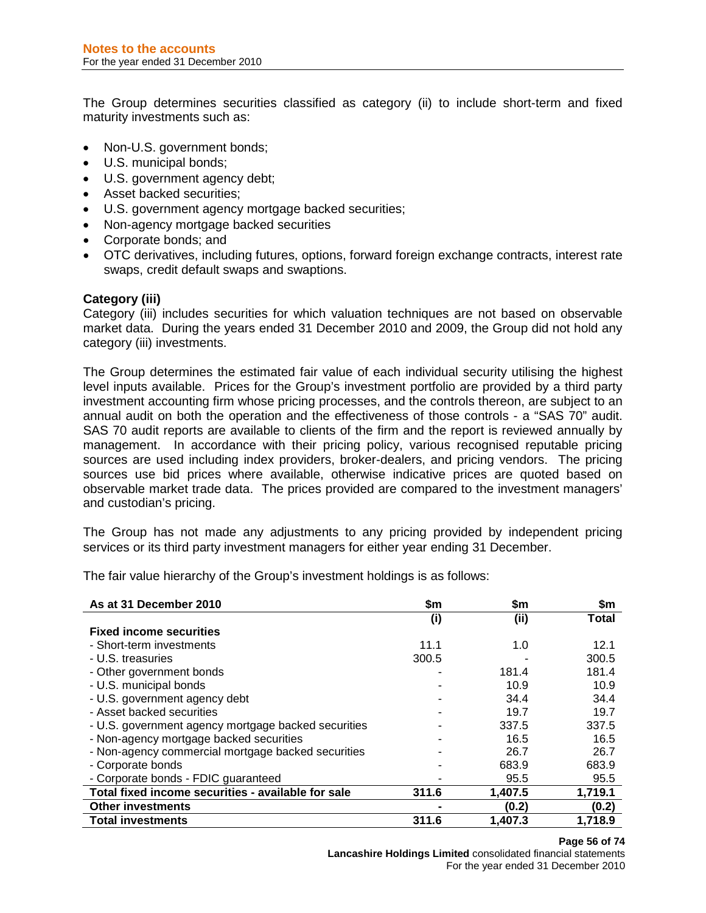The Group determines securities classified as category (ii) to include short-term and fixed maturity investments such as:

- Non-U.S. government bonds;
- U.S. municipal bonds;
- U.S. government agency debt;
- Asset backed securities;
- U.S. government agency mortgage backed securities;
- Non-agency mortgage backed securities
- Corporate bonds; and
- OTC derivatives, including futures, options, forward foreign exchange contracts, interest rate swaps, credit default swaps and swaptions.

## **Category (iii)**

Category (iii) includes securities for which valuation techniques are not based on observable market data. During the years ended 31 December 2010 and 2009, the Group did not hold any category (iii) investments.

The Group determines the estimated fair value of each individual security utilising the highest level inputs available. Prices for the Group's investment portfolio are provided by a third party investment accounting firm whose pricing processes, and the controls thereon, are subject to an annual audit on both the operation and the effectiveness of those controls - a "SAS 70" audit. SAS 70 audit reports are available to clients of the firm and the report is reviewed annually by management. In accordance with their pricing policy, various recognised reputable pricing sources are used including index providers, broker-dealers, and pricing vendors. The pricing sources use bid prices where available, otherwise indicative prices are quoted based on observable market trade data. The prices provided are compared to the investment managers' and custodian's pricing.

The Group has not made any adjustments to any pricing provided by independent pricing services or its third party investment managers for either year ending 31 December.

The fair value hierarchy of the Group's investment holdings is as follows:

| As at 31 December 2010                              | \$m   | \$m     | \$m     |
|-----------------------------------------------------|-------|---------|---------|
|                                                     | (i)   | (iii)   | Total   |
| <b>Fixed income securities</b>                      |       |         |         |
| - Short-term investments                            | 11.1  | 1.0     | 12.1    |
| - U.S. treasuries                                   | 300.5 |         | 300.5   |
| - Other government bonds                            |       | 181.4   | 181.4   |
| - U.S. municipal bonds                              |       | 10.9    | 10.9    |
| - U.S. government agency debt                       |       | 34.4    | 34.4    |
| - Asset backed securities                           |       | 19.7    | 19.7    |
| - U.S. government agency mortgage backed securities |       | 337.5   | 337.5   |
| - Non-agency mortgage backed securities             |       | 16.5    | 16.5    |
| - Non-agency commercial mortgage backed securities  |       | 26.7    | 26.7    |
| - Corporate bonds                                   |       | 683.9   | 683.9   |
| - Corporate bonds - FDIC guaranteed                 |       | 95.5    | 95.5    |
| Total fixed income securities - available for sale  | 311.6 | 1,407.5 | 1,719.1 |
| <b>Other investments</b>                            |       | (0.2)   | (0.2)   |
| <b>Total investments</b>                            | 311.6 | 1.407.3 | 1.718.9 |

**Lancashire Holdings Limited** consolidated financial statements For the year ended 31 December 2010

#### **Page 56 of 74**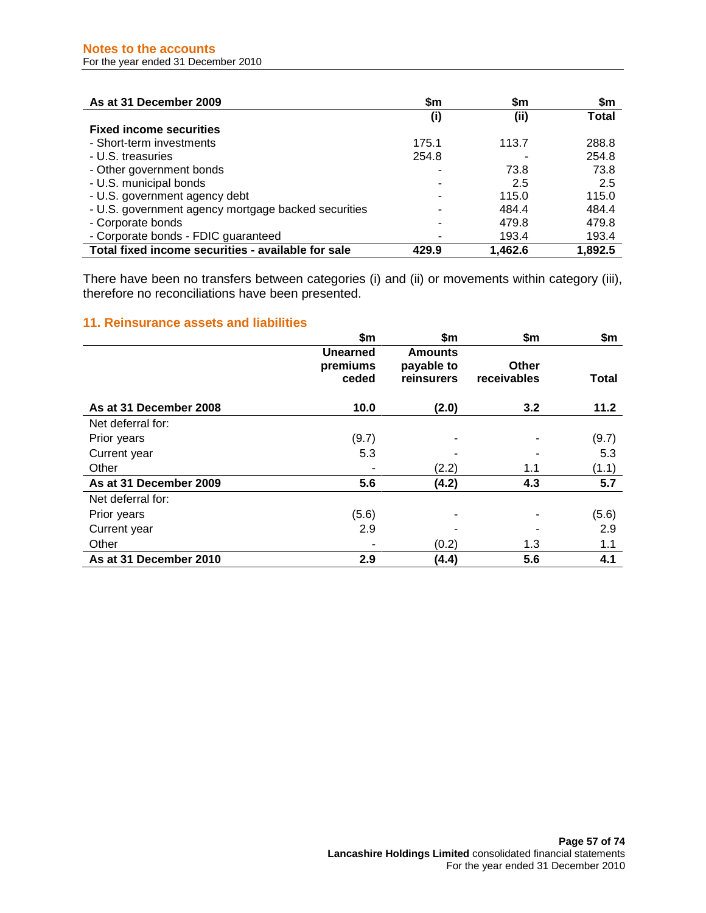| As at 31 December 2009                              | \$m   | \$m     | \$m     |
|-----------------------------------------------------|-------|---------|---------|
|                                                     | (i)   | (ii)    | Total   |
| <b>Fixed income securities</b>                      |       |         |         |
| - Short-term investments                            | 175.1 | 113.7   | 288.8   |
| - U.S. treasuries                                   | 254.8 |         | 254.8   |
| - Other government bonds                            |       | 73.8    | 73.8    |
| - U.S. municipal bonds                              |       | 2.5     | 2.5     |
| - U.S. government agency debt                       |       | 115.0   | 115.0   |
| - U.S. government agency mortgage backed securities |       | 484.4   | 484.4   |
| - Corporate bonds                                   |       | 479.8   | 479.8   |
| - Corporate bonds - FDIC guaranteed                 |       | 193.4   | 193.4   |
| Total fixed income securities - available for sale  | 429.9 | 1,462.6 | 1,892.5 |

There have been no transfers between categories (i) and (ii) or movements within category (iii), therefore no reconciliations have been presented.

# **11. Reinsurance assets and liabilities**

|                        | \$m\$                         | \$m                                 | \$m\$                | \$m          |
|------------------------|-------------------------------|-------------------------------------|----------------------|--------------|
|                        | Unearned<br>premiums<br>ceded | Amounts<br>payable to<br>reinsurers | Other<br>receivables | <b>Total</b> |
| As at 31 December 2008 | 10.0                          | (2.0)                               | 3.2                  | 11.2         |
| Net deferral for:      |                               |                                     |                      |              |
| Prior years            | (9.7)                         |                                     |                      | (9.7)        |
| Current year           | 5.3                           |                                     |                      | 5.3          |
| Other                  |                               | (2.2)                               | 1.1                  | (1.1)        |
| As at 31 December 2009 | 5.6                           | (4.2)                               | 4.3                  | 5.7          |
| Net deferral for:      |                               |                                     |                      |              |
| Prior years            | (5.6)                         |                                     |                      | (5.6)        |
| Current year           | 2.9                           |                                     |                      | 2.9          |
| Other                  |                               | (0.2)                               | 1.3                  | 1.1          |
| As at 31 December 2010 | 2.9                           | (4.4)                               | 5.6                  | 4.1          |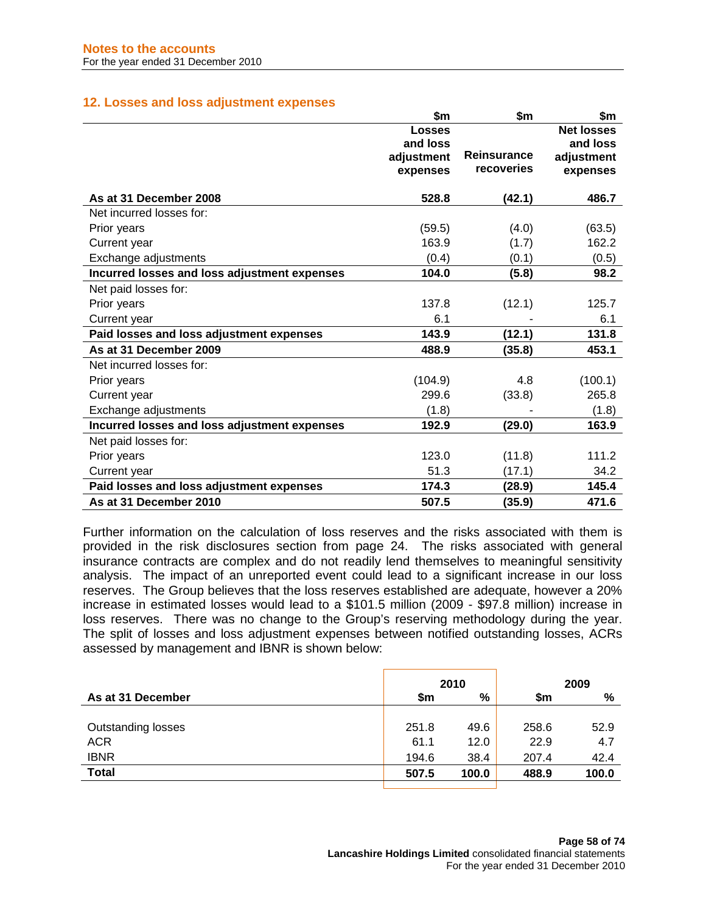## **12. Losses and loss adjustment expenses**

|                                              | \$m           | \$m                | \$m               |
|----------------------------------------------|---------------|--------------------|-------------------|
|                                              | <b>Losses</b> |                    | <b>Net losses</b> |
|                                              | and loss      |                    | and loss          |
|                                              | adjustment    | <b>Reinsurance</b> | adjustment        |
|                                              | expenses      | recoveries         | expenses          |
| As at 31 December 2008                       | 528.8         | (42.1)             | 486.7             |
| Net incurred losses for:                     |               |                    |                   |
| Prior years                                  | (59.5)        | (4.0)              | (63.5)            |
| Current year                                 | 163.9         | (1.7)              | 162.2             |
| Exchange adjustments                         | (0.4)         | (0.1)              | (0.5)             |
| Incurred losses and loss adjustment expenses | 104.0         | (5.8)              | 98.2              |
| Net paid losses for:                         |               |                    |                   |
| Prior years                                  | 137.8         | (12.1)             | 125.7             |
| Current year                                 | 6.1           |                    | 6.1               |
| Paid losses and loss adjustment expenses     | 143.9         | (12.1)             | 131.8             |
| As at 31 December 2009                       | 488.9         | (35.8)             | 453.1             |
| Net incurred losses for:                     |               |                    |                   |
| Prior years                                  | (104.9)       | 4.8                | (100.1)           |
| Current year                                 | 299.6         | (33.8)             | 265.8             |
| Exchange adjustments                         | (1.8)         |                    | (1.8)             |
| Incurred losses and loss adjustment expenses | 192.9         | (29.0)             | 163.9             |
| Net paid losses for:                         |               |                    |                   |
| Prior years                                  | 123.0         | (11.8)             | 111.2             |
| Current year                                 | 51.3          | (17.1)             | 34.2              |
| Paid losses and loss adjustment expenses     | 174.3         | (28.9)             | 145.4             |
| As at 31 December 2010                       | 507.5         | (35.9)             | 471.6             |

Further information on the calculation of loss reserves and the risks associated with them is provided in the risk disclosures section from page 24. The risks associated with general insurance contracts are complex and do not readily lend themselves to meaningful sensitivity analysis. The impact of an unreported event could lead to a significant increase in our loss reserves. The Group believes that the loss reserves established are adequate, however a 20% increase in estimated losses would lead to a \$101.5 million (2009 - \$97.8 million) increase in loss reserves. There was no change to the Group's reserving methodology during the year. The split of losses and loss adjustment expenses between notified outstanding losses, ACRs assessed by management and IBNR is shown below:

| 2010  |       |       |       |  | 2009 |
|-------|-------|-------|-------|--|------|
| \$m   | %     | \$m   | %     |  |      |
|       |       |       |       |  |      |
| 251.8 | 49.6  | 258.6 | 52.9  |  |      |
| 61.1  | 12.0  | 22.9  | 4.7   |  |      |
| 194.6 | 38.4  | 207.4 | 42.4  |  |      |
| 507.5 | 100.0 | 488.9 | 100.0 |  |      |
|       |       |       |       |  |      |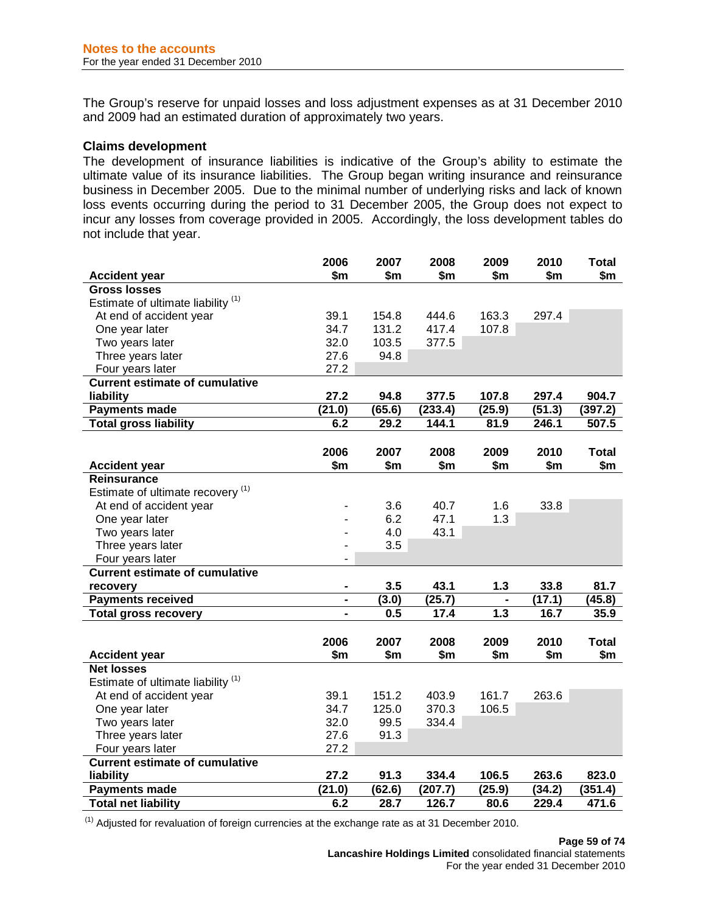The Group's reserve for unpaid losses and loss adjustment expenses as at 31 December 2010 and 2009 had an estimated duration of approximately two years.

#### **Claims development**

The development of insurance liabilities is indicative of the Group's ability to estimate the ultimate value of its insurance liabilities. The Group began writing insurance and reinsurance business in December 2005. Due to the minimal number of underlying risks and lack of known loss events occurring during the period to 31 December 2005, the Group does not expect to incur any losses from coverage provided in 2005. Accordingly, the loss development tables do not include that year.

|                                               | 2006                         | 2007   | 2008    | 2009                         | 2010   | <b>Total</b> |
|-----------------------------------------------|------------------------------|--------|---------|------------------------------|--------|--------------|
| <b>Accident year</b>                          | \$m                          | \$m    | \$m     | \$m\$                        | \$m    | \$m          |
| <b>Gross losses</b>                           |                              |        |         |                              |        |              |
| Estimate of ultimate liability <sup>(1)</sup> |                              |        |         |                              |        |              |
| At end of accident year                       | 39.1                         | 154.8  | 444.6   | 163.3                        | 297.4  |              |
| One year later                                | 34.7                         | 131.2  | 417.4   | 107.8                        |        |              |
| Two years later                               | 32.0                         | 103.5  | 377.5   |                              |        |              |
| Three years later                             | 27.6                         | 94.8   |         |                              |        |              |
| Four years later                              | 27.2                         |        |         |                              |        |              |
| <b>Current estimate of cumulative</b>         |                              |        |         |                              |        |              |
| liability                                     | 27.2                         | 94.8   | 377.5   | 107.8                        | 297.4  | 904.7        |
| <b>Payments made</b>                          | (21.0)                       | (65.6) | (233.4) | (25.9)                       | (51.3) | (397.2)      |
| <b>Total gross liability</b>                  | 6.2                          | 29.2   | 144.1   | 81.9                         | 246.1  | 507.5        |
|                                               |                              |        |         |                              |        |              |
|                                               | 2006                         | 2007   | 2008    | 2009                         | 2010   | <b>Total</b> |
| <b>Accident year</b>                          | \$m                          | \$m    | \$m     | \$m                          | \$m    | \$m          |
| <b>Reinsurance</b>                            |                              |        |         |                              |        |              |
| Estimate of ultimate recovery <sup>(1)</sup>  |                              |        |         |                              |        |              |
| At end of accident year                       |                              | 3.6    | 40.7    | 1.6                          | 33.8   |              |
| One year later                                |                              | 6.2    | 47.1    | 1.3                          |        |              |
| Two years later                               |                              | 4.0    | 43.1    |                              |        |              |
| Three years later                             |                              | 3.5    |         |                              |        |              |
| Four years later                              | $\overline{\phantom{0}}$     |        |         |                              |        |              |
| <b>Current estimate of cumulative</b>         |                              |        |         |                              |        |              |
| recovery                                      | $\blacksquare$               | 3.5    | 43.1    | 1.3                          | 33.8   | 81.7         |
| <b>Payments received</b>                      | $\qquad \qquad \blacksquare$ | (3.0)  | (25.7)  | $\qquad \qquad \blacksquare$ | (17.1) | (45.8)       |
| <b>Total gross recovery</b>                   |                              | 0.5    | 17.4    | $\overline{1.3}$             | 16.7   | 35.9         |
|                                               |                              |        |         |                              |        |              |
|                                               | 2006                         | 2007   | 2008    | 2009                         | 2010   | Total        |
| <b>Accident year</b>                          | \$m                          | \$m    | \$m     | \$m                          | \$m    | \$m          |
| <b>Net losses</b>                             |                              |        |         |                              |        |              |
| Estimate of ultimate liability <sup>(1)</sup> |                              |        |         |                              |        |              |
| At end of accident year                       | 39.1                         | 151.2  | 403.9   | 161.7                        | 263.6  |              |
| One year later                                | 34.7                         | 125.0  | 370.3   | 106.5                        |        |              |
| Two years later                               | 32.0                         | 99.5   | 334.4   |                              |        |              |
| Three years later                             | 27.6                         | 91.3   |         |                              |        |              |
| Four years later                              | 27.2                         |        |         |                              |        |              |
| <b>Current estimate of cumulative</b>         |                              |        |         |                              |        |              |
| liability                                     | 27.2                         | 91.3   | 334.4   | 106.5                        | 263.6  | 823.0        |
| <b>Payments made</b>                          | (21.0)                       | (62.6) | (207.7) | (25.9)                       | (34.2) | (351.4)      |
| <b>Total net liability</b>                    | 6.2                          | 28.7   | 126.7   | 80.6                         | 229.4  | 471.6        |

 $<sup>(1)</sup>$  Adjusted for revaluation of foreign currencies at the exchange rate as at 31 December 2010.</sup>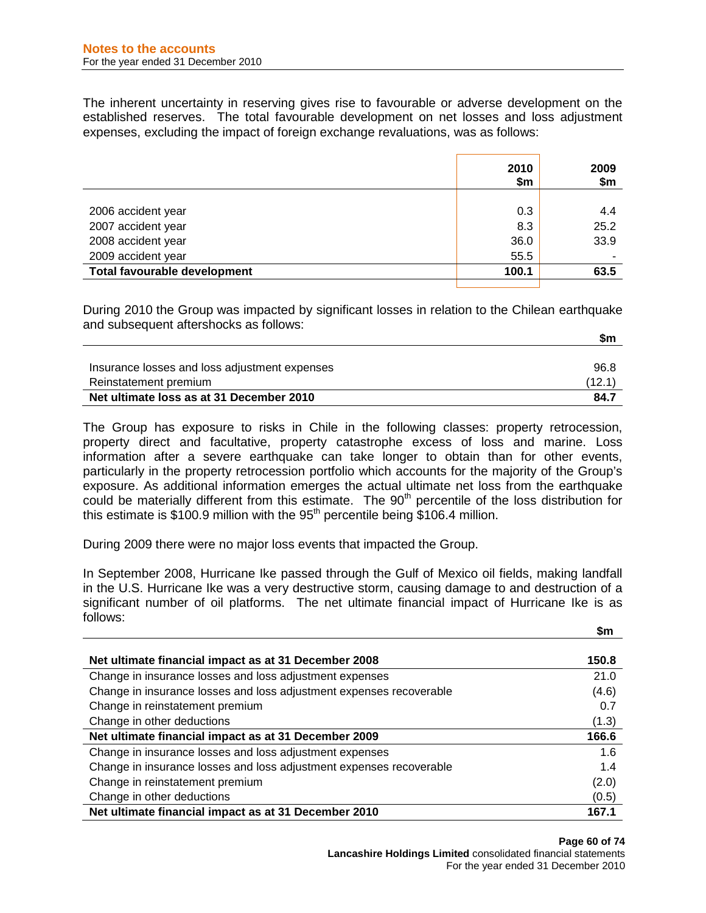The inherent uncertainty in reserving gives rise to favourable or adverse development on the established reserves. The total favourable development on net losses and loss adjustment expenses, excluding the impact of foreign exchange revaluations, was as follows:

|                              | 2010<br>\$m | 2009<br>\$m |
|------------------------------|-------------|-------------|
|                              |             |             |
| 2006 accident year           | 0.3         | 4.4         |
| 2007 accident year           | 8.3         | 25.2        |
| 2008 accident year           | 36.0        | 33.9        |
| 2009 accident year           | 55.5        |             |
| Total favourable development | 100.1       | 63.5        |

During 2010 the Group was impacted by significant losses in relation to the Chilean earthquake and subsequent aftershocks as follows:

|                                               | \$m    |
|-----------------------------------------------|--------|
|                                               |        |
| Insurance losses and loss adjustment expenses | 96.8   |
| Reinstatement premium                         | (12.1) |
| Net ultimate loss as at 31 December 2010      | 84.7   |

The Group has exposure to risks in Chile in the following classes: property retrocession, property direct and facultative, property catastrophe excess of loss and marine. Loss information after a severe earthquake can take longer to obtain than for other events, particularly in the property retrocession portfolio which accounts for the majority of the Group's exposure. As additional information emerges the actual ultimate net loss from the earthquake could be materially different from this estimate. The 90<sup>th</sup> percentile of the loss distribution for this estimate is  $$100.9$  million with the  $95<sup>th</sup>$  percentile being \$106.4 million.

During 2009 there were no major loss events that impacted the Group.

In September 2008, Hurricane Ike passed through the Gulf of Mexico oil fields, making landfall in the U.S. Hurricane Ike was a very destructive storm, causing damage to and destruction of a significant number of oil platforms. The net ultimate financial impact of Hurricane Ike is as follows:

| Net ultimate financial impact as at 31 December 2008                | 150.8 |
|---------------------------------------------------------------------|-------|
| Change in insurance losses and loss adjustment expenses             | 21.0  |
| Change in insurance losses and loss adjustment expenses recoverable | (4.6) |
| Change in reinstatement premium                                     | 0.7   |
| Change in other deductions                                          | (1.3) |
| Net ultimate financial impact as at 31 December 2009                | 166.6 |
|                                                                     |       |
| Change in insurance losses and loss adjustment expenses             | 1.6   |
| Change in insurance losses and loss adjustment expenses recoverable | 1.4   |
| Change in reinstatement premium                                     | (2.0) |
| Change in other deductions                                          | (0.5) |

 **\$m**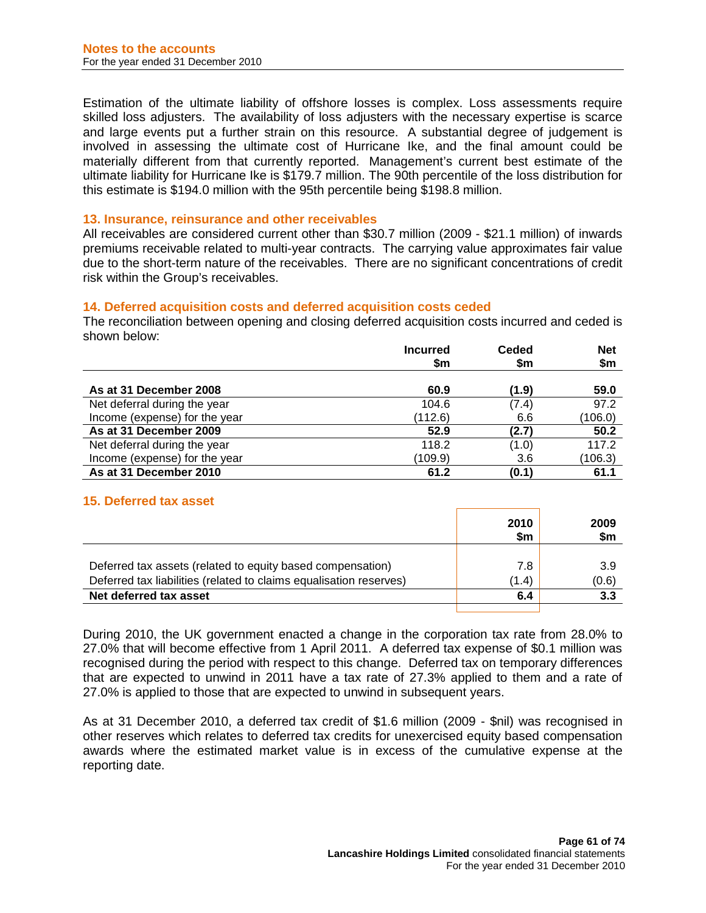Estimation of the ultimate liability of offshore losses is complex. Loss assessments require skilled loss adjusters. The availability of loss adjusters with the necessary expertise is scarce and large events put a further strain on this resource. A substantial degree of judgement is involved in assessing the ultimate cost of Hurricane Ike, and the final amount could be materially different from that currently reported. Management's current best estimate of the ultimate liability for Hurricane Ike is \$179.7 million. The 90th percentile of the loss distribution for this estimate is \$194.0 million with the 95th percentile being \$198.8 million.

#### **13. Insurance, reinsurance and other receivables**

All receivables are considered current other than \$30.7 million (2009 - \$21.1 million) of inwards premiums receivable related to multi-year contracts. The carrying value approximates fair value due to the short-term nature of the receivables. There are no significant concentrations of credit risk within the Group's receivables.

#### **14. Deferred acquisition costs and deferred acquisition costs ceded**

The reconciliation between opening and closing deferred acquisition costs incurred and ceded is shown below:

|                               | <b>Incurred</b><br>\$m | <b>Ceded</b><br>\$m | <b>Net</b><br>\$m |
|-------------------------------|------------------------|---------------------|-------------------|
| As at 31 December 2008        | 60.9                   | (1.9)               | 59.0              |
| Net deferral during the year  | 104.6                  | (7.4)               | 97.2              |
| Income (expense) for the year | (112.6)                | 6.6                 | (106.0)           |
| As at 31 December 2009        | 52.9                   | (2.7)               | 50.2              |
| Net deferral during the year  | 118.2                  | (1.0)               | 117.2             |
| Income (expense) for the year | (109.9)                | 3.6                 | (106.3)           |
| As at 31 December 2010        | 61.2                   | (0.1)               | 61.1              |

# **15. Deferred tax asset**

|                                                                    | 2010<br>\$m | 2009<br>\$m |
|--------------------------------------------------------------------|-------------|-------------|
|                                                                    |             |             |
| Deferred tax assets (related to equity based compensation)         | 7.8         | 3.9         |
| Deferred tax liabilities (related to claims equalisation reserves) | (1.4)       | (0.6)       |
| Net deferred tax asset                                             | 6.4         | 3.3         |
|                                                                    |             |             |

During 2010, the UK government enacted a change in the corporation tax rate from 28.0% to 27.0% that will become effective from 1 April 2011. A deferred tax expense of \$0.1 million was recognised during the period with respect to this change. Deferred tax on temporary differences that are expected to unwind in 2011 have a tax rate of 27.3% applied to them and a rate of 27.0% is applied to those that are expected to unwind in subsequent years.

As at 31 December 2010, a deferred tax credit of \$1.6 million (2009 - \$nil) was recognised in other reserves which relates to deferred tax credits for unexercised equity based compensation awards where the estimated market value is in excess of the cumulative expense at the reporting date.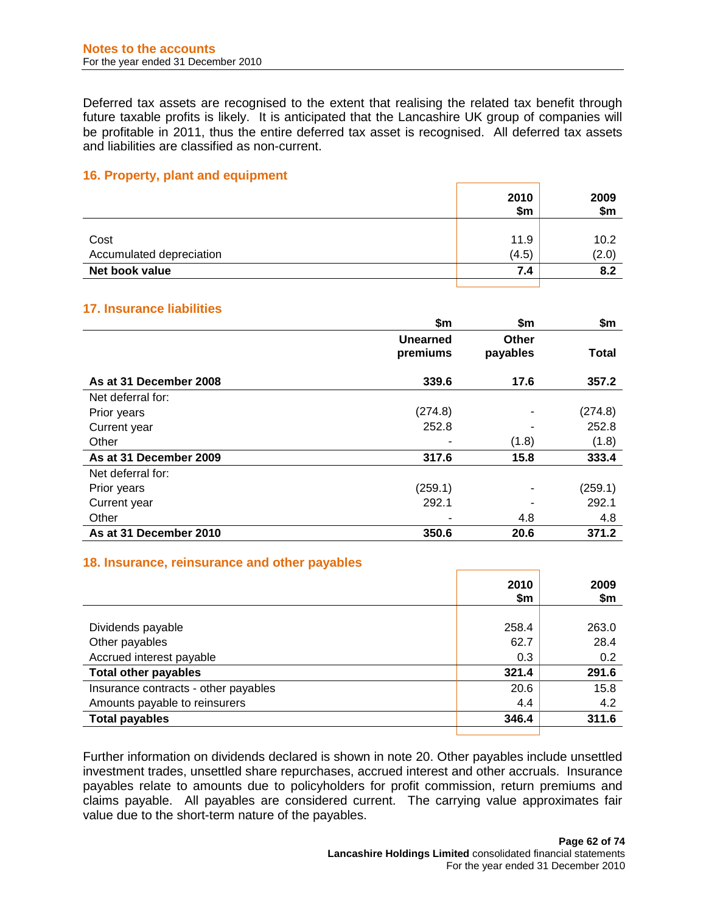Deferred tax assets are recognised to the extent that realising the related tax benefit through future taxable profits is likely. It is anticipated that the Lancashire UK group of companies will be profitable in 2011, thus the entire deferred tax asset is recognised. All deferred tax assets and liabilities are classified as non-current.

## **16. Property, plant and equipment**

|                          | 2010<br>\$m | 2009<br>\$m\$ |
|--------------------------|-------------|---------------|
| Cost                     | 11.9        | 10.2          |
| Accumulated depreciation | (4.5)       | (2.0)         |
| Net book value           | 7.4         | 8.2           |
|                          |             |               |

## **17. Insurance liabilities**

|                        | \$m                  | \$m                      | \$m          |
|------------------------|----------------------|--------------------------|--------------|
|                        | Unearned<br>premiums | <b>Other</b><br>payables | <b>Total</b> |
| As at 31 December 2008 | 339.6                | 17.6                     | 357.2        |
| Net deferral for:      |                      |                          |              |
| Prior years            | (274.8)              | ۰                        | (274.8)      |
| Current year           | 252.8                |                          | 252.8        |
| Other                  |                      | (1.8)                    | (1.8)        |
| As at 31 December 2009 | 317.6                | 15.8                     | 333.4        |
| Net deferral for:      |                      |                          |              |
| Prior years            | (259.1)              |                          | (259.1)      |
| Current year           | 292.1                |                          | 292.1        |
| Other                  |                      | 4.8                      | 4.8          |
| As at 31 December 2010 | 350.6                | 20.6                     | 371.2        |

#### **18. Insurance, reinsurance and other payables**

|                                      | 2010<br>\$m | 2009<br>\$m |
|--------------------------------------|-------------|-------------|
|                                      |             |             |
| Dividends payable                    | 258.4       | 263.0       |
| Other payables                       | 62.7        | 28.4        |
| Accrued interest payable             | 0.3         | 0.2         |
| <b>Total other payables</b>          | 321.4       | 291.6       |
| Insurance contracts - other payables | 20.6        | 15.8        |
| Amounts payable to reinsurers        | 4.4         | 4.2         |
| <b>Total payables</b>                | 346.4       | 311.6       |
|                                      |             |             |

Further information on dividends declared is shown in note 20. Other payables include unsettled investment trades, unsettled share repurchases, accrued interest and other accruals. Insurance payables relate to amounts due to policyholders for profit commission, return premiums and claims payable. All payables are considered current. The carrying value approximates fair value due to the short-term nature of the payables.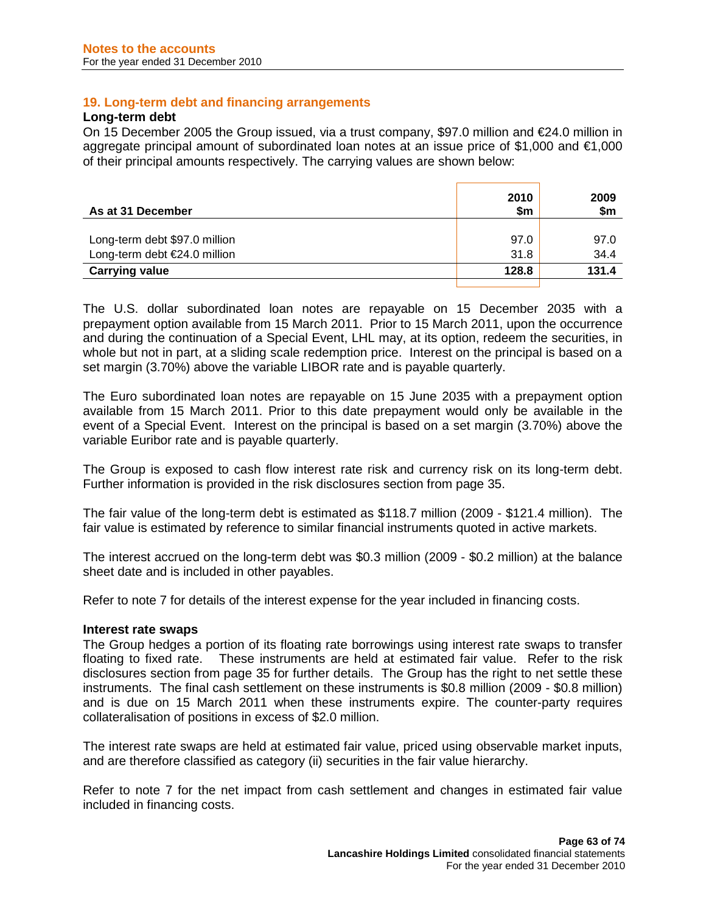## **19. Long-term debt and financing arrangements**

#### **Long-term debt**

On 15 December 2005 the Group issued, via a trust company, \$97.0 million and €24.0 million in aggregate principal amount of subordinated loan notes at an issue price of \$1,000 and €1,000 of their principal amounts respectively. The carrying values are shown below:

| 2010<br>\$m | 2009<br>\$m |
|-------------|-------------|
|             |             |
| 97.0        | 97.0        |
| 31.8        | 34.4        |
| 128.8       | 131.4       |
|             |             |

The U.S. dollar subordinated loan notes are repayable on 15 December 2035 with a prepayment option available from 15 March 2011. Prior to 15 March 2011, upon the occurrence and during the continuation of a Special Event, LHL may, at its option, redeem the securities, in whole but not in part, at a sliding scale redemption price. Interest on the principal is based on a set margin (3.70%) above the variable LIBOR rate and is payable quarterly.

The Euro subordinated loan notes are repayable on 15 June 2035 with a prepayment option available from 15 March 2011. Prior to this date prepayment would only be available in the event of a Special Event. Interest on the principal is based on a set margin (3.70%) above the variable Euribor rate and is payable quarterly.

The Group is exposed to cash flow interest rate risk and currency risk on its long-term debt. Further information is provided in the risk disclosures section from page 35.

The fair value of the long-term debt is estimated as \$118.7 million (2009 - \$121.4 million). The fair value is estimated by reference to similar financial instruments quoted in active markets.

The interest accrued on the long-term debt was \$0.3 million (2009 - \$0.2 million) at the balance sheet date and is included in other payables.

Refer to note 7 for details of the interest expense for the year included in financing costs.

#### **Interest rate swaps**

The Group hedges a portion of its floating rate borrowings using interest rate swaps to transfer floating to fixed rate. These instruments are held at estimated fair value. Refer to the risk disclosures section from page 35 for further details. The Group has the right to net settle these instruments. The final cash settlement on these instruments is \$0.8 million (2009 - \$0.8 million) and is due on 15 March 2011 when these instruments expire. The counter-party requires collateralisation of positions in excess of \$2.0 million.

The interest rate swaps are held at estimated fair value, priced using observable market inputs, and are therefore classified as category (ii) securities in the fair value hierarchy.

Refer to note 7 for the net impact from cash settlement and changes in estimated fair value included in financing costs.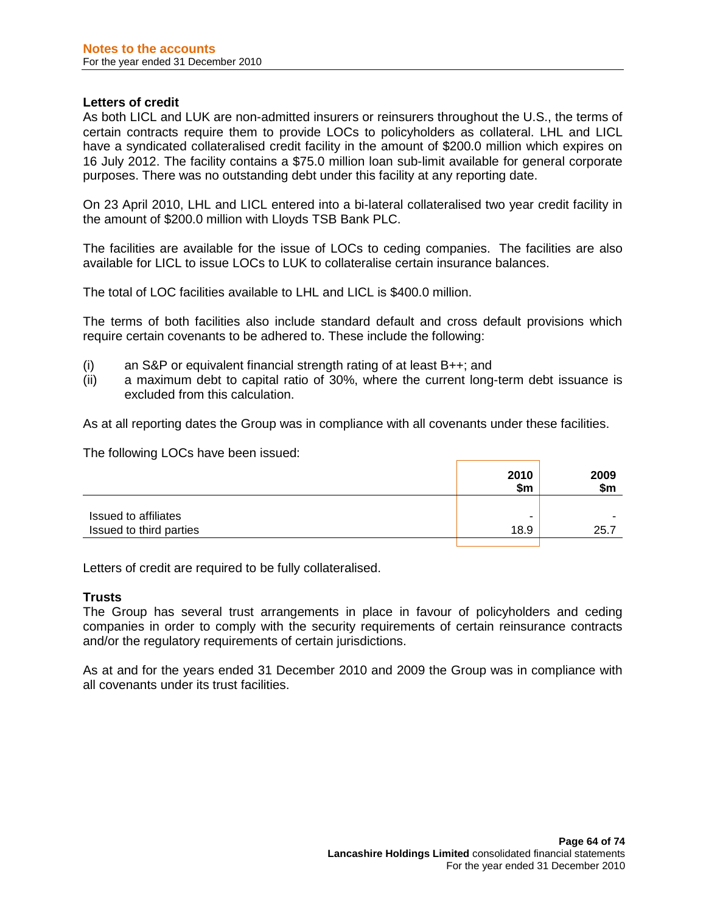## **Letters of credit**

As both LICL and LUK are non-admitted insurers or reinsurers throughout the U.S., the terms of certain contracts require them to provide LOCs to policyholders as collateral. LHL and LICL have a syndicated collateralised credit facility in the amount of \$200.0 million which expires on 16 July 2012. The facility contains a \$75.0 million loan sub-limit available for general corporate purposes. There was no outstanding debt under this facility at any reporting date.

On 23 April 2010, LHL and LICL entered into a bi-lateral collateralised two year credit facility in the amount of \$200.0 million with Lloyds TSB Bank PLC.

The facilities are available for the issue of LOCs to ceding companies. The facilities are also available for LICL to issue LOCs to LUK to collateralise certain insurance balances.

The total of LOC facilities available to LHL and LICL is \$400.0 million.

The terms of both facilities also include standard default and cross default provisions which require certain covenants to be adhered to. These include the following:

- (i) an S&P or equivalent financial strength rating of at least  $B++$ ; and (ii) a maximum debt to capital ratio of 30%, where the current long-
- a maximum debt to capital ratio of 30%, where the current long-term debt issuance is excluded from this calculation.

As at all reporting dates the Group was in compliance with all covenants under these facilities.

The following LOCs have been issued:

|                         | 2010<br>\$m | 2009<br>\$m |
|-------------------------|-------------|-------------|
| Issued to affiliates    | ۰           | ٠           |
| Issued to third parties | 18.9        | 25.7        |

Letters of credit are required to be fully collateralised.

## **Trusts**

The Group has several trust arrangements in place in favour of policyholders and ceding companies in order to comply with the security requirements of certain reinsurance contracts and/or the regulatory requirements of certain jurisdictions.

As at and for the years ended 31 December 2010 and 2009 the Group was in compliance with all covenants under its trust facilities.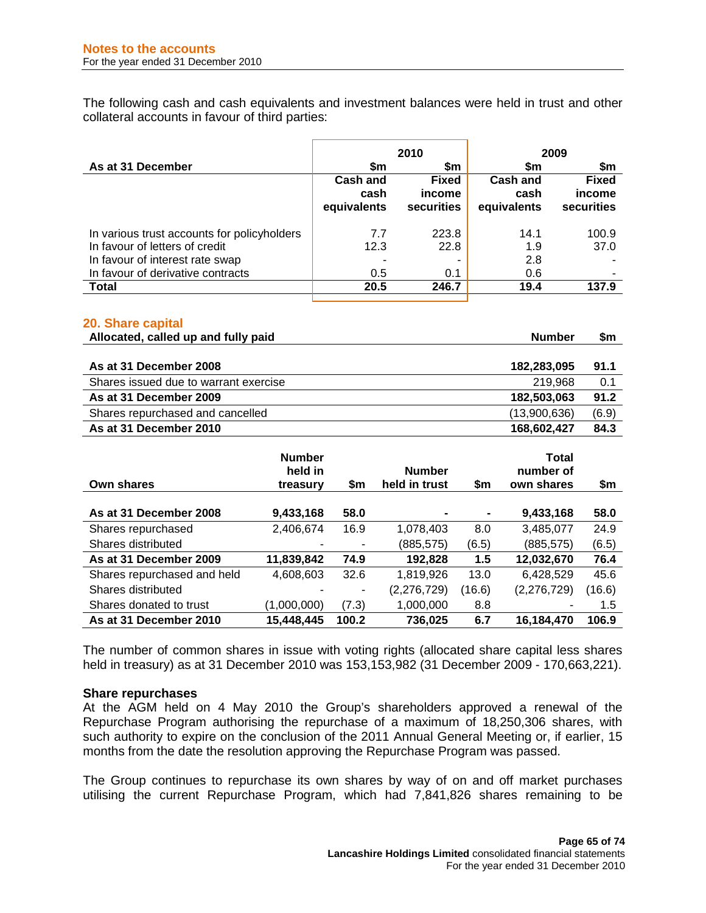The following cash and cash equivalents and investment balances were held in trust and other collateral accounts in favour of third parties:

|                                             | 2010                                   |                                      |                                 | 2009                                 |
|---------------------------------------------|----------------------------------------|--------------------------------------|---------------------------------|--------------------------------------|
| As at 31 December                           | \$m                                    | \$m                                  | \$m                             | \$m                                  |
|                                             | <b>Cash and</b><br>cash<br>equivalents | <b>Fixed</b><br>income<br>securities | Cash and<br>cash<br>equivalents | <b>Fixed</b><br>income<br>securities |
| In various trust accounts for policyholders | 7.7                                    | 223.8                                | 14.1                            | 100.9                                |
| In favour of letters of credit              | 12.3                                   | 22.8                                 | 1.9                             | 37.0                                 |
| In favour of interest rate swap             |                                        |                                      | 2.8                             |                                      |
| In favour of derivative contracts           | 0.5                                    | 0.1                                  | 0.6                             |                                      |
| <b>Total</b>                                | 20.5                                   | 246.7                                | 19.4                            | 137.9                                |

#### **20. Share capital**

| Allocated, called up and fully paid   | <b>Number</b> |       |  |
|---------------------------------------|---------------|-------|--|
|                                       |               |       |  |
| As at 31 December 2008                | 182,283,095   | 91.1  |  |
| Shares issued due to warrant exercise | 219.968       | 0.1   |  |
| As at 31 December 2009                | 182,503,063   | 91.2  |  |
| Shares repurchased and cancelled      | (13,900,636)  | (6.9) |  |
| As at 31 December 2010                | 168,602,427   | 84.3  |  |

| <b>Own shares</b>           | <b>Number</b><br>held in<br>treasury | \$m   | <b>Number</b><br>held in trust | \$m    | Total<br>number of<br>own shares | \$m    |
|-----------------------------|--------------------------------------|-------|--------------------------------|--------|----------------------------------|--------|
| As at 31 December 2008      | 9,433,168                            | 58.0  | ۰                              |        | 9,433,168                        | 58.0   |
| Shares repurchased          | 2,406,674                            | 16.9  | 1,078,403                      | 8.0    | 3,485,077                        | 24.9   |
| Shares distributed          |                                      |       | (885,575)                      | (6.5)  | (885, 575)                       | (6.5)  |
| As at 31 December 2009      | 11,839,842                           | 74.9  | 192,828                        | 1.5    | 12,032,670                       | 76.4   |
| Shares repurchased and held | 4,608,603                            | 32.6  | 1,819,926                      | 13.0   | 6,428,529                        | 45.6   |
| Shares distributed          |                                      |       | (2, 276, 729)                  | (16.6) | (2,276,729)                      | (16.6) |
| Shares donated to trust     | (1,000,000)                          | (7.3) | 1,000,000                      | 8.8    | ۰                                | 1.5    |
| As at 31 December 2010      | 15,448,445                           | 100.2 | 736,025                        | 6.7    | 16.184.470                       | 106.9  |

The number of common shares in issue with voting rights (allocated share capital less shares held in treasury) as at 31 December 2010 was 153,153,982 (31 December 2009 - 170,663,221).

## **Share repurchases**

At the AGM held on 4 May 2010 the Group's shareholders approved a renewal of the Repurchase Program authorising the repurchase of a maximum of 18,250,306 shares, with such authority to expire on the conclusion of the 2011 Annual General Meeting or, if earlier, 15 months from the date the resolution approving the Repurchase Program was passed.

The Group continues to repurchase its own shares by way of on and off market purchases utilising the current Repurchase Program, which had 7,841,826 shares remaining to be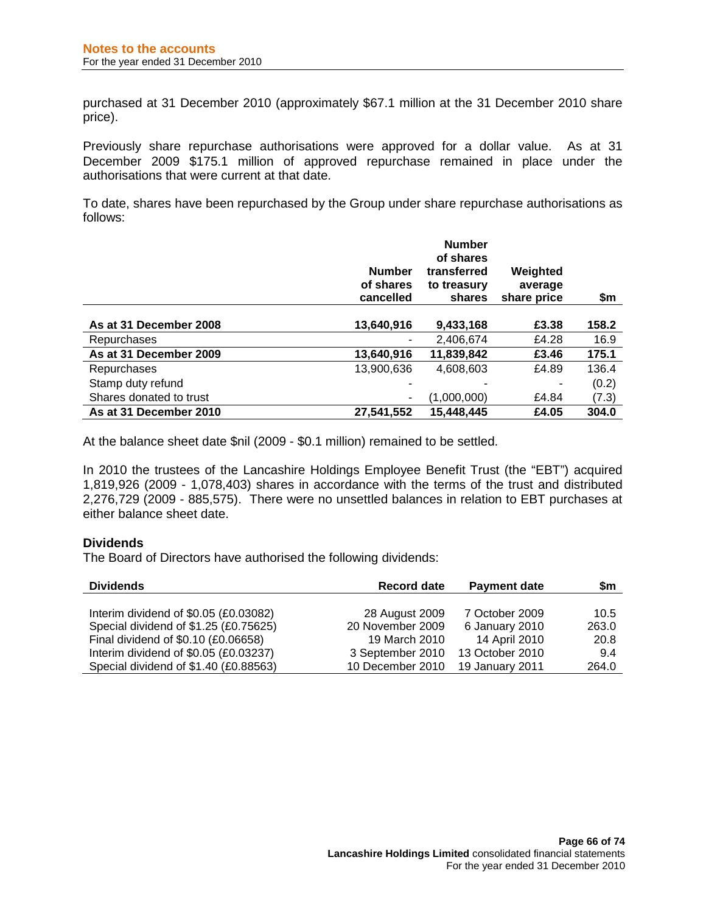purchased at 31 December 2010 (approximately \$67.1 million at the 31 December 2010 share price).

Previously share repurchase authorisations were approved for a dollar value. As at 31 December 2009 \$175.1 million of approved repurchase remained in place under the authorisations that were current at that date.

To date, shares have been repurchased by the Group under share repurchase authorisations as follows:

|                         | <b>Number</b><br>of shares<br>cancelled | <b>Number</b><br>of shares<br>transferred<br>to treasury<br>shares | Weighted<br>average<br>share price | \$m   |
|-------------------------|-----------------------------------------|--------------------------------------------------------------------|------------------------------------|-------|
| As at 31 December 2008  | 13,640,916                              | 9,433,168                                                          | £3.38                              | 158.2 |
| Repurchases             |                                         | 2,406,674                                                          | £4.28                              | 16.9  |
| As at 31 December 2009  | 13,640,916                              | 11,839,842                                                         | £3.46                              | 175.1 |
| Repurchases             | 13,900,636                              | 4,608,603                                                          | £4.89                              | 136.4 |
| Stamp duty refund       | ۰                                       |                                                                    |                                    | (0.2) |
| Shares donated to trust |                                         | (1,000,000)                                                        | £4.84                              | (7.3) |
| As at 31 December 2010  | 27,541,552                              | 15,448,445                                                         | £4.05                              | 304.0 |

At the balance sheet date \$nil (2009 - \$0.1 million) remained to be settled.

In 2010 the trustees of the Lancashire Holdings Employee Benefit Trust (the "EBT") acquired 1,819,926 (2009 - 1,078,403) shares in accordance with the terms of the trust and distributed 2,276,729 (2009 - 885,575). There were no unsettled balances in relation to EBT purchases at either balance sheet date.

## **Dividends**

The Board of Directors have authorised the following dividends:

| <b>Dividends</b>                      | <b>Record date</b> | <b>Payment date</b> | \$m   |
|---------------------------------------|--------------------|---------------------|-------|
|                                       |                    |                     |       |
| Interim dividend of \$0.05 (£0.03082) | 28 August 2009     | 7 October 2009      | 10.5  |
| Special dividend of \$1.25 (£0.75625) | 20 November 2009   | 6 January 2010      | 263.0 |
| Final dividend of \$0.10 (£0.06658)   | 19 March 2010      | 14 April 2010       | 20.8  |
| Interim dividend of \$0.05 (£0.03237) | 3 September 2010   | 13 October 2010     | 9.4   |
| Special dividend of \$1.40 (£0.88563) | 10 December 2010   | 19 January 2011     | 264.0 |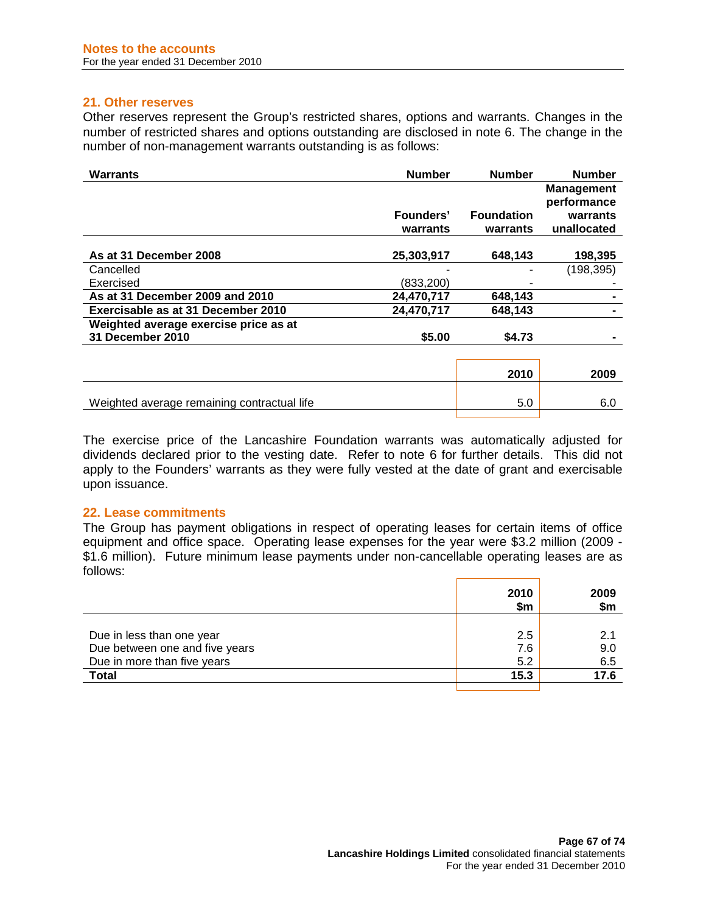## **21. Other reserves**

Other reserves represent the Group's restricted shares, options and warrants. Changes in the number of restricted shares and options outstanding are disclosed in note 6. The change in the number of non-management warrants outstanding is as follows:

| <b>Warrants</b>                             | <b>Number</b> | <b>Number</b>     | <b>Number</b>     |
|---------------------------------------------|---------------|-------------------|-------------------|
|                                             |               |                   | <b>Management</b> |
|                                             |               |                   | performance       |
|                                             | Founders'     | <b>Foundation</b> | warrants          |
|                                             | warrants      | warrants          | unallocated       |
|                                             |               |                   |                   |
| As at 31 December 2008                      | 25,303,917    | 648,143           | 198,395           |
| Cancelled                                   |               |                   | (198, 395)        |
| Exercised                                   | (833, 200)    |                   |                   |
| As at 31 December 2009 and 2010             | 24,470,717    | 648,143           |                   |
| Exercisable as at 31 December 2010          | 24,470,717    | 648,143           |                   |
| Weighted average exercise price as at       |               |                   |                   |
| 31 December 2010                            | \$5.00        | \$4.73            |                   |
|                                             |               |                   |                   |
|                                             |               | 2010              | 2009              |
|                                             |               |                   |                   |
| Weighted average remaining contractual life |               | 5.0               | 6.0               |

The exercise price of the Lancashire Foundation warrants was automatically adjusted for dividends declared prior to the vesting date. Refer to note 6 for further details. This did not apply to the Founders' warrants as they were fully vested at the date of grant and exercisable upon issuance.

## **22. Lease commitments**

The Group has payment obligations in respect of operating leases for certain items of office equipment and office space. Operating lease expenses for the year were \$3.2 million (2009 - \$1.6 million). Future minimum lease payments under non-cancellable operating leases are as follows:

|                                | 2010<br>\$m | 2009<br>\$m |
|--------------------------------|-------------|-------------|
| Due in less than one year      | 2.5         | 2.1         |
| Due between one and five years | 7.6         | 9.0         |
| Due in more than five years    | 5.2         | 6.5         |
| <b>Total</b>                   | 15.3        | 17.6        |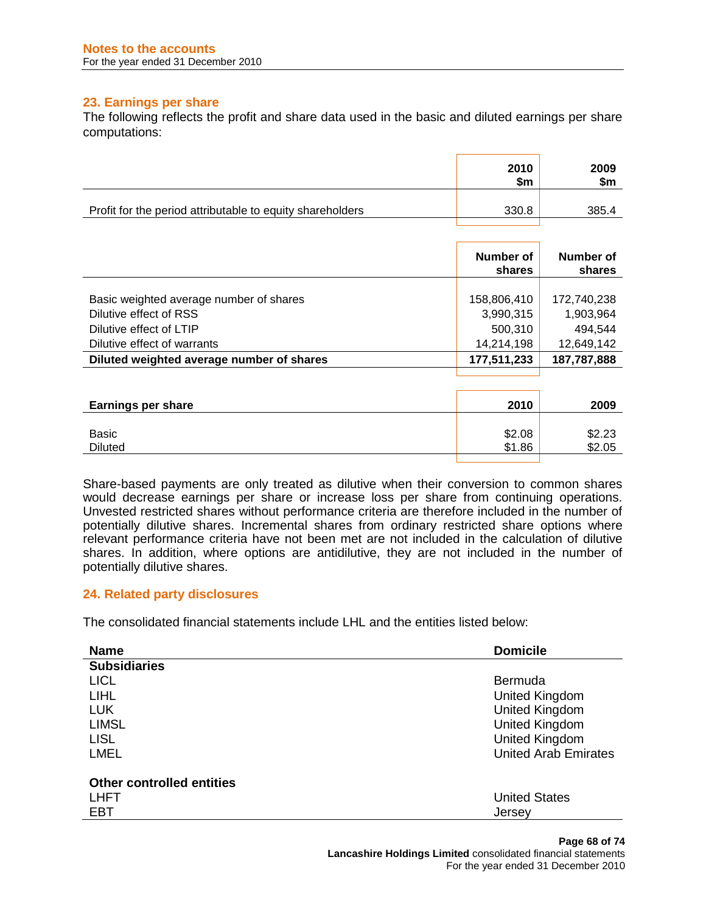# **23. Earnings per share**

The following reflects the profit and share data used in the basic and diluted earnings per share computations:

|                                                           | 2010<br>\$m | 2009<br>\$m |
|-----------------------------------------------------------|-------------|-------------|
| Profit for the period attributable to equity shareholders | 330.8       | 385.4       |

|                                           | Number of<br>shares | Number of<br>shares |
|-------------------------------------------|---------------------|---------------------|
|                                           |                     |                     |
| Basic weighted average number of shares   | 158,806,410         | 172,740,238         |
| Dilutive effect of RSS                    | 3,990,315           | 1,903,964           |
| Dilutive effect of LTIP                   | 500,310             | 494,544             |
| Dilutive effect of warrants               | 14,214,198          | 12,649,142          |
| Diluted weighted average number of shares | 177,511,233         | 187,787,888         |

| <b>Earnings per share</b> | 2010   | 2009   |
|---------------------------|--------|--------|
| Basic                     | \$2.08 | \$2.23 |
| <b>Diluted</b>            | \$1.86 | \$2.05 |

Share-based payments are only treated as dilutive when their conversion to common shares would decrease earnings per share or increase loss per share from continuing operations. Unvested restricted shares without performance criteria are therefore included in the number of potentially dilutive shares. Incremental shares from ordinary restricted share options where relevant performance criteria have not been met are not included in the calculation of dilutive shares. In addition, where options are antidilutive, they are not included in the number of potentially dilutive shares.

## **24. Related party disclosures**

The consolidated financial statements include LHL and the entities listed below:

| <b>Domicile</b><br><b>Name</b>             |  |
|--------------------------------------------|--|
| <b>Subsidiaries</b>                        |  |
| <b>LICL</b><br><b>Bermuda</b>              |  |
| LIHL.<br>United Kingdom                    |  |
| <b>LUK</b><br>United Kingdom               |  |
| <b>LIMSL</b><br>United Kingdom             |  |
| <b>LISL</b><br>United Kingdom              |  |
| <b>United Arab Emirates</b><br><b>LMEL</b> |  |
|                                            |  |
| <b>Other controlled entities</b>           |  |
| <b>United States</b><br><b>LHFT</b>        |  |
| <b>EBT</b><br>Jersey                       |  |

**Page 68 of 74 Lancashire Holdings Limited** consolidated financial statements For the year ended 31 December 2010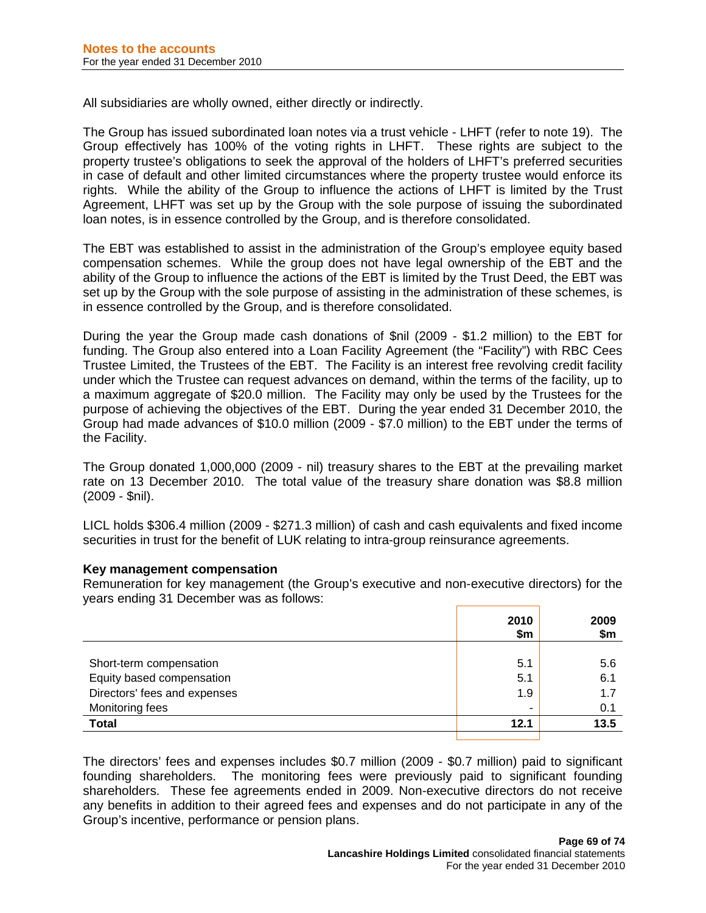All subsidiaries are wholly owned, either directly or indirectly.

The Group has issued subordinated loan notes via a trust vehicle - LHFT (refer to note 19). The Group effectively has 100% of the voting rights in LHFT. These rights are subject to the property trustee's obligations to seek the approval of the holders of LHFT's preferred securities in case of default and other limited circumstances where the property trustee would enforce its rights. While the ability of the Group to influence the actions of LHFT is limited by the Trust Agreement, LHFT was set up by the Group with the sole purpose of issuing the subordinated loan notes, is in essence controlled by the Group, and is therefore consolidated.

The EBT was established to assist in the administration of the Group's employee equity based compensation schemes. While the group does not have legal ownership of the EBT and the ability of the Group to influence the actions of the EBT is limited by the Trust Deed, the EBT was set up by the Group with the sole purpose of assisting in the administration of these schemes, is in essence controlled by the Group, and is therefore consolidated.

During the year the Group made cash donations of \$nil (2009 - \$1.2 million) to the EBT for funding. The Group also entered into a Loan Facility Agreement (the "Facility") with RBC Cees Trustee Limited, the Trustees of the EBT. The Facility is an interest free revolving credit facility under which the Trustee can request advances on demand, within the terms of the facility, up to a maximum aggregate of \$20.0 million. The Facility may only be used by the Trustees for the purpose of achieving the objectives of the EBT. During the year ended 31 December 2010, the Group had made advances of \$10.0 million (2009 - \$7.0 million) to the EBT under the terms of the Facility.

The Group donated 1,000,000 (2009 - nil) treasury shares to the EBT at the prevailing market rate on 13 December 2010. The total value of the treasury share donation was \$8.8 million (2009 - \$nil).

LICL holds \$306.4 million (2009 - \$271.3 million) of cash and cash equivalents and fixed income securities in trust for the benefit of LUK relating to intra-group reinsurance agreements.

## **Key management compensation**

Remuneration for key management (the Group's executive and non-executive directors) for the years ending 31 December was as follows:

|                              | 2010<br>\$m | 2009<br>\$m |
|------------------------------|-------------|-------------|
|                              |             |             |
| Short-term compensation      | 5.1         | 5.6         |
| Equity based compensation    | 5.1         | 6.1         |
| Directors' fees and expenses | 1.9         | 1.7         |
| Monitoring fees              | -           | 0.1         |
| <b>Total</b>                 | 12.1        | 13.5        |
|                              |             |             |

The directors' fees and expenses includes \$0.7 million (2009 - \$0.7 million) paid to significant founding shareholders. The monitoring fees were previously paid to significant founding shareholders. These fee agreements ended in 2009. Non-executive directors do not receive any benefits in addition to their agreed fees and expenses and do not participate in any of the Group's incentive, performance or pension plans.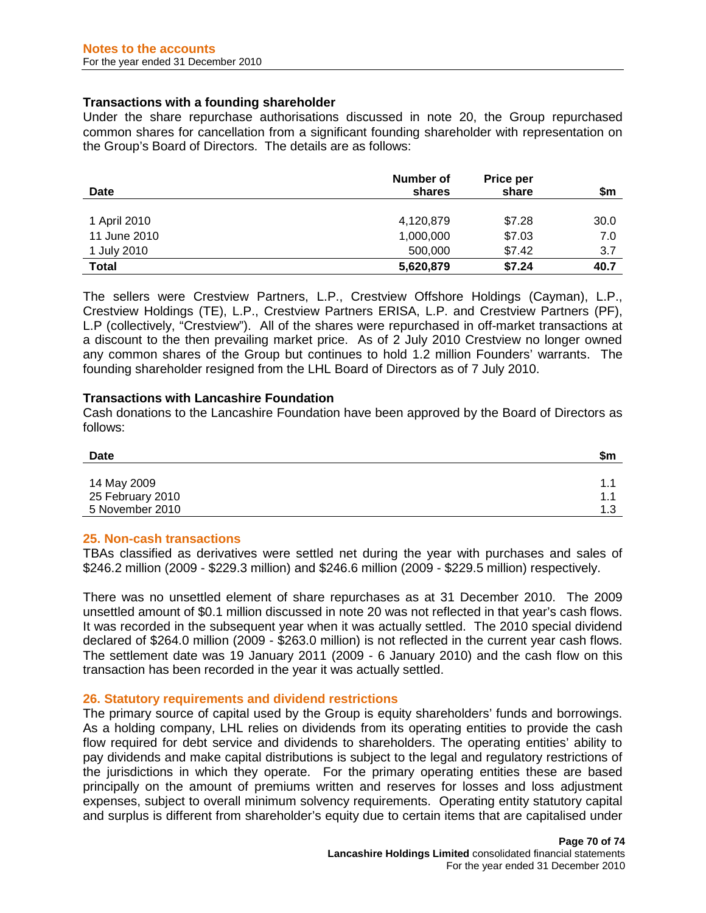## **Transactions with a founding shareholder**

Under the share repurchase authorisations discussed in note 20, the Group repurchased common shares for cancellation from a significant founding shareholder with representation on the Group's Board of Directors. The details are as follows:

| <b>Date</b>  | Number of<br>shares | Price per<br>share | \$m  |
|--------------|---------------------|--------------------|------|
|              |                     |                    |      |
| 1 April 2010 | 4,120,879           | \$7.28             | 30.0 |
| 11 June 2010 | 1,000,000           | \$7.03             | 7.0  |
| 1 July 2010  | 500,000             | \$7.42             | 3.7  |
| <b>Total</b> | 5,620,879           | \$7.24             | 40.7 |

The sellers were Crestview Partners, L.P., Crestview Offshore Holdings (Cayman), L.P., Crestview Holdings (TE), L.P., Crestview Partners ERISA, L.P. and Crestview Partners (PF), L.P (collectively, "Crestview"). All of the shares were repurchased in off-market transactions at a discount to the then prevailing market price. As of 2 July 2010 Crestview no longer owned any common shares of the Group but continues to hold 1.2 million Founders' warrants. The founding shareholder resigned from the LHL Board of Directors as of 7 July 2010.

# **Transactions with Lancashire Foundation**

Cash donations to the Lancashire Foundation have been approved by the Board of Directors as follows:

| Date             | \$m |
|------------------|-----|
|                  |     |
| 14 May 2009      | 1.  |
| 25 February 2010 | 11  |
| 5 November 2010  | 1 ? |

## **25. Non-cash transactions**

TBAs classified as derivatives were settled net during the year with purchases and sales of \$246.2 million (2009 - \$229.3 million) and \$246.6 million (2009 - \$229.5 million) respectively.

There was no unsettled element of share repurchases as at 31 December 2010. The 2009 unsettled amount of \$0.1 million discussed in note 20 was not reflected in that year's cash flows. It was recorded in the subsequent year when it was actually settled. The 2010 special dividend declared of \$264.0 million (2009 - \$263.0 million) is not reflected in the current year cash flows. The settlement date was 19 January 2011 (2009 - 6 January 2010) and the cash flow on this transaction has been recorded in the year it was actually settled.

## **26. Statutory requirements and dividend restrictions**

The primary source of capital used by the Group is equity shareholders' funds and borrowings. As a holding company, LHL relies on dividends from its operating entities to provide the cash flow required for debt service and dividends to shareholders. The operating entities' ability to pay dividends and make capital distributions is subject to the legal and regulatory restrictions of the jurisdictions in which they operate. For the primary operating entities these are based principally on the amount of premiums written and reserves for losses and loss adjustment expenses, subject to overall minimum solvency requirements. Operating entity statutory capital and surplus is different from shareholder's equity due to certain items that are capitalised under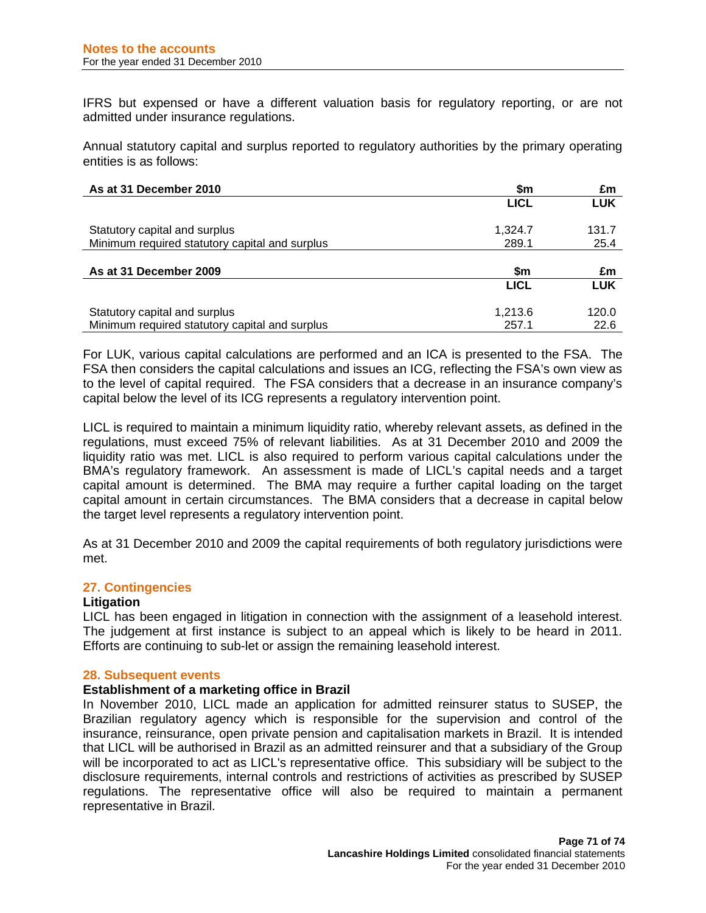IFRS but expensed or have a different valuation basis for regulatory reporting, or are not admitted under insurance regulations.

Annual statutory capital and surplus reported to regulatory authorities by the primary operating entities is as follows:

| As at 31 December 2010                         | \$m         | £m         |
|------------------------------------------------|-------------|------------|
|                                                | <b>LICL</b> | <b>LUK</b> |
|                                                |             |            |
| Statutory capital and surplus                  | 1.324.7     | 131.7      |
| Minimum required statutory capital and surplus | 289.1       | 25.4       |
|                                                |             |            |
| As at 31 December 2009                         | \$m         | £m         |
|                                                | <b>LICL</b> | <b>LUK</b> |
| Statutory capital and surplus                  | 1.213.6     | 120.0      |
|                                                |             |            |
| Minimum required statutory capital and surplus | 257.1       | 22.6       |

For LUK, various capital calculations are performed and an ICA is presented to the FSA. The FSA then considers the capital calculations and issues an ICG, reflecting the FSA's own view as to the level of capital required. The FSA considers that a decrease in an insurance company's capital below the level of its ICG represents a regulatory intervention point.

LICL is required to maintain a minimum liquidity ratio, whereby relevant assets, as defined in the regulations, must exceed 75% of relevant liabilities. As at 31 December 2010 and 2009 the liquidity ratio was met. LICL is also required to perform various capital calculations under the BMA's regulatory framework. An assessment is made of LICL's capital needs and a target capital amount is determined. The BMA may require a further capital loading on the target capital amount in certain circumstances. The BMA considers that a decrease in capital below the target level represents a regulatory intervention point.

As at 31 December 2010 and 2009 the capital requirements of both regulatory jurisdictions were met.

## **27. Contingencies**

# **Litigation**

LICL has been engaged in litigation in connection with the assignment of a leasehold interest. The judgement at first instance is subject to an appeal which is likely to be heard in 2011. Efforts are continuing to sub-let or assign the remaining leasehold interest.

#### **28. Subsequent events**

## **Establishment of a marketing office in Brazil**

In November 2010, LICL made an application for admitted reinsurer status to SUSEP, the Brazilian regulatory agency which is responsible for the supervision and control of the insurance, reinsurance, open private pension and capitalisation markets in Brazil. It is intended that LICL will be authorised in Brazil as an admitted reinsurer and that a subsidiary of the Group will be incorporated to act as LICL's representative office. This subsidiary will be subject to the disclosure requirements, internal controls and restrictions of activities as prescribed by SUSEP regulations. The representative office will also be required to maintain a permanent representative in Brazil.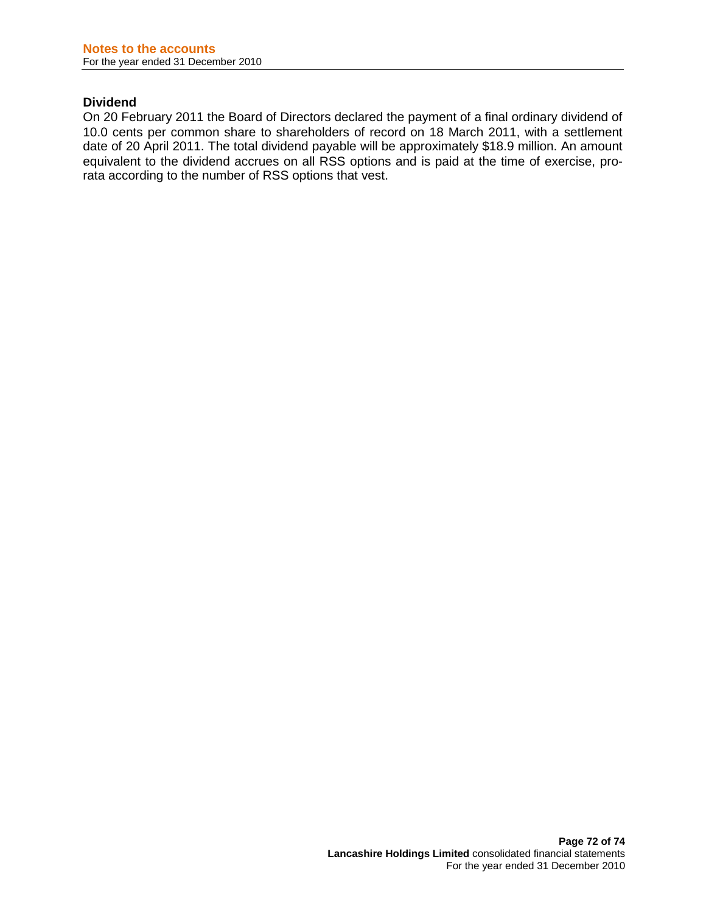## **Dividend**

On 20 February 2011 the Board of Directors declared the payment of a final ordinary dividend of 10.0 cents per common share to shareholders of record on 18 March 2011, with a settlement date of 20 April 2011. The total dividend payable will be approximately \$18.9 million. An amount equivalent to the dividend accrues on all RSS options and is paid at the time of exercise, prorata according to the number of RSS options that vest.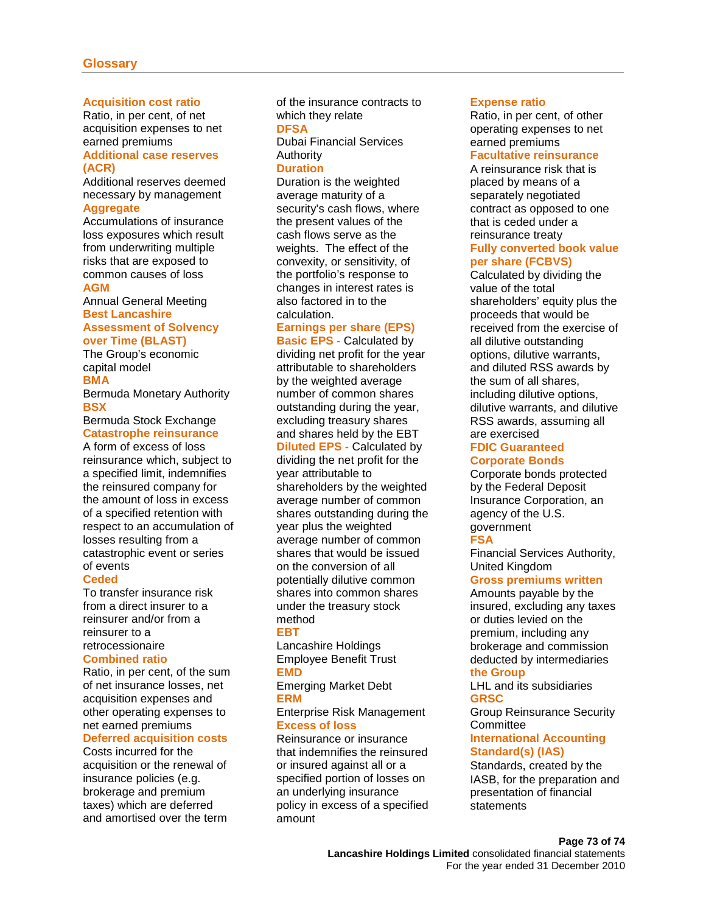#### **Acquisition cost ratio**

Ratio, in per cent, of net acquisition expenses to net earned premiums

#### **Additional case reserves (ACR)**

Additional reserves deemed necessary by management **Aggregate**

Accumulations of insurance loss exposures which result from underwriting multiple risks that are exposed to common causes of loss **AGM**

Annual General Meeting **Best Lancashire Assessment of Solvency** 

#### **over Time (BLAST)**

The Group's economic capital model

**BMA**

Bermuda Monetary Authority **BSX**

Bermuda Stock Exchange **Catastrophe reinsurance**

A form of excess of loss reinsurance which, subject to a specified limit, indemnifies the reinsured company for the amount of loss in excess of a specified retention with respect to an accumulation of losses resulting from a catastrophic event or series of events

#### **Ceded**

To transfer insurance risk from a direct insurer to a reinsurer and/or from a reinsurer to a retrocessionaire

# **Combined ratio**

Ratio, in per cent, of the sum of net insurance losses, net acquisition expenses and other operating expenses to net earned premiums

## **Deferred acquisition costs**

Costs incurred for the acquisition or the renewal of insurance policies (e.g. brokerage and premium taxes) which are deferred and amortised over the term of the insurance contracts to which they relate

#### **DFSA**

Dubai Financial Services Authority

#### **Duration**

Duration is the weighted average maturity of a security's cash flows, where the present values of the cash flows serve as the weights. The effect of the convexity, or sensitivity, of the portfolio's response to changes in interest rates is also factored in to the calculation.

#### **Earnings per share (EPS)**

**Basic EPS -** Calculated by dividing net profit for the year attributable to shareholders by the weighted average number of common shares outstanding during the year, excluding treasury shares and shares held by the EBT **Diluted EPS -** Calculated by dividing the net profit for the year attributable to shareholders by the weighted average number of common shares outstanding during the year plus the weighted average number of common shares that would be issued on the conversion of all potentially dilutive common shares into common shares under the treasury stock method

#### **EBT**

Lancashire Holdings Employee Benefit Trust **EMD**

Emerging Market Debt **ERM**

#### Enterprise Risk Management **Excess of loss**

Reinsurance or insurance that indemnifies the reinsured or insured against all or a specified portion of losses on an underlying insurance policy in excess of a specified amount

#### **Expense ratio**

Ratio, in per cent, of other operating expenses to net earned premiums

### **Facultative reinsurance**

A reinsurance risk that is placed by means of a separately negotiated contract as opposed to one that is ceded under a reinsurance treaty **Fully converted book value per share (FCBVS)**

Calculated by dividing the value of the total shareholders' equity plus the proceeds that would be received from the exercise of all dilutive outstanding options, dilutive warrants, and diluted RSS awards by the sum of all shares, including dilutive options, dilutive warrants, and dilutive RSS awards, assuming all are exercised

#### **FDIC Guaranteed Corporate Bonds**

Corporate bonds protected by the Federal Deposit Insurance Corporation, an agency of the U.S. government **FSA**

Financial Services Authority, United Kingdom

#### **Gross premiums written**

Amounts payable by the insured, excluding any taxes or duties levied on the premium, including any brokerage and commission deducted by intermediaries

# **the Group**

LHL and its subsidiaries **GRSC**

Group Reinsurance Security **Committee** 

## **International Accounting Standard(s) (IAS)**

[Standards](http://www.businessdictionary.com/definition/standards.html), created by the IASB, for the [preparation](http://www.businessdictionary.com/definition/preparation.html) and [presentation](http://www.businessdictionary.com/definition/presentation.html) of [financial](http://www.businessdictionary.com/definition/financial-statement.html)  [statements](http://www.businessdictionary.com/definition/financial-statement.html)

# **Page 73 of 74**